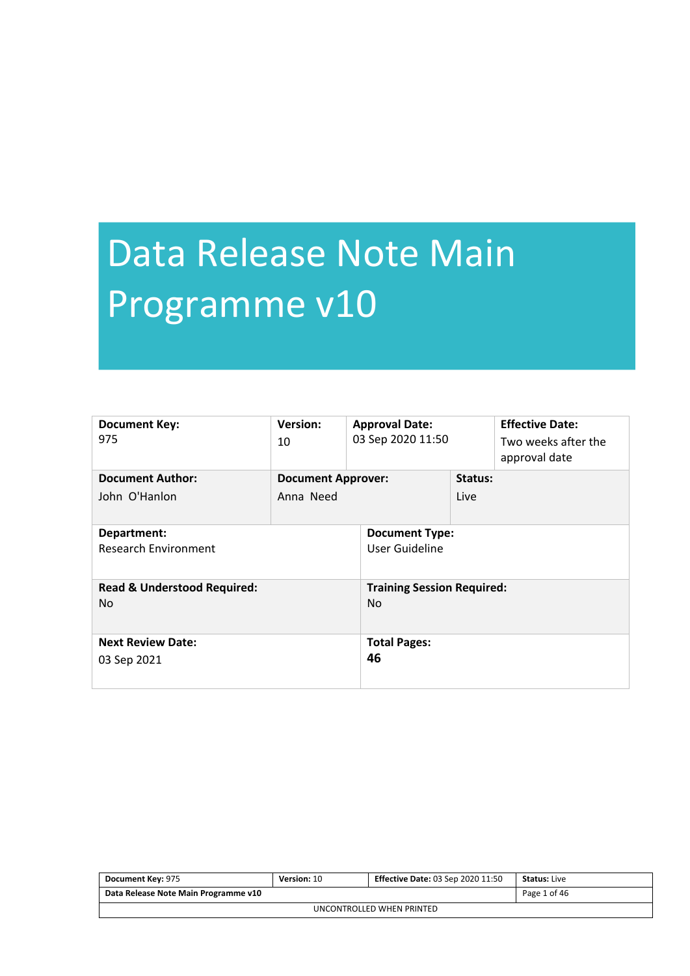# Data Release Note Main Programme v10

| <b>Document Key:</b><br>975                   | <b>Version:</b><br>10                  | <b>Approval Date:</b><br>03 Sep 2020 11:50          |                 | <b>Effective Date:</b><br>Two weeks after the<br>approval date |
|-----------------------------------------------|----------------------------------------|-----------------------------------------------------|-----------------|----------------------------------------------------------------|
| <b>Document Author:</b><br>John O'Hanlon      | <b>Document Approver:</b><br>Anna Need |                                                     | Status:<br>Live |                                                                |
| Department:<br><b>Research Environment</b>    |                                        | <b>Document Type:</b><br>User Guideline             |                 |                                                                |
| <b>Read &amp; Understood Required:</b><br>No. |                                        | <b>Training Session Required:</b><br>N <sub>o</sub> |                 |                                                                |
| <b>Next Review Date:</b><br>03 Sep 2021       |                                        | <b>Total Pages:</b><br>46                           |                 |                                                                |

| <b>Document Key: 975</b>             | Version: 10 | <b>Effective Date: 03 Sep 2020 11:50</b> | <b>Status: Live</b> |  |
|--------------------------------------|-------------|------------------------------------------|---------------------|--|
| Data Release Note Main Programme v10 |             |                                          | Page 1 of 46        |  |
| UNCONTROLLED WHEN PRINTED            |             |                                          |                     |  |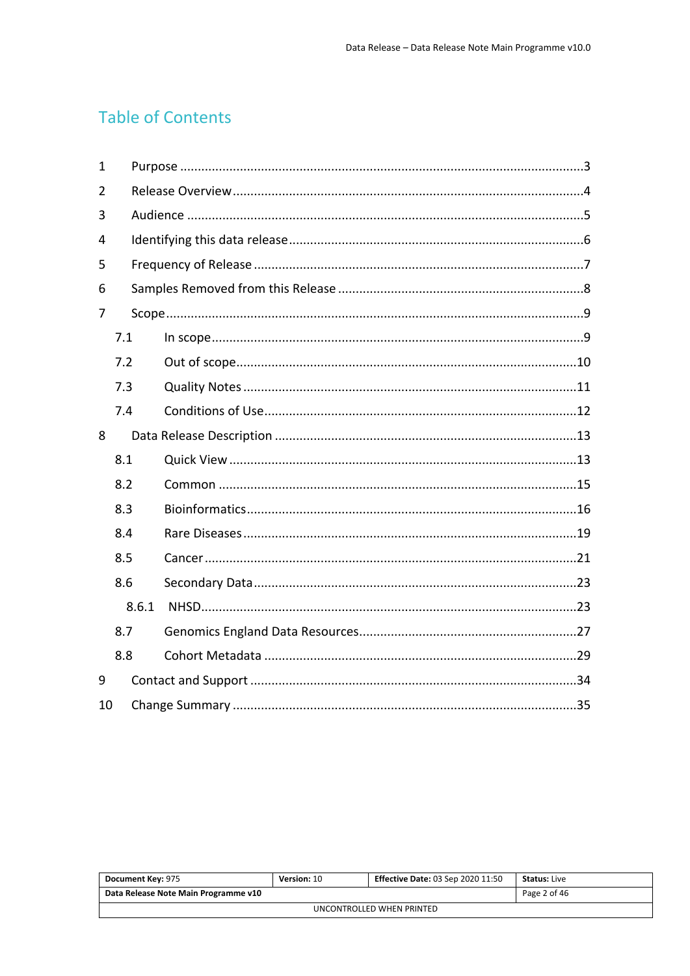## **Table of Contents**

| 1              |       |  |
|----------------|-------|--|
| $\overline{2}$ |       |  |
| 3              |       |  |
| $\overline{4}$ |       |  |
| 5              |       |  |
| 6              |       |  |
| 7              |       |  |
|                | 7.1   |  |
|                | 7.2   |  |
|                | 7.3   |  |
|                | 7.4   |  |
| 8              |       |  |
|                | 8.1   |  |
|                | 8.2   |  |
|                | 8.3   |  |
|                | 8.4   |  |
|                | 8.5   |  |
|                | 8.6   |  |
|                | 8.6.1 |  |
|                | 8.7   |  |
|                | 8.8   |  |
| 9              |       |  |
| 10             |       |  |

| Document Key: 975                    | Version: 10 | <b>Effective Date: 03 Sep 2020 11:50</b> | <b>Status:</b> Live |  |
|--------------------------------------|-------------|------------------------------------------|---------------------|--|
| Data Release Note Main Programme v10 |             |                                          | Page 2 of 46        |  |
| UNCONTROLLED WHEN PRINTED            |             |                                          |                     |  |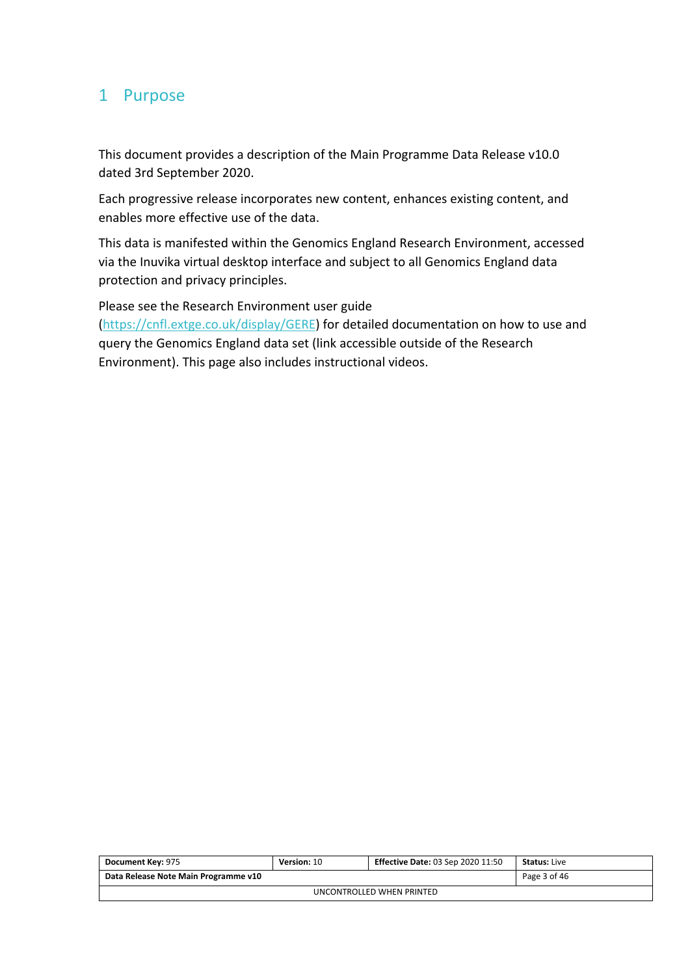## <span id="page-2-0"></span>1 Purpose

This document provides a description of the Main Programme Data Release v10.0 dated 3rd September 2020.

Each progressive release incorporates new content, enhances existing content, and enables more effective use of the data.

This data is manifested within the Genomics England Research Environment, accessed via the Inuvika virtual desktop interface and subject to all Genomics England data protection and privacy principles.

Please see the Research Environment user guide (<https://cnfl.extge.co.uk/display/GERE>) for detailed documentation on how to use and query the Genomics England data set (link accessible outside of the Research Environment). This page also includes instructional videos.

| Document Key: 975                    | <b>Version: 10</b> | <b>Effective Date: 03 Sep 2020 11:50</b> | <b>Status:</b> Live |  |  |
|--------------------------------------|--------------------|------------------------------------------|---------------------|--|--|
| Data Release Note Main Programme v10 |                    |                                          | Page 3 of 46        |  |  |
| UNCONTROLLED WHEN PRINTED            |                    |                                          |                     |  |  |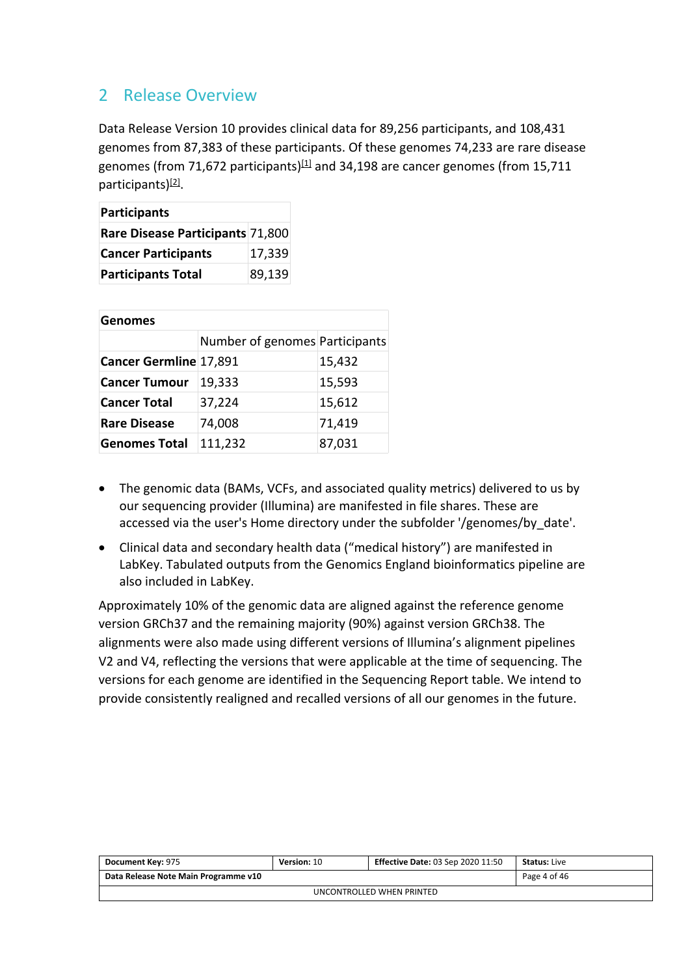## <span id="page-3-0"></span>2 Release Overview

Data Release Version 10 provides clinical data for 89,256 participants, and 108,431 genomes from 87,383 of these participants. Of these genomes 74,233 are rare disease genomes (from 71,672 participants) $[1]$  and 34,198 are cancer genomes (from 15,711 participants)<sup>[2]</sup>.

| Participants                     |        |  |  |
|----------------------------------|--------|--|--|
| Rare Disease Participants 71,800 |        |  |  |
| <b>Cancer Participants</b>       | 17,339 |  |  |
| <b>Participants Total</b>        | 89,139 |  |  |

| <b>Genomes</b>         |                                |        |  |  |
|------------------------|--------------------------------|--------|--|--|
|                        | Number of genomes Participants |        |  |  |
| Cancer Germline 17,891 |                                | 15,432 |  |  |
| <b>Cancer Tumour</b>   | 19,333                         | 15,593 |  |  |
| <b>Cancer Total</b>    | 37,224                         | 15,612 |  |  |
| <b>Rare Disease</b>    | 74,008                         | 71,419 |  |  |
| <b>Genomes Total</b>   | 111,232                        | 87,031 |  |  |

- The genomic data (BAMs, VCFs, and associated quality metrics) delivered to us by our sequencing provider (Illumina) are manifested in file shares. These are accessed via the user's Home directory under the subfolder '/genomes/by\_date'.
- Clinical data and secondary health data ("medical history") are manifested in LabKey. Tabulated outputs from the Genomics England bioinformatics pipeline are also included in LabKey.

Approximately 10% of the genomic data are aligned against the reference genome version GRCh37 and the remaining majority (90%) against version GRCh38. The alignments were also made using different versions of Illumina's alignment pipelines V2 and V4, reflecting the versions that were applicable at the time of sequencing. The versions for each genome are identified in the Sequencing Report table. We intend to provide consistently realigned and recalled versions of all our genomes in the future.

| Document Key: 975                    | <b>Version: 10</b> | <b>Effective Date: 03 Sep 2020 11:50</b> | <b>Status:</b> Live |  |  |
|--------------------------------------|--------------------|------------------------------------------|---------------------|--|--|
| Data Release Note Main Programme v10 |                    |                                          | Page 4 of 46        |  |  |
| UNCONTROLLED WHEN PRINTED            |                    |                                          |                     |  |  |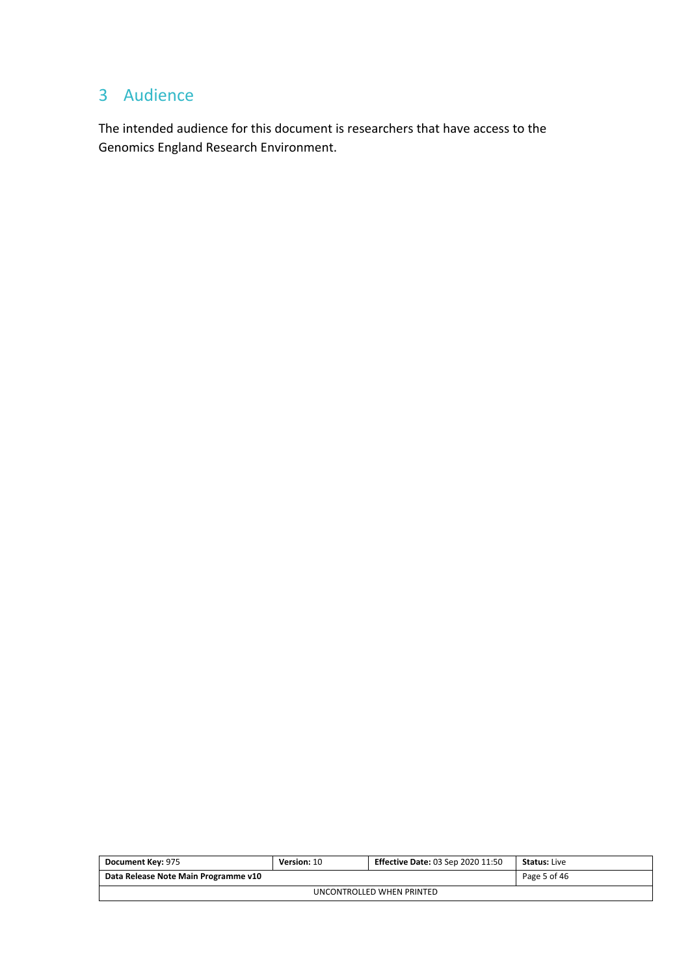## <span id="page-4-0"></span>3 Audience

The intended audience for this document is researchers that have access to the Genomics England Research Environment.

| <b>Document Key: 975</b>             | Version: 10 | <b>Effective Date: 03 Sep 2020 11:50</b> | <b>Status:</b> Live |  |
|--------------------------------------|-------------|------------------------------------------|---------------------|--|
| Data Release Note Main Programme v10 |             |                                          | Page 5 of 46        |  |
| UNCONTROLLED WHEN PRINTED            |             |                                          |                     |  |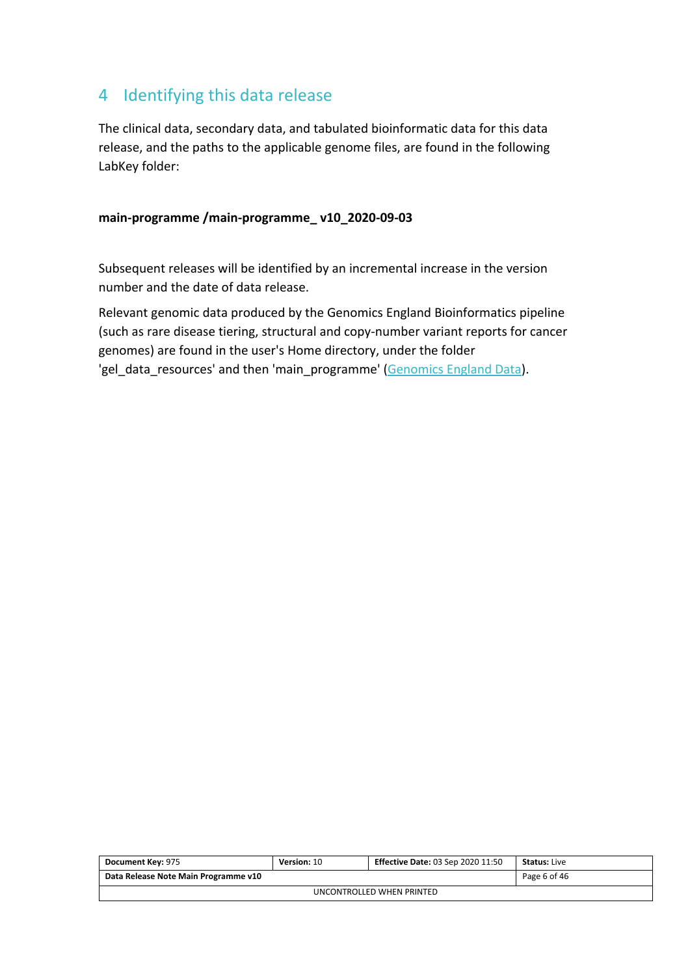## <span id="page-5-0"></span>4 Identifying this data release

The clinical data, secondary data, and tabulated bioinformatic data for this data release, and the paths to the applicable genome files, are found in the following LabKey folder:

#### **main-programme /main-programme\_ v10\_2020-09-03**

Subsequent releases will be identified by an incremental increase in the version number and the date of data release.

Relevant genomic data produced by the Genomics England Bioinformatics pipeline (such as rare disease tiering, structural and copy-number variant reports for cancer genomes) are found in the user's Home directory, under the folder 'gel\_data\_resources' and then 'main\_programme' ([Genomics England Data](#page-2-0)).

| <b>Document Key: 975</b>             | Version: 10 | <b>Effective Date: 03 Sep 2020 11:50</b> | <b>Status: Live</b> |  |
|--------------------------------------|-------------|------------------------------------------|---------------------|--|
| Data Release Note Main Programme v10 |             |                                          | Page 6 of 46        |  |
| UNCONTROLLED WHEN PRINTED            |             |                                          |                     |  |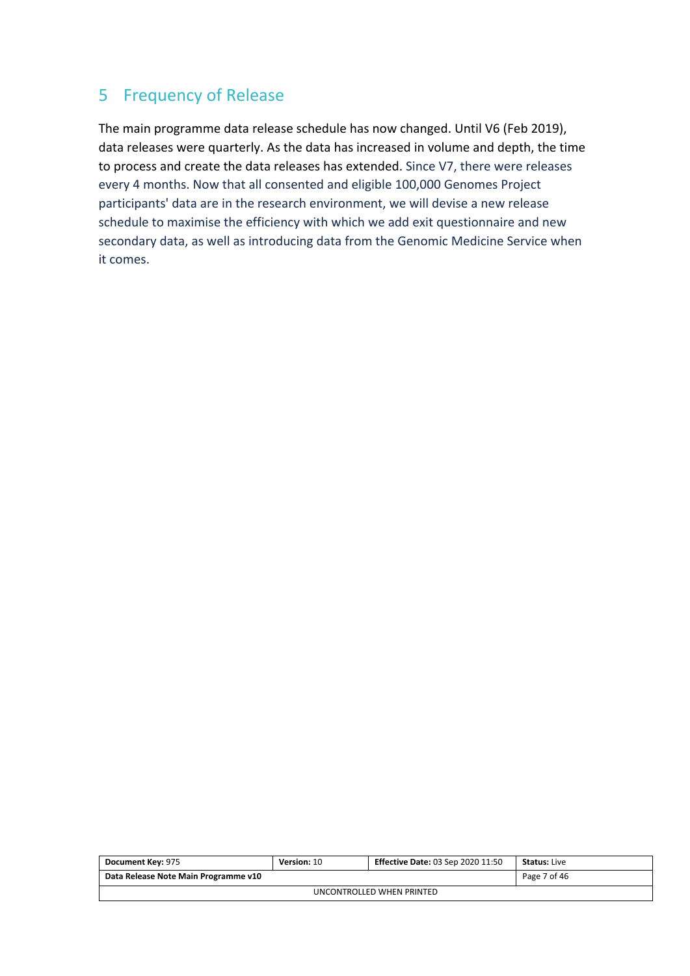## <span id="page-6-0"></span>5 Frequency of Release

The main programme data release schedule has now changed. Until V6 (Feb 2019), data releases were quarterly. As the data has increased in volume and depth, the time to process and create the data releases has extended. Since V7, there were releases every 4 months. Now that all consented and eligible 100,000 Genomes Project participants' data are in the research environment, we will devise a new release schedule to maximise the efficiency with which we add exit questionnaire and new secondary data, as well as introducing data from the Genomic Medicine Service when it comes.

| Document Key: 975                    | Version: 10 | <b>Effective Date: 03 Sep 2020 11:50</b> | <b>Status: Live</b> |  |  |
|--------------------------------------|-------------|------------------------------------------|---------------------|--|--|
| Data Release Note Main Programme v10 |             |                                          | Page 7 of 46        |  |  |
| UNCONTROLLED WHEN PRINTED            |             |                                          |                     |  |  |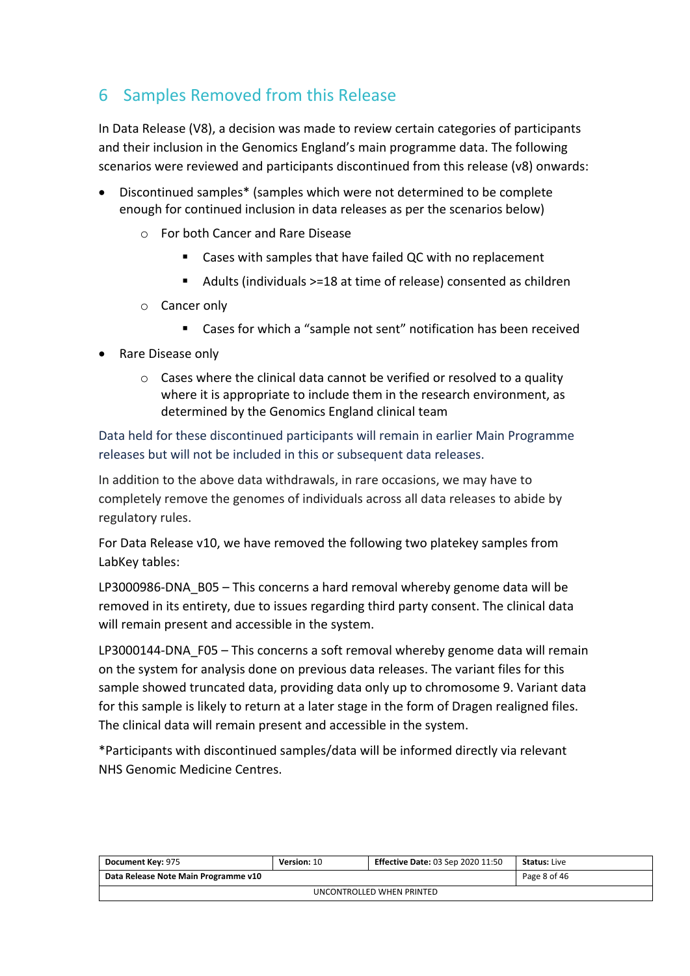## <span id="page-7-0"></span>6 Samples Removed from this Release

In Data Release (V8), a decision was made to review certain categories of participants and their inclusion in the Genomics England's main programme data. The following scenarios were reviewed and participants discontinued from this release (v8) onwards:

- Discontinued samples\* (samples which were not determined to be complete enough for continued inclusion in data releases as per the scenarios below)
	- o For both Cancer and Rare Disease
		- Cases with samples that have failed QC with no replacement
		- Adults (individuals >=18 at time of release) consented as children
	- o Cancer only
		- Cases for which a "sample not sent" notification has been received
- Rare Disease only
	- o Cases where the clinical data cannot be verified or resolved to a quality where it is appropriate to include them in the research environment, as determined by the Genomics England clinical team

Data held for these discontinued participants will remain in earlier Main Programme releases but will not be included in this or subsequent data releases.

In addition to the above data withdrawals, in rare occasions, we may have to completely remove the genomes of individuals across all data releases to abide by regulatory rules.

For Data Release v10, we have removed the following two platekey samples from LabKey tables:

LP3000986-DNA\_B05 – This concerns a hard removal whereby genome data will be removed in its entirety, due to issues regarding third party consent. The clinical data will remain present and accessible in the system.

LP3000144-DNA F05 – This concerns a soft removal whereby genome data will remain on the system for analysis done on previous data releases. The variant files for this sample showed truncated data, providing data only up to chromosome 9. Variant data for this sample is likely to return at a later stage in the form of Dragen realigned files. The clinical data will remain present and accessible in the system.

\*Participants with discontinued samples/data will be informed directly via relevant NHS Genomic Medicine Centres.

| Document Key: 975                    | Version: 10 | <b>Effective Date: 03 Sep 2020 11:50</b> | <b>Status:</b> Live |  |  |
|--------------------------------------|-------------|------------------------------------------|---------------------|--|--|
| Data Release Note Main Programme v10 |             |                                          | Page 8 of 46        |  |  |
| UNCONTROLLED WHEN PRINTED            |             |                                          |                     |  |  |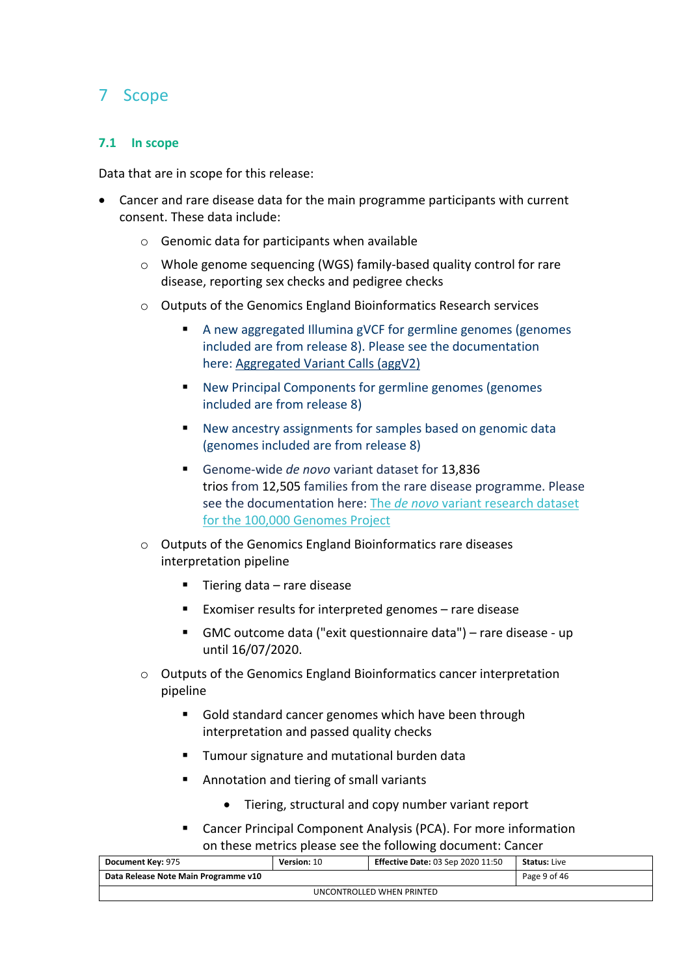## <span id="page-8-0"></span>7 Scope

#### <span id="page-8-1"></span>**7.1 In scope**

Data that are in scope for this release:

- Cancer and rare disease data for the main programme participants with current consent. These data include:
	- $\circ$  Genomic data for participants when available
	- o Whole genome sequencing (WGS) family-based quality control for rare disease, reporting sex checks and pedigree checks
	- o Outputs of the Genomics England Bioinformatics Research services
		- A new aggregated Illumina gVCF for germline genomes (genomes included are from release 8). Please see the documentation here: [Aggregated Variant Calls \(aggV2\)](https://cnfl.extge.co.uk/pages/viewpage.action?pageId=156601552)
		- New Principal Components for germline genomes (genomes included are from release 8)
		- New ancestry assignments for samples based on genomic data (genomes included are from release 8)
		- Genome-wide *de novo* variant dataset for 13,836 trios from 12,505 families from the rare disease programme. Please see the documentation here: The *de novo* [variant research dataset](https://cnfl.extge.co.uk/display/GERE/De+novo+variant+research+dataset)  [for the 100,000 Genomes Project](https://cnfl.extge.co.uk/display/GERE/De+novo+variant+research+dataset)
	- o Outputs of the Genomics England Bioinformatics rare diseases interpretation pipeline
		- Tiering data rare disease
		- Exomiser results for interpreted genomes rare disease
		- GMC outcome data ("exit questionnaire data") rare disease up until 16/07/2020.
	- o Outputs of the Genomics England Bioinformatics cancer interpretation pipeline
		- Gold standard cancer genomes which have been through interpretation and passed quality checks
		- **Tumour signature and mutational burden data**
		- **Annotation and tiering of small variants** 
			- Tiering, structural and copy number variant report
		- Cancer Principal Component Analysis (PCA). For more information on these metrics please see the following document: Cancer

| <b>Document Key: 975</b>             | Version: 10 | <b>Effective Date: 03 Sep 2020 11:50</b> | <b>Status:</b> Live |  |
|--------------------------------------|-------------|------------------------------------------|---------------------|--|
| Data Release Note Main Programme v10 |             |                                          | Page 9 of 46        |  |
| UNCONTROLLED WHEN PRINTED            |             |                                          |                     |  |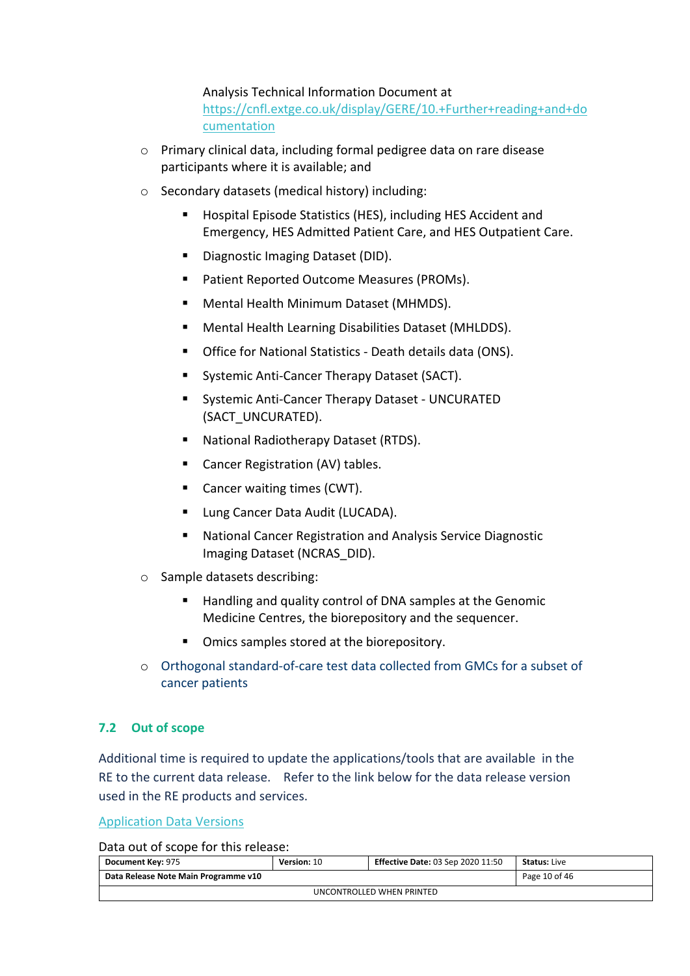Analysis Technical Information Document at [https://cnfl.extge.co.uk/display/GERE/10.+Further+reading+and+do](https://cnfl.extge.co.uk/display/GERE/10.+Further+reading+and+documentation) [cumentation](https://cnfl.extge.co.uk/display/GERE/10.+Further+reading+and+documentation)

- o Primary clinical data, including formal pedigree data on rare disease participants where it is available; and
- o Secondary datasets (medical history) including:
	- **Hospital Episode Statistics (HES), including HES Accident and** Emergency, HES Admitted Patient Care, and HES Outpatient Care.
	- Diagnostic Imaging Dataset (DID).
	- **Patient Reported Outcome Measures (PROMs).**
	- Mental Health Minimum Dataset (MHMDS).
	- Mental Health Learning Disabilities Dataset (MHLDDS).
	- Office for National Statistics Death details data (ONS).
	- **Systemic Anti-Cancer Therapy Dataset (SACT).**
	- Systemic Anti-Cancer Therapy Dataset UNCURATED (SACT\_UNCURATED).
	- National Radiotherapy Dataset (RTDS).
	- Cancer Registration (AV) tables.
	- Cancer waiting times (CWT).
	- **Lung Cancer Data Audit (LUCADA).**
	- National Cancer Registration and Analysis Service Diagnostic Imaging Dataset (NCRAS\_DID).
- o Sample datasets describing:
	- Handling and quality control of DNA samples at the Genomic Medicine Centres, the biorepository and the sequencer.
	- Omics samples stored at the biorepository.
- o Orthogonal standard-of-care test data collected from GMCs for a subset of cancer patients

#### <span id="page-9-0"></span>**7.2 Out of scope**

Additional time is required to update the applications/tools that are available in the RE to the current data release. Refer to the link below for the data release version used in the RE products and services.

[Application Data Versions](https://cnfl.extge.co.uk/display/GERE/Application+Data+Versions)

Data out of scope for this release:

| Document Key: 975                    | Version: 10 | <b>Effective Date: 03 Sep 2020 11:50</b> | <b>Status: Live</b> |  |
|--------------------------------------|-------------|------------------------------------------|---------------------|--|
| Data Release Note Main Programme v10 |             |                                          | Page 10 of 46       |  |
| UNCONTROLLED WHEN PRINTED            |             |                                          |                     |  |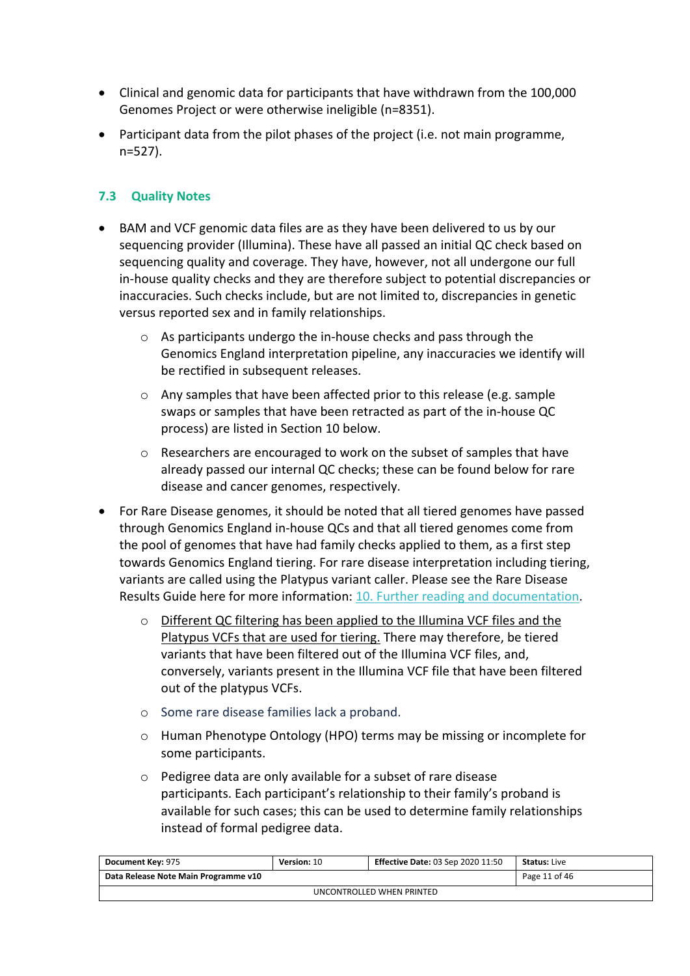- Clinical and genomic data for participants that have withdrawn from the 100,000 Genomes Project or were otherwise ineligible (n=8351).
- Participant data from the pilot phases of the project (i.e. not main programme, n=527).

#### <span id="page-10-0"></span>**7.3 Quality Notes**

- BAM and VCF genomic data files are as they have been delivered to us by our sequencing provider (Illumina). These have all passed an initial QC check based on sequencing quality and coverage. They have, however, not all undergone our full in-house quality checks and they are therefore subject to potential discrepancies or inaccuracies. Such checks include, but are not limited to, discrepancies in genetic versus reported sex and in family relationships.
	- o As participants undergo the in-house checks and pass through the Genomics England interpretation pipeline, any inaccuracies we identify will be rectified in subsequent releases.
	- o Any samples that have been affected prior to this release (e.g. sample swaps or samples that have been retracted as part of the in-house QC process) are listed in Section 10 below.
	- o Researchers are encouraged to work on the subset of samples that have already passed our internal QC checks; these can be found below for rare disease and cancer genomes, respectively.
- For Rare Disease genomes, it should be noted that all tiered genomes have passed through Genomics England in-house QCs and that all tiered genomes come from the pool of genomes that have had family checks applied to them, as a first step towards Genomics England tiering. For rare disease interpretation including tiering, variants are called using the Platypus variant caller. Please see the Rare Disease Results Guide here for more information: [10. Further reading and documentation.](https://cnfl.extge.co.uk/display/GERE/10.+Further+reading+and+documentation)
	- o Different QC filtering has been applied to the Illumina VCF files and the Platypus VCFs that are used for tiering. There may therefore, be tiered variants that have been filtered out of the Illumina VCF files, and, conversely, variants present in the Illumina VCF file that have been filtered out of the platypus VCFs.
	- o Some rare disease families lack a proband.
	- o Human Phenotype Ontology (HPO) terms may be missing or incomplete for some participants.
	- o Pedigree data are only available for a subset of rare disease participants. Each participant's relationship to their family's proband is available for such cases; this can be used to determine family relationships instead of formal pedigree data.

| <b>Document Key: 975</b>             | Version: 10 | <b>Effective Date: 03 Sep 2020 11:50</b> | <b>Status: Live</b> |  |  |
|--------------------------------------|-------------|------------------------------------------|---------------------|--|--|
| Data Release Note Main Programme v10 |             |                                          | Page 11 of 46       |  |  |
| UNCONTROLLED WHEN PRINTED            |             |                                          |                     |  |  |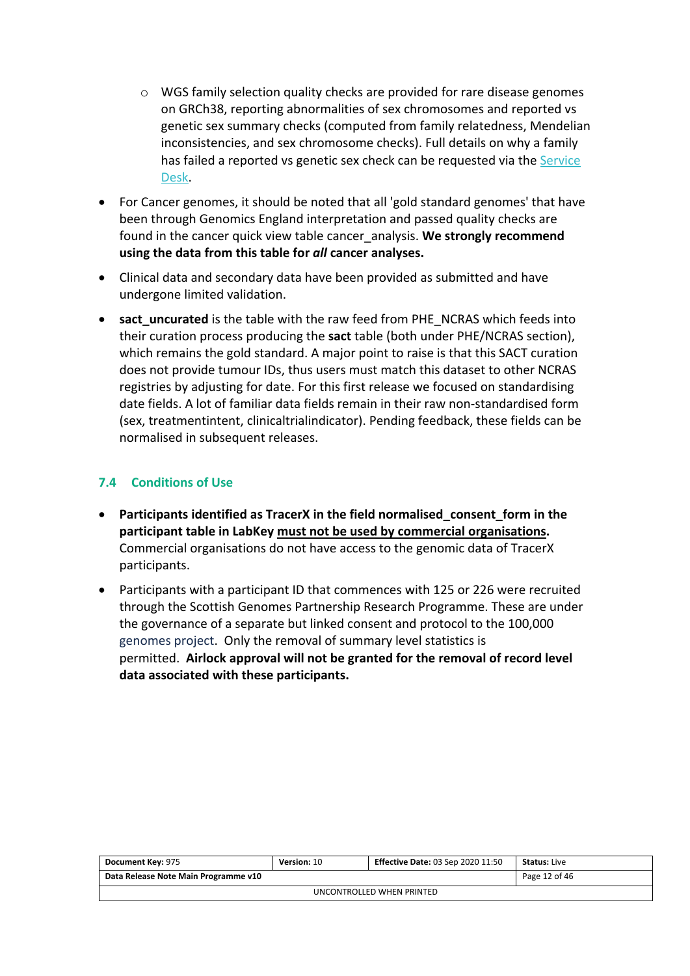- $\circ$  WGS family selection quality checks are provided for rare disease genomes on GRCh38, reporting abnormalities of sex chromosomes and reported vs genetic sex summary checks (computed from family relatedness, Mendelian inconsistencies, and sex chromosome checks). Full details on why a family has failed a reported vs genetic sex check can be requested via the [Service](https://jiraservicedesk.extge.co.uk/servicedesk/customer/user/login?destination=portal/3)  [Desk.](https://jiraservicedesk.extge.co.uk/servicedesk/customer/user/login?destination=portal/3)
- For Cancer genomes, it should be noted that all 'gold standard genomes' that have been through Genomics England interpretation and passed quality checks are found in the cancer quick view table cancer\_analysis. **We strongly recommend using the data from this table for** *all* **cancer analyses.**
- Clinical data and secondary data have been provided as submitted and have undergone limited validation.
- **•** sact uncurated is the table with the raw feed from PHE\_NCRAS which feeds into their curation process producing the **sact** table (both under PHE/NCRAS section), which remains the gold standard. A major point to raise is that this SACT curation does not provide tumour IDs, thus users must match this dataset to other NCRAS registries by adjusting for date. For this first release we focused on standardising date fields. A lot of familiar data fields remain in their raw non-standardised form (sex, treatmentintent, clinicaltrialindicator). Pending feedback, these fields can be normalised in subsequent releases.

#### <span id="page-11-0"></span>**7.4 Conditions of Use**

- **Participants identified as TracerX in the field normalised\_consent\_form in the participant table in LabKey must not be used by commercial organisations.** Commercial organisations do not have access to the genomic data of TracerX participants.
- Participants with a participant ID that commences with 125 or 226 were recruited through the Scottish Genomes Partnership Research Programme. These are under the governance of a separate but linked consent and protocol to the 100,000 genomes project. Only the removal of summary level statistics is permitted. **Airlock approval will not be granted for the removal of record level data associated with these participants.**

| <b>Document Key: 975</b>             | <b>Version: 10</b> | <b>Effective Date: 03 Sep 2020 11:50</b> | <b>Status: Live</b> |  |
|--------------------------------------|--------------------|------------------------------------------|---------------------|--|
| Data Release Note Main Programme v10 |                    |                                          | Page 12 of 46       |  |
| UNCONTROLLED WHEN PRINTED            |                    |                                          |                     |  |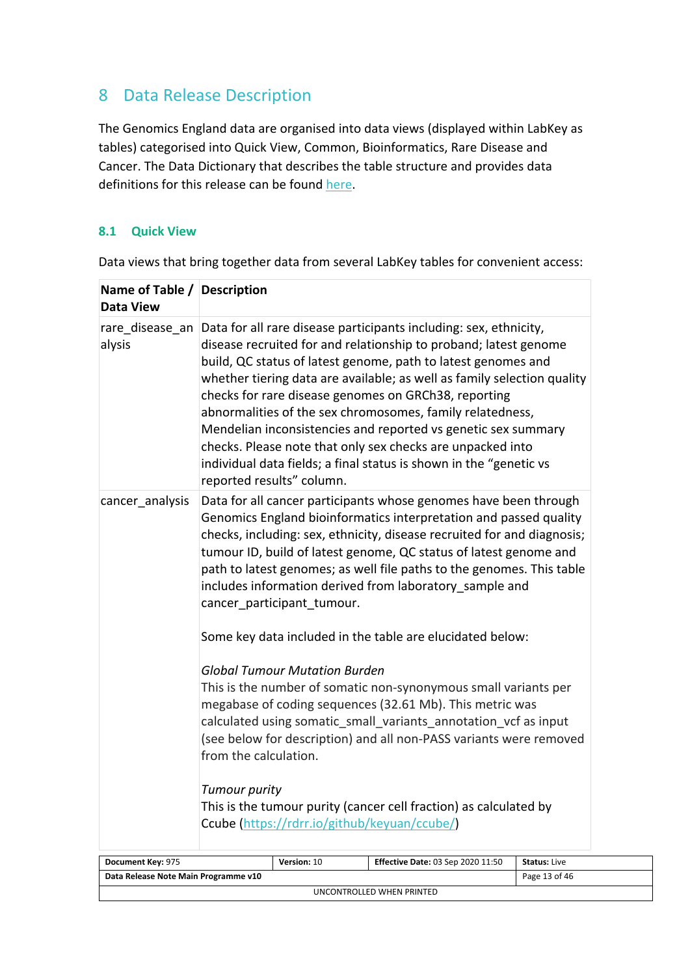## <span id="page-12-0"></span>8 Data Release Description

The Genomics England data are organised into data views (displayed within LabKey as tables) categorised into Quick View, Common, Bioinformatics, Rare Disease and Cancer. The Data Dictionary that describes the table structure and provides data definitions for this release can be found [here.](https://cnfl.extge.co.uk/display/GERE/Main+Programme+Data+Releases)

#### <span id="page-12-1"></span>**8.1 Quick View**

| Name of Table / Description<br><b>Data View</b> |                                                                                                                                                                                                                                                                                                                                                                                                                                                         |                           |                                                                                                                                                                                                                                                                                                                                                                                                                                                                                                                                                                                                             |                     |
|-------------------------------------------------|---------------------------------------------------------------------------------------------------------------------------------------------------------------------------------------------------------------------------------------------------------------------------------------------------------------------------------------------------------------------------------------------------------------------------------------------------------|---------------------------|-------------------------------------------------------------------------------------------------------------------------------------------------------------------------------------------------------------------------------------------------------------------------------------------------------------------------------------------------------------------------------------------------------------------------------------------------------------------------------------------------------------------------------------------------------------------------------------------------------------|---------------------|
| rare_disease_an<br>alysis                       |                                                                                                                                                                                                                                                                                                                                                                                                                                                         | reported results" column. | Data for all rare disease participants including: sex, ethnicity,<br>disease recruited for and relationship to proband; latest genome<br>build, QC status of latest genome, path to latest genomes and<br>whether tiering data are available; as well as family selection quality<br>checks for rare disease genomes on GRCh38, reporting<br>abnormalities of the sex chromosomes, family relatedness,<br>Mendelian inconsistencies and reported vs genetic sex summary<br>checks. Please note that only sex checks are unpacked into<br>individual data fields; a final status is shown in the "genetic vs |                     |
| cancer analysis                                 | Data for all cancer participants whose genomes have been through<br>Genomics England bioinformatics interpretation and passed quality<br>checks, including: sex, ethnicity, disease recruited for and diagnosis;<br>tumour ID, build of latest genome, QC status of latest genome and<br>path to latest genomes; as well file paths to the genomes. This table<br>includes information derived from laboratory_sample and<br>cancer participant tumour. |                           |                                                                                                                                                                                                                                                                                                                                                                                                                                                                                                                                                                                                             |                     |
|                                                 | Some key data included in the table are elucidated below:                                                                                                                                                                                                                                                                                                                                                                                               |                           |                                                                                                                                                                                                                                                                                                                                                                                                                                                                                                                                                                                                             |                     |
|                                                 | <b>Global Tumour Mutation Burden</b><br>This is the number of somatic non-synonymous small variants per<br>megabase of coding sequences (32.61 Mb). This metric was<br>calculated using somatic small variants annotation vcf as input<br>(see below for description) and all non-PASS variants were removed<br>from the calculation.                                                                                                                   |                           |                                                                                                                                                                                                                                                                                                                                                                                                                                                                                                                                                                                                             |                     |
|                                                 | <b>Tumour purity</b><br>This is the tumour purity (cancer cell fraction) as calculated by                                                                                                                                                                                                                                                                                                                                                               |                           |                                                                                                                                                                                                                                                                                                                                                                                                                                                                                                                                                                                                             |                     |
|                                                 | Ccube (https://rdrr.io/github/keyuan/ccube/)                                                                                                                                                                                                                                                                                                                                                                                                            |                           |                                                                                                                                                                                                                                                                                                                                                                                                                                                                                                                                                                                                             |                     |
| Document Key: 975                               |                                                                                                                                                                                                                                                                                                                                                                                                                                                         | Version: 10               | <b>Effective Date: 03 Sep 2020 11:50</b>                                                                                                                                                                                                                                                                                                                                                                                                                                                                                                                                                                    | <b>Status: Live</b> |
| Data Release Note Main Programme v10            |                                                                                                                                                                                                                                                                                                                                                                                                                                                         |                           |                                                                                                                                                                                                                                                                                                                                                                                                                                                                                                                                                                                                             | Page 13 of 46       |

UNCONTROLLED WHEN PRINTED

Data views that bring together data from several LabKey tables for convenient access: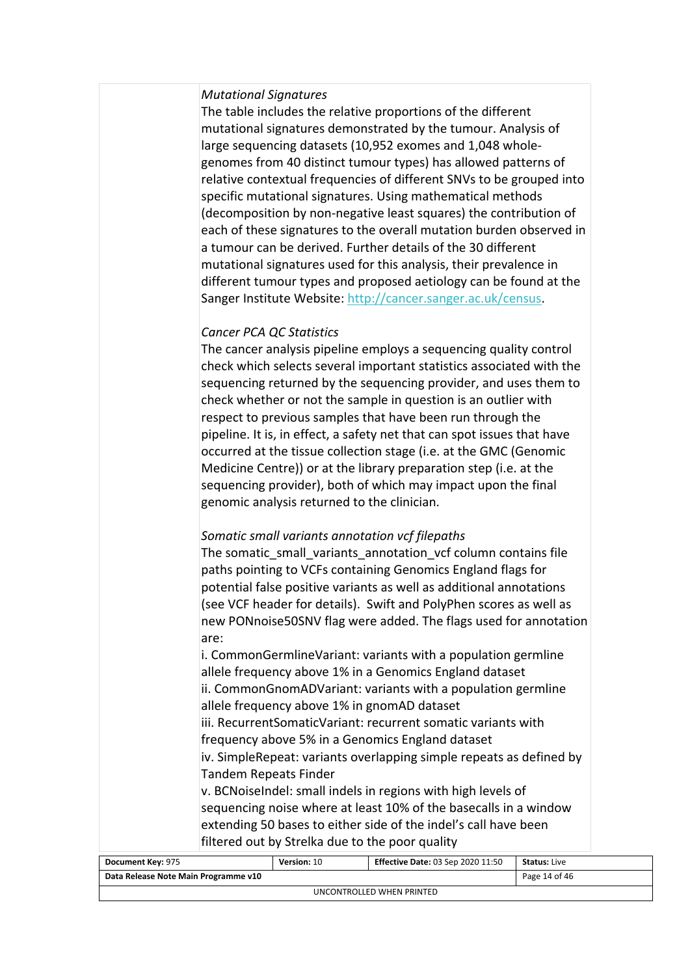#### *Mutational Signatures*

The table includes the relative proportions of the different mutational signatures demonstrated by the tumour. Analysis of large sequencing datasets (10,952 exomes and 1,048 wholegenomes from 40 distinct tumour types) has allowed patterns of relative contextual frequencies of different SNVs to be grouped into specific mutational signatures. Using mathematical methods (decomposition by non-negative least squares) the contribution of each of these signatures to the overall mutation burden observed in a tumour can be derived. Further details of the 30 different mutational signatures used for this analysis, their prevalence in different tumour types and proposed aetiology can be found at the Sanger Institute Website: <http://cancer.sanger.ac.uk/census>.

#### *Cancer PCA QC Statistics*

The cancer analysis pipeline employs a sequencing quality control check which selects several important statistics associated with the sequencing returned by the sequencing provider, and uses them to check whether or not the sample in question is an outlier with respect to previous samples that have been run through the pipeline. It is, in effect, a safety net that can spot issues that have occurred at the tissue collection stage (i.e. at the GMC (Genomic Medicine Centre)) or at the library preparation step (i.e. at the sequencing provider), both of which may impact upon the final genomic analysis returned to the clinician.

#### *Somatic small variants annotation vcf filepaths*

The somatic small variants annotation vcf column contains file paths pointing to VCFs containing Genomics England flags for potential false positive variants as well as additional annotations (see VCF header for details). Swift and PolyPhen scores as well as new PONnoise50SNV flag were added. The flags used for annotation are:

i. CommonGermlineVariant: variants with a population germline allele frequency above 1% in a Genomics England dataset ii. CommonGnomADVariant: variants with a population germline allele frequency above 1% in gnomAD dataset

iii. RecurrentSomaticVariant: recurrent somatic variants with frequency above 5% in a Genomics England dataset

iv. SimpleRepeat: variants overlapping simple repeats as defined by Tandem Repeats Finder

v. BCNoiseIndel: small indels in regions with high levels of sequencing noise where at least 10% of the basecalls in a window extending 50 bases to either side of the indel's call have been filtered out by Strelka due to the poor quality

| Document Key: 975                    | <b>Version: 10</b> | <b>Effective Date: 03 Sep 2020 11:50</b> | <b>Status:</b> Live |  |  |
|--------------------------------------|--------------------|------------------------------------------|---------------------|--|--|
| Data Release Note Main Programme v10 |                    |                                          | Page 14 of 46       |  |  |
| UNCONTROLLED WHEN PRINTED            |                    |                                          |                     |  |  |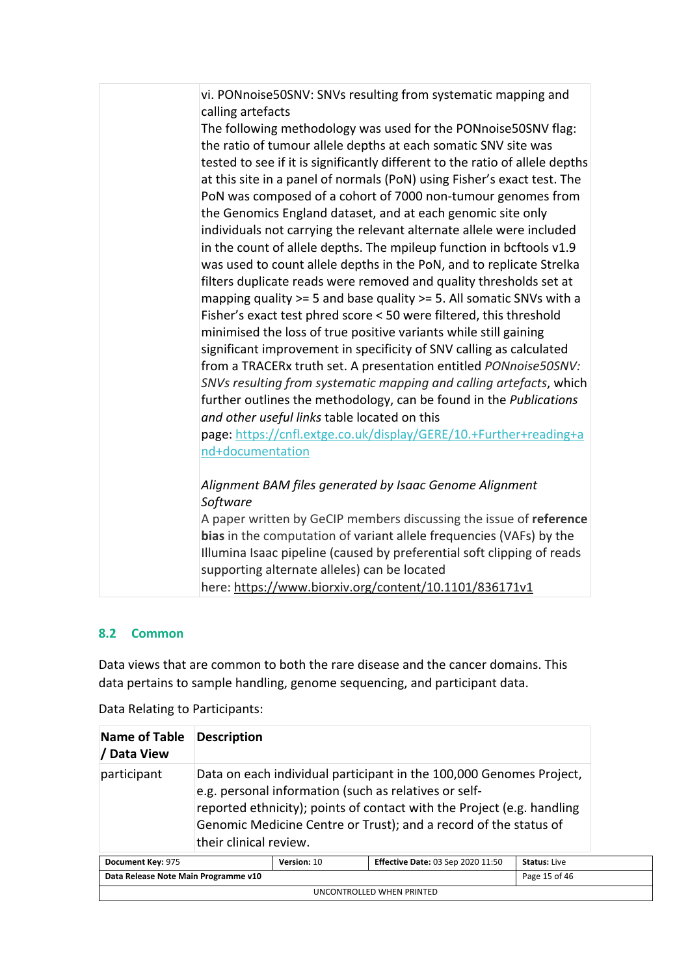| vi. PONnoise50SNV: SNVs resulting from systematic mapping and                |
|------------------------------------------------------------------------------|
| calling artefacts                                                            |
| The following methodology was used for the PONnoise50SNV flag:               |
| the ratio of tumour allele depths at each somatic SNV site was               |
| tested to see if it is significantly different to the ratio of allele depths |
| at this site in a panel of normals (PoN) using Fisher's exact test. The      |
| PoN was composed of a cohort of 7000 non-tumour genomes from                 |
| the Genomics England dataset, and at each genomic site only                  |
| individuals not carrying the relevant alternate allele were included         |
| in the count of allele depths. The mpileup function in bcftools v1.9         |
| was used to count allele depths in the PoN, and to replicate Strelka         |
| filters duplicate reads were removed and quality thresholds set at           |
| mapping quality $>= 5$ and base quality $>= 5$ . All somatic SNVs with a     |
| Fisher's exact test phred score < 50 were filtered, this threshold           |
| minimised the loss of true positive variants while still gaining             |
| significant improvement in specificity of SNV calling as calculated          |
| from a TRACERx truth set. A presentation entitled PONnoise50SNV:             |
| SNVs resulting from systematic mapping and calling artefacts, which          |
| further outlines the methodology, can be found in the Publications           |
| and other useful links table located on this                                 |
| page: https://cnfl.extge.co.uk/display/GERE/10.+Further+reading+a            |
| nd+documentation                                                             |
|                                                                              |
| Alignment BAM files generated by Isaac Genome Alignment                      |
| Software                                                                     |
| A paper written by GeCIP members discussing the issue of reference           |
| bias in the computation of variant allele frequencies (VAFs) by the          |
| Illumina Isaac pipeline (caused by preferential soft clipping of reads       |
| supporting alternate alleles) can be located                                 |
| here: https://www.biorxiv.org/content/10.1101/836171v1                       |

#### <span id="page-14-0"></span>**8.2 Common**

Data views that are common to both the rare disease and the cancer domains. This data pertains to sample handling, genome sequencing, and participant data.

| <b>Name of Table</b><br>/ Data View                                                                 | <b>Description</b>                                                                                                                                                                                                                                                                                   |  |  |
|-----------------------------------------------------------------------------------------------------|------------------------------------------------------------------------------------------------------------------------------------------------------------------------------------------------------------------------------------------------------------------------------------------------------|--|--|
| participant                                                                                         | Data on each individual participant in the 100,000 Genomes Project,<br>e.g. personal information (such as relatives or self-<br>reported ethnicity); points of contact with the Project (e.g. handling<br>Genomic Medicine Centre or Trust); and a record of the status of<br>their clinical review. |  |  |
| Version: 10<br><b>Effective Date: 03 Sep 2020 11:50</b><br><b>Status: Live</b><br>Document Key: 975 |                                                                                                                                                                                                                                                                                                      |  |  |
| Page 15 of 46<br>Data Release Note Main Programme v10                                               |                                                                                                                                                                                                                                                                                                      |  |  |
| UNCONTROLLED WHEN PRINTED                                                                           |                                                                                                                                                                                                                                                                                                      |  |  |

Data Relating to Participants: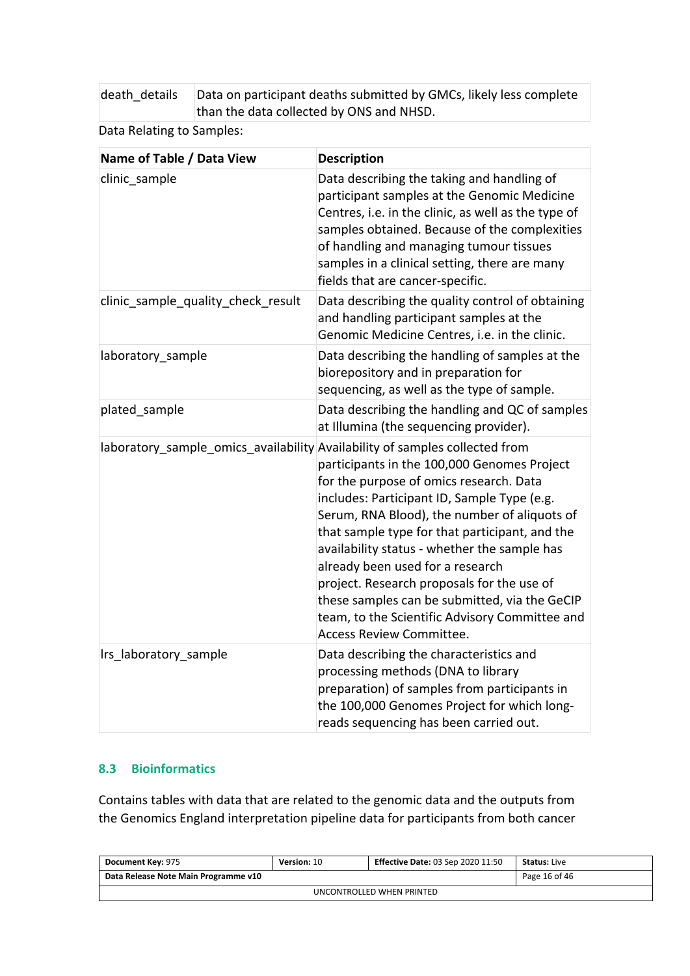death\_details Data on participant deaths submitted by GMCs, likely less complete than the data collected by ONS and NHSD.

Data Relating to Samples:

| Name of Table / Data View                                                   | <b>Description</b>                                                                                                                                                                                                                                                                                                                                                                                                                                                                                       |
|-----------------------------------------------------------------------------|----------------------------------------------------------------------------------------------------------------------------------------------------------------------------------------------------------------------------------------------------------------------------------------------------------------------------------------------------------------------------------------------------------------------------------------------------------------------------------------------------------|
| clinic sample                                                               | Data describing the taking and handling of<br>participant samples at the Genomic Medicine<br>Centres, i.e. in the clinic, as well as the type of<br>samples obtained. Because of the complexities<br>of handling and managing tumour tissues<br>samples in a clinical setting, there are many<br>fields that are cancer-specific.                                                                                                                                                                        |
| clinic sample quality check result                                          | Data describing the quality control of obtaining<br>and handling participant samples at the<br>Genomic Medicine Centres, i.e. in the clinic.                                                                                                                                                                                                                                                                                                                                                             |
| laboratory sample                                                           | Data describing the handling of samples at the<br>biorepository and in preparation for<br>sequencing, as well as the type of sample.                                                                                                                                                                                                                                                                                                                                                                     |
| plated sample                                                               | Data describing the handling and QC of samples<br>at Illumina (the sequencing provider).                                                                                                                                                                                                                                                                                                                                                                                                                 |
| laboratory_sample_omics_availability Availability of samples collected from | participants in the 100,000 Genomes Project<br>for the purpose of omics research. Data<br>includes: Participant ID, Sample Type (e.g.<br>Serum, RNA Blood), the number of aliquots of<br>that sample type for that participant, and the<br>availability status - whether the sample has<br>already been used for a research<br>project. Research proposals for the use of<br>these samples can be submitted, via the GeCIP<br>team, to the Scientific Advisory Committee and<br>Access Review Committee. |
| Irs laboratory sample                                                       | Data describing the characteristics and<br>processing methods (DNA to library<br>preparation) of samples from participants in<br>the 100,000 Genomes Project for which long-<br>reads sequencing has been carried out.                                                                                                                                                                                                                                                                                   |

#### <span id="page-15-0"></span>**8.3 Bioinformatics**

Contains tables with data that are related to the genomic data and the outputs from the Genomics England interpretation pipeline data for participants from both cancer

| Document Key: 975                    | Version: 10 | <b>Effective Date: 03 Sep 2020 11:50</b> | <b>Status: Live</b> |  |
|--------------------------------------|-------------|------------------------------------------|---------------------|--|
| Data Release Note Main Programme v10 |             |                                          | Page 16 of 46       |  |
| UNCONTROLLED WHEN PRINTED            |             |                                          |                     |  |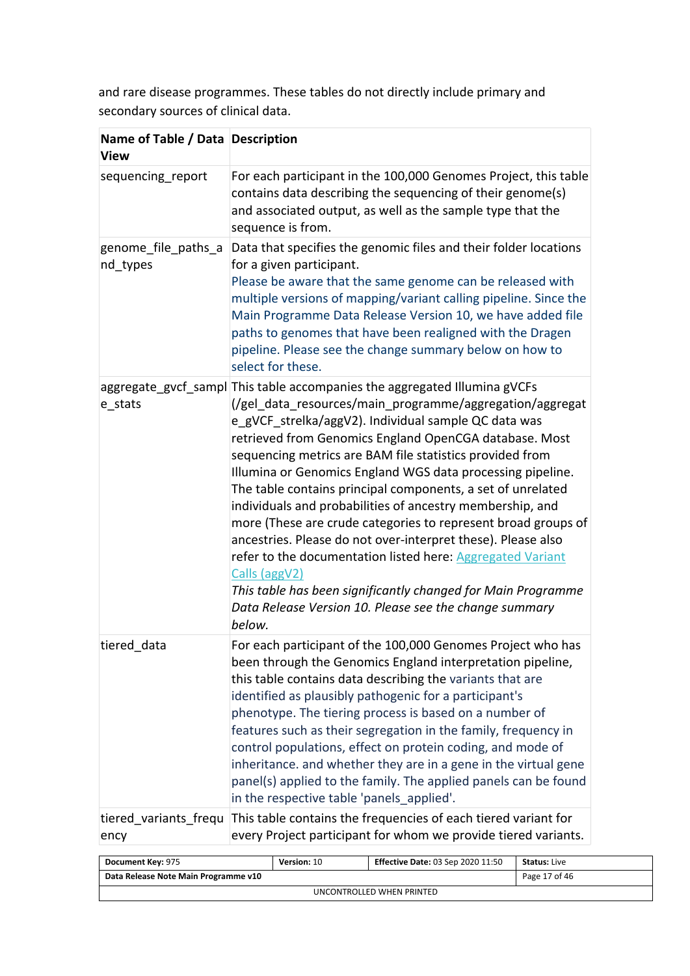and rare disease programmes. These tables do not directly include primary and secondary sources of clinical data.

| Name of Table / Data   Description<br><b>View</b> |                                                                                                                                                                                                                                                                                                                                                                                                                                                                                                                                                                                                                                                                                                                                                                                                                                                                   |
|---------------------------------------------------|-------------------------------------------------------------------------------------------------------------------------------------------------------------------------------------------------------------------------------------------------------------------------------------------------------------------------------------------------------------------------------------------------------------------------------------------------------------------------------------------------------------------------------------------------------------------------------------------------------------------------------------------------------------------------------------------------------------------------------------------------------------------------------------------------------------------------------------------------------------------|
| sequencing_report                                 | For each participant in the 100,000 Genomes Project, this table<br>contains data describing the sequencing of their genome(s)<br>and associated output, as well as the sample type that the<br>sequence is from.                                                                                                                                                                                                                                                                                                                                                                                                                                                                                                                                                                                                                                                  |
| genome file paths a<br>nd_types                   | Data that specifies the genomic files and their folder locations<br>for a given participant.<br>Please be aware that the same genome can be released with<br>multiple versions of mapping/variant calling pipeline. Since the<br>Main Programme Data Release Version 10, we have added file<br>paths to genomes that have been realigned with the Dragen<br>pipeline. Please see the change summary below on how to<br>select for these.                                                                                                                                                                                                                                                                                                                                                                                                                          |
| e stats                                           | aggregate_gvcf_sampl This table accompanies the aggregated Illumina gVCFs<br>(/gel data resources/main programme/aggregation/aggregat<br>e gVCF strelka/aggV2). Individual sample QC data was<br>retrieved from Genomics England OpenCGA database. Most<br>sequencing metrics are BAM file statistics provided from<br>Illumina or Genomics England WGS data processing pipeline.<br>The table contains principal components, a set of unrelated<br>individuals and probabilities of ancestry membership, and<br>more (These are crude categories to represent broad groups of<br>ancestries. Please do not over-interpret these). Please also<br>refer to the documentation listed here: Aggregated Variant<br>Calls (aggV2)<br>This table has been significantly changed for Main Programme<br>Data Release Version 10. Please see the change summary<br>below. |
| tiered data                                       | For each participant of the 100,000 Genomes Project who has<br>been through the Genomics England interpretation pipeline,<br>this table contains data describing the variants that are<br>identified as plausibly pathogenic for a participant's<br>phenotype. The tiering process is based on a number of<br>features such as their segregation in the family, frequency in<br>control populations, effect on protein coding, and mode of<br>inheritance. and whether they are in a gene in the virtual gene<br>panel(s) applied to the family. The applied panels can be found<br>in the respective table 'panels applied'.                                                                                                                                                                                                                                     |
| tiered variants frequ<br>ency                     | This table contains the frequencies of each tiered variant for<br>every Project participant for whom we provide tiered variants.                                                                                                                                                                                                                                                                                                                                                                                                                                                                                                                                                                                                                                                                                                                                  |

| <b>Document Key: 975</b>             | Version: 10 | <b>Effective Date: 03 Sep 2020 11:50</b> | <b>Status:</b> Live |  |
|--------------------------------------|-------------|------------------------------------------|---------------------|--|
| Data Release Note Main Programme v10 |             |                                          | Page 17 of 46       |  |
| UNCONTROLLED WHEN PRINTED            |             |                                          |                     |  |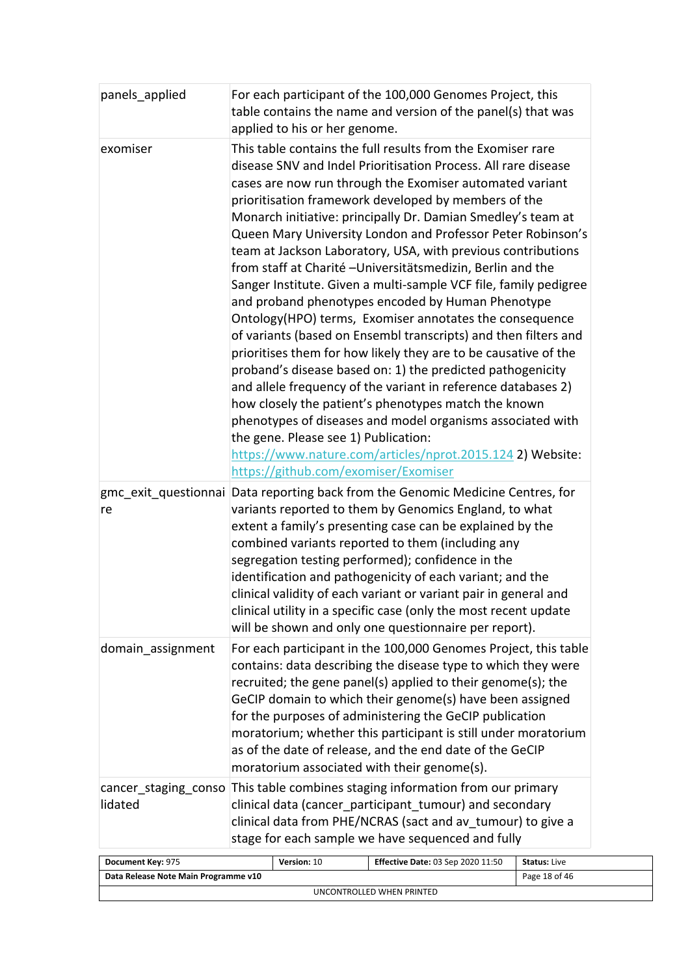| panels_applied                       | For each participant of the 100,000 Genomes Project, this<br>table contains the name and version of the panel(s) that was                                                                                                                                                                                                                                                                                                                                                                                                                                                                                                                                                                                                                                                                                                                                                                                                                                                                                                                                                                                                                                                                                                                                                     |                     |
|--------------------------------------|-------------------------------------------------------------------------------------------------------------------------------------------------------------------------------------------------------------------------------------------------------------------------------------------------------------------------------------------------------------------------------------------------------------------------------------------------------------------------------------------------------------------------------------------------------------------------------------------------------------------------------------------------------------------------------------------------------------------------------------------------------------------------------------------------------------------------------------------------------------------------------------------------------------------------------------------------------------------------------------------------------------------------------------------------------------------------------------------------------------------------------------------------------------------------------------------------------------------------------------------------------------------------------|---------------------|
| exomiser                             | applied to his or her genome.<br>This table contains the full results from the Exomiser rare<br>disease SNV and Indel Prioritisation Process. All rare disease<br>cases are now run through the Exomiser automated variant<br>prioritisation framework developed by members of the<br>Monarch initiative: principally Dr. Damian Smedley's team at<br>Queen Mary University London and Professor Peter Robinson's<br>team at Jackson Laboratory, USA, with previous contributions<br>from staff at Charité - Universitätsmedizin, Berlin and the<br>Sanger Institute. Given a multi-sample VCF file, family pedigree<br>and proband phenotypes encoded by Human Phenotype<br>Ontology(HPO) terms, Exomiser annotates the consequence<br>of variants (based on Ensembl transcripts) and then filters and<br>prioritises them for how likely they are to be causative of the<br>proband's disease based on: 1) the predicted pathogenicity<br>and allele frequency of the variant in reference databases 2)<br>how closely the patient's phenotypes match the known<br>phenotypes of diseases and model organisms associated with<br>the gene. Please see 1) Publication:<br>https://www.nature.com/articles/nprot.2015.124 2) Website:<br>https://github.com/exomiser/Exomiser |                     |
| re                                   | gmc exit questionnai Data reporting back from the Genomic Medicine Centres, for<br>variants reported to them by Genomics England, to what<br>extent a family's presenting case can be explained by the<br>combined variants reported to them (including any<br>segregation testing performed); confidence in the<br>identification and pathogenicity of each variant; and the<br>clinical validity of each variant or variant pair in general and<br>clinical utility in a specific case (only the most recent update<br>will be shown and only one questionnaire per report).<br>For each participant in the 100,000 Genomes Project, this table<br>contains: data describing the disease type to which they were<br>recruited; the gene panel(s) applied to their genome(s); the<br>GeCIP domain to which their genome(s) have been assigned<br>for the purposes of administering the GeCIP publication<br>moratorium; whether this participant is still under moratorium<br>as of the date of release, and the end date of the GeCIP<br>moratorium associated with their genome(s).                                                                                                                                                                                        |                     |
| domain assignment                    |                                                                                                                                                                                                                                                                                                                                                                                                                                                                                                                                                                                                                                                                                                                                                                                                                                                                                                                                                                                                                                                                                                                                                                                                                                                                               |                     |
| lidated                              | cancer staging conso This table combines staging information from our primary<br>clinical data (cancer participant tumour) and secondary<br>clinical data from PHE/NCRAS (sact and av tumour) to give a<br>stage for each sample we have sequenced and fully                                                                                                                                                                                                                                                                                                                                                                                                                                                                                                                                                                                                                                                                                                                                                                                                                                                                                                                                                                                                                  |                     |
| Document Key: 975                    | Version: 10<br>Effective Date: 03 Sep 2020 11:50                                                                                                                                                                                                                                                                                                                                                                                                                                                                                                                                                                                                                                                                                                                                                                                                                                                                                                                                                                                                                                                                                                                                                                                                                              | <b>Status: Live</b> |
| Data Release Note Main Programme v10 |                                                                                                                                                                                                                                                                                                                                                                                                                                                                                                                                                                                                                                                                                                                                                                                                                                                                                                                                                                                                                                                                                                                                                                                                                                                                               | Page 18 of 46       |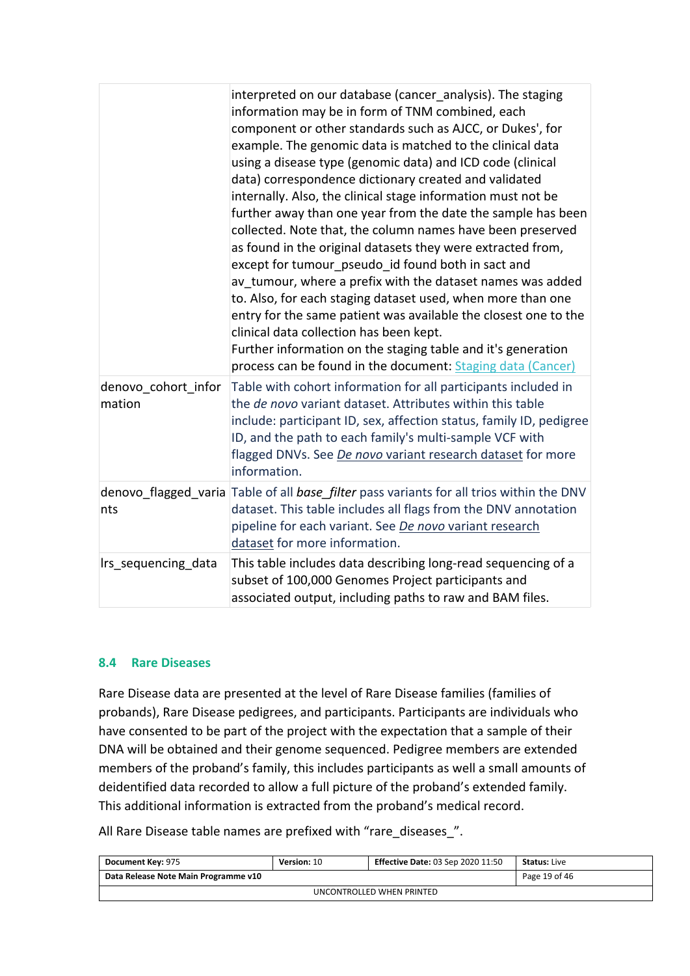|                               | interpreted on our database (cancer analysis). The staging<br>information may be in form of TNM combined, each<br>component or other standards such as AJCC, or Dukes', for<br>example. The genomic data is matched to the clinical data<br>using a disease type (genomic data) and ICD code (clinical<br>data) correspondence dictionary created and validated<br>internally. Also, the clinical stage information must not be<br>further away than one year from the date the sample has been<br>collected. Note that, the column names have been preserved<br>as found in the original datasets they were extracted from,<br>except for tumour_pseudo_id found both in sact and<br>av tumour, where a prefix with the dataset names was added<br>to. Also, for each staging dataset used, when more than one<br>entry for the same patient was available the closest one to the<br>clinical data collection has been kept.<br>Further information on the staging table and it's generation<br>process can be found in the document: Staging data (Cancer) |
|-------------------------------|--------------------------------------------------------------------------------------------------------------------------------------------------------------------------------------------------------------------------------------------------------------------------------------------------------------------------------------------------------------------------------------------------------------------------------------------------------------------------------------------------------------------------------------------------------------------------------------------------------------------------------------------------------------------------------------------------------------------------------------------------------------------------------------------------------------------------------------------------------------------------------------------------------------------------------------------------------------------------------------------------------------------------------------------------------------|
| denovo cohort infor<br>mation | Table with cohort information for all participants included in<br>the de novo variant dataset. Attributes within this table<br>include: participant ID, sex, affection status, family ID, pedigree<br>ID, and the path to each family's multi-sample VCF with<br>flagged DNVs. See <i>De novo</i> variant research dataset for more<br>information.                                                                                                                                                                                                                                                                                                                                                                                                                                                                                                                                                                                                                                                                                                          |
| nts                           | denovo flagged varia Table of all base filter pass variants for all trios within the DNV<br>dataset. This table includes all flags from the DNV annotation<br>pipeline for each variant. See De novo variant research<br>dataset for more information.                                                                                                                                                                                                                                                                                                                                                                                                                                                                                                                                                                                                                                                                                                                                                                                                       |
| Irs sequencing data           | This table includes data describing long-read sequencing of a<br>subset of 100,000 Genomes Project participants and<br>associated output, including paths to raw and BAM files.                                                                                                                                                                                                                                                                                                                                                                                                                                                                                                                                                                                                                                                                                                                                                                                                                                                                              |

#### <span id="page-18-0"></span>**8.4 Rare Diseases**

Rare Disease data are presented at the level of Rare Disease families (families of probands), Rare Disease pedigrees, and participants. Participants are individuals who have consented to be part of the project with the expectation that a sample of their DNA will be obtained and their genome sequenced. Pedigree members are extended members of the proband's family, this includes participants as well a small amounts of deidentified data recorded to allow a full picture of the proband's extended family. This additional information is extracted from the proband's medical record.

All Rare Disease table names are prefixed with "rare\_diseases\_".

| <b>Document Key: 975</b>             | Version: 10 | <b>Effective Date: 03 Sep 2020 11:50</b> | <b>Status:</b> Live |  |  |
|--------------------------------------|-------------|------------------------------------------|---------------------|--|--|
| Data Release Note Main Programme v10 |             | Page 19 of 46                            |                     |  |  |
| UNCONTROLLED WHEN PRINTED            |             |                                          |                     |  |  |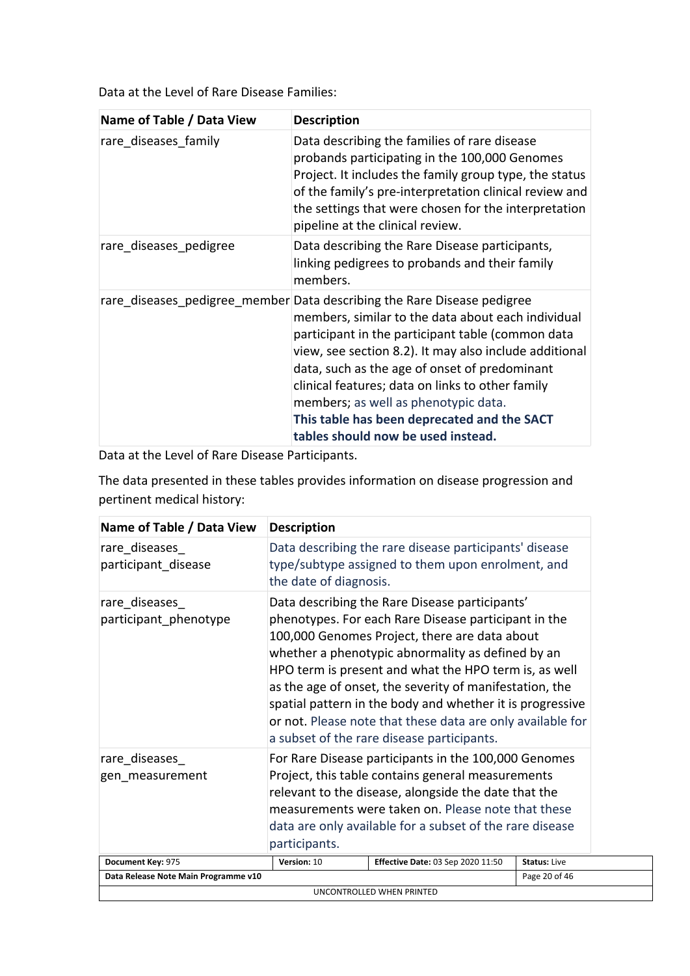Data at the Level of Rare Disease Families:

| Name of Table / Data View | <b>Description</b>                                                                                                                                                                                                                                                                                                                                                                                                                                                             |
|---------------------------|--------------------------------------------------------------------------------------------------------------------------------------------------------------------------------------------------------------------------------------------------------------------------------------------------------------------------------------------------------------------------------------------------------------------------------------------------------------------------------|
| rare diseases family      | Data describing the families of rare disease<br>probands participating in the 100,000 Genomes<br>Project. It includes the family group type, the status<br>of the family's pre-interpretation clinical review and<br>the settings that were chosen for the interpretation<br>pipeline at the clinical review.                                                                                                                                                                  |
| rare diseases pedigree    | Data describing the Rare Disease participants,<br>linking pedigrees to probands and their family<br>members.                                                                                                                                                                                                                                                                                                                                                                   |
|                           | rare diseases pedigree member Data describing the Rare Disease pedigree<br>members, similar to the data about each individual<br>participant in the participant table (common data<br>view, see section 8.2). It may also include additional<br>data, such as the age of onset of predominant<br>clinical features; data on links to other family<br>members; as well as phenotypic data.<br>This table has been deprecated and the SACT<br>tables should now be used instead. |

Data at the Level of Rare Disease Participants.

The data presented in these tables provides information on disease progression and pertinent medical history:

| Name of Table / Data View              | <b>Description</b>     |                                                                                                                                                                                                                                                                                                                                                                                                                                                                                                           |                     |
|----------------------------------------|------------------------|-----------------------------------------------------------------------------------------------------------------------------------------------------------------------------------------------------------------------------------------------------------------------------------------------------------------------------------------------------------------------------------------------------------------------------------------------------------------------------------------------------------|---------------------|
| rare diseases<br>participant disease   | the date of diagnosis. | Data describing the rare disease participants' disease<br>type/subtype assigned to them upon enrolment, and                                                                                                                                                                                                                                                                                                                                                                                               |                     |
| rare diseases<br>participant phenotype |                        | Data describing the Rare Disease participants'<br>phenotypes. For each Rare Disease participant in the<br>100,000 Genomes Project, there are data about<br>whether a phenotypic abnormality as defined by an<br>HPO term is present and what the HPO term is, as well<br>as the age of onset, the severity of manifestation, the<br>spatial pattern in the body and whether it is progressive<br>or not. Please note that these data are only available for<br>a subset of the rare disease participants. |                     |
|                                        |                        |                                                                                                                                                                                                                                                                                                                                                                                                                                                                                                           |                     |
| rare diseases<br>gen measurement       | participants.          | For Rare Disease participants in the 100,000 Genomes<br>Project, this table contains general measurements<br>relevant to the disease, alongside the date that the<br>measurements were taken on. Please note that these<br>data are only available for a subset of the rare disease                                                                                                                                                                                                                       |                     |
| Document Key: 975                      | Version: 10            | <b>Effective Date: 03 Sep 2020 11:50</b>                                                                                                                                                                                                                                                                                                                                                                                                                                                                  | <b>Status: Live</b> |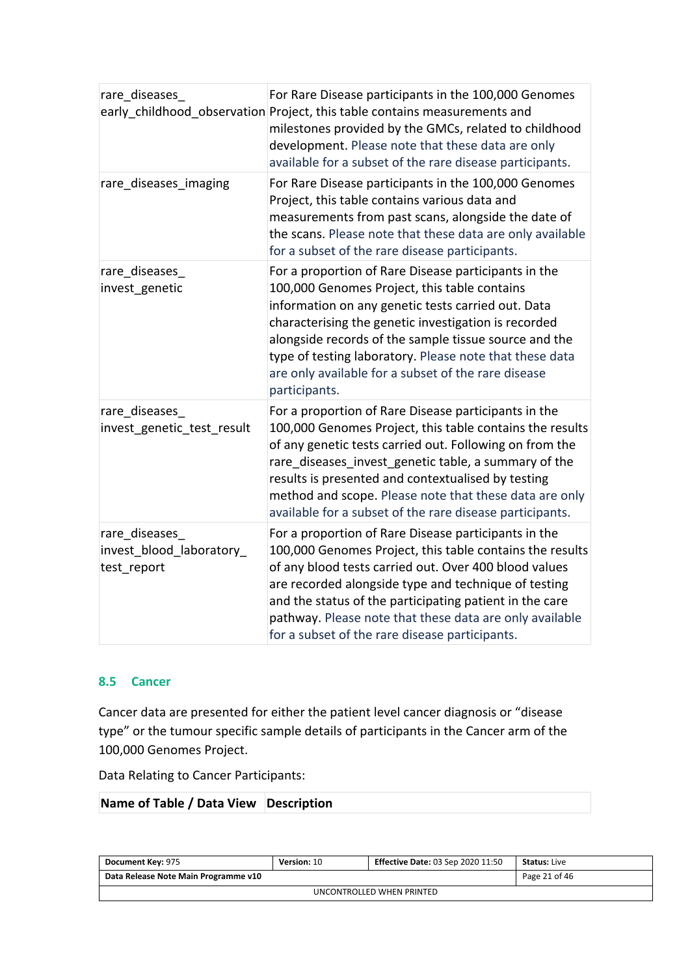| rare_diseases                                             | For Rare Disease participants in the 100,000 Genomes<br>early_childhood_observation Project, this table contains measurements and<br>milestones provided by the GMCs, related to childhood<br>development. Please note that these data are only<br>available for a subset of the rare disease participants.                                                                                                     |
|-----------------------------------------------------------|-----------------------------------------------------------------------------------------------------------------------------------------------------------------------------------------------------------------------------------------------------------------------------------------------------------------------------------------------------------------------------------------------------------------|
| rare diseases imaging                                     | For Rare Disease participants in the 100,000 Genomes<br>Project, this table contains various data and<br>measurements from past scans, alongside the date of<br>the scans. Please note that these data are only available<br>for a subset of the rare disease participants.                                                                                                                                     |
| rare_diseases_<br>invest genetic                          | For a proportion of Rare Disease participants in the<br>100,000 Genomes Project, this table contains<br>information on any genetic tests carried out. Data<br>characterising the genetic investigation is recorded<br>alongside records of the sample tissue source and the<br>type of testing laboratory. Please note that these data<br>are only available for a subset of the rare disease<br>participants.  |
| rare diseases<br>invest genetic test result               | For a proportion of Rare Disease participants in the<br>100,000 Genomes Project, this table contains the results<br>of any genetic tests carried out. Following on from the<br>rare diseases invest genetic table, a summary of the<br>results is presented and contextualised by testing<br>method and scope. Please note that these data are only<br>available for a subset of the rare disease participants. |
| rare_diseases_<br>invest_blood_laboratory_<br>test_report | For a proportion of Rare Disease participants in the<br>100,000 Genomes Project, this table contains the results<br>of any blood tests carried out. Over 400 blood values<br>are recorded alongside type and technique of testing<br>and the status of the participating patient in the care<br>pathway. Please note that these data are only available<br>for a subset of the rare disease participants.       |

#### <span id="page-20-0"></span>**8.5 Cancer**

Cancer data are presented for either the patient level cancer diagnosis or "disease type" or the tumour specific sample details of participants in the Cancer arm of the 100,000 Genomes Project.

Data Relating to Cancer Participants:

| Name of Table / Data View Description |  |
|---------------------------------------|--|
|                                       |  |

| Document Key: 975                    | <b>Version: 10</b> | <b>Effective Date: 03 Sep 2020 11:50</b> | <b>Status:</b> Live |  |
|--------------------------------------|--------------------|------------------------------------------|---------------------|--|
| Data Release Note Main Programme v10 |                    | Page 21 of 46                            |                     |  |
| UNCONTROLLED WHEN PRINTED            |                    |                                          |                     |  |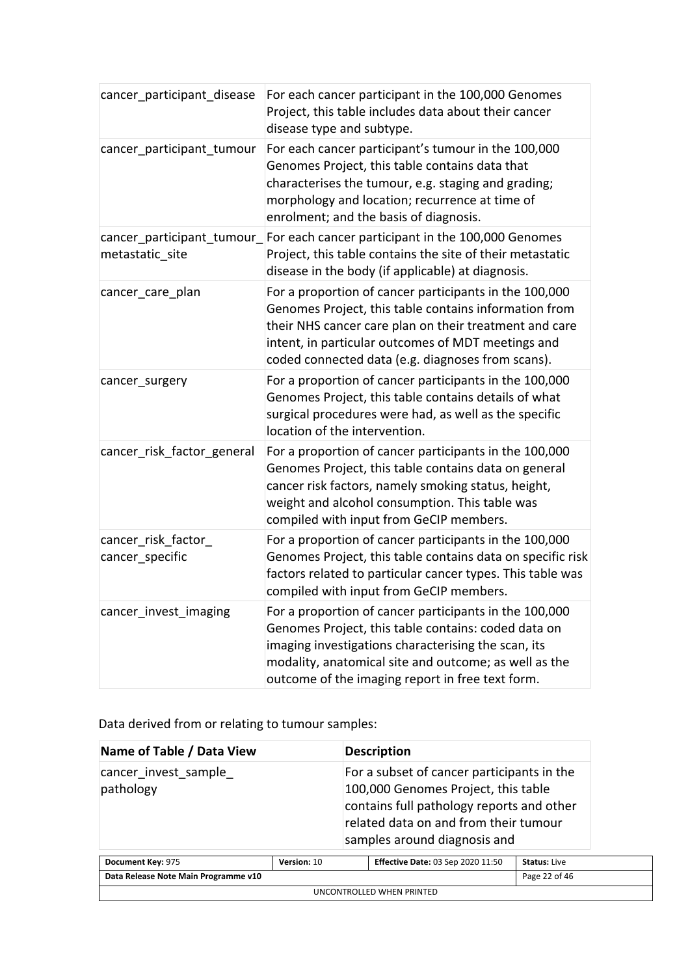| cancer participant disease                    | For each cancer participant in the 100,000 Genomes<br>Project, this table includes data about their cancer<br>disease type and subtype.                                                                                                                                              |
|-----------------------------------------------|--------------------------------------------------------------------------------------------------------------------------------------------------------------------------------------------------------------------------------------------------------------------------------------|
| cancer_participant_tumour                     | For each cancer participant's tumour in the 100,000<br>Genomes Project, this table contains data that<br>characterises the tumour, e.g. staging and grading;<br>morphology and location; recurrence at time of<br>enrolment; and the basis of diagnosis.                             |
| cancer_participant_tumour_<br>metastatic_site | For each cancer participant in the 100,000 Genomes<br>Project, this table contains the site of their metastatic<br>disease in the body (if applicable) at diagnosis.                                                                                                                 |
| cancer_care_plan                              | For a proportion of cancer participants in the 100,000<br>Genomes Project, this table contains information from<br>their NHS cancer care plan on their treatment and care<br>intent, in particular outcomes of MDT meetings and<br>coded connected data (e.g. diagnoses from scans). |
| cancer_surgery                                | For a proportion of cancer participants in the 100,000<br>Genomes Project, this table contains details of what<br>surgical procedures were had, as well as the specific<br>location of the intervention.                                                                             |
| cancer_risk_factor_general                    | For a proportion of cancer participants in the 100,000<br>Genomes Project, this table contains data on general<br>cancer risk factors, namely smoking status, height,<br>weight and alcohol consumption. This table was<br>compiled with input from GeCIP members.                   |
| cancer_risk_factor_<br>cancer_specific        | For a proportion of cancer participants in the 100,000<br>Genomes Project, this table contains data on specific risk<br>factors related to particular cancer types. This table was<br>compiled with input from GeCIP members.                                                        |
| cancer_invest_imaging                         | For a proportion of cancer participants in the 100,000<br>Genomes Project, this table contains: coded data on<br>imaging investigations characterising the scan, its<br>modality, anatomical site and outcome; as well as the<br>outcome of the imaging report in free text form.    |

Data derived from or relating to tumour samples:

| Name of Table / Data View            |             | <b>Description</b>                                                                                                                                                                                      |                     |
|--------------------------------------|-------------|---------------------------------------------------------------------------------------------------------------------------------------------------------------------------------------------------------|---------------------|
| cancer invest sample<br>pathology    |             | For a subset of cancer participants in the<br>100,000 Genomes Project, this table<br>contains full pathology reports and other<br>related data on and from their tumour<br>samples around diagnosis and |                     |
| Document Key: 975                    | Version: 10 | <b>Effective Date: 03 Sep 2020 11:50</b>                                                                                                                                                                | <b>Status: Live</b> |
| Data Release Note Main Programme v10 |             |                                                                                                                                                                                                         | Page 22 of 46       |

UNCONTROLLED WHEN PRINTED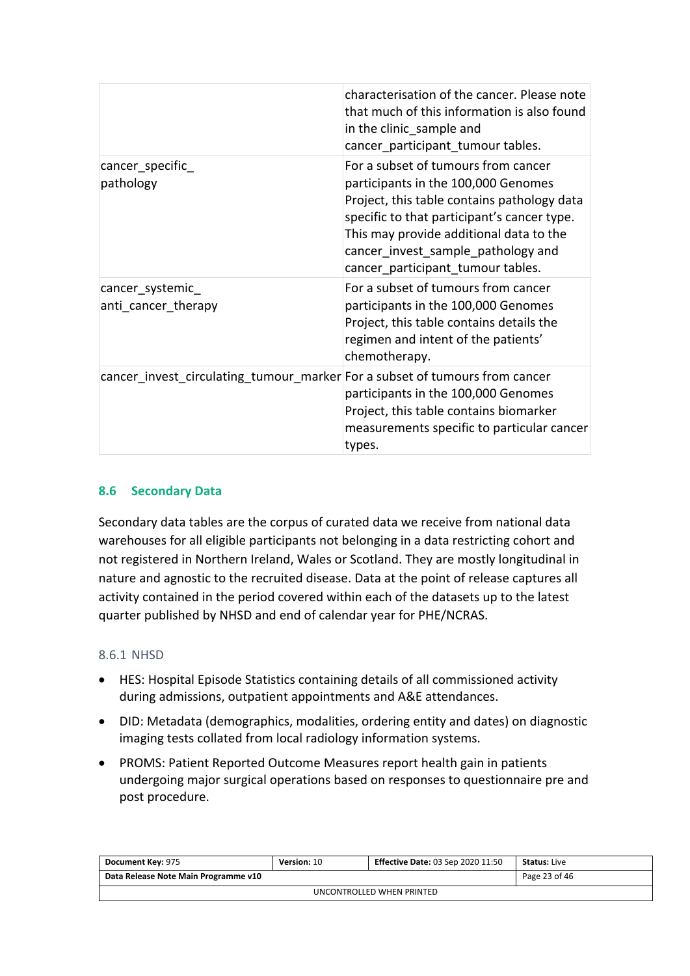|                                                                             | characterisation of the cancer. Please note<br>that much of this information is also found<br>in the clinic sample and<br>cancer_participant_tumour tables.                                                                                                                                    |
|-----------------------------------------------------------------------------|------------------------------------------------------------------------------------------------------------------------------------------------------------------------------------------------------------------------------------------------------------------------------------------------|
| cancer specific<br>pathology                                                | For a subset of tumours from cancer<br>participants in the 100,000 Genomes<br>Project, this table contains pathology data<br>specific to that participant's cancer type.<br>This may provide additional data to the<br>cancer invest sample pathology and<br>cancer participant tumour tables. |
| cancer_systemic_<br>anti cancer therapy                                     | For a subset of tumours from cancer<br>participants in the 100,000 Genomes<br>Project, this table contains details the<br>regimen and intent of the patients'<br>chemotherapy.                                                                                                                 |
| cancer_invest_circulating_tumour_marker For a subset of tumours from cancer | participants in the 100,000 Genomes<br>Project, this table contains biomarker<br>measurements specific to particular cancer<br>types.                                                                                                                                                          |

#### <span id="page-22-0"></span>**8.6 Secondary Data**

Secondary data tables are the corpus of curated data we receive from national data warehouses for all eligible participants not belonging in a data restricting cohort and not registered in Northern Ireland, Wales or Scotland. They are mostly longitudinal in nature and agnostic to the recruited disease. Data at the point of release captures all activity contained in the period covered within each of the datasets up to the latest quarter published by NHSD and end of calendar year for PHE/NCRAS.

#### <span id="page-22-1"></span>8.6.1 NHSD

- HES: Hospital Episode Statistics containing details of all commissioned activity during admissions, outpatient appointments and A&E attendances.
- DID: Metadata (demographics, modalities, ordering entity and dates) on diagnostic imaging tests collated from local radiology information systems.
- PROMS: Patient Reported Outcome Measures report health gain in patients undergoing major surgical operations based on responses to questionnaire pre and post procedure.

| Document Key: 975                    | <b>Version: 10</b> | <b>Effective Date: 03 Sep 2020 11:50</b> | <b>Status:</b> Live |  |
|--------------------------------------|--------------------|------------------------------------------|---------------------|--|
| Data Release Note Main Programme v10 |                    | Page 23 of 46                            |                     |  |
| UNCONTROLLED WHEN PRINTED            |                    |                                          |                     |  |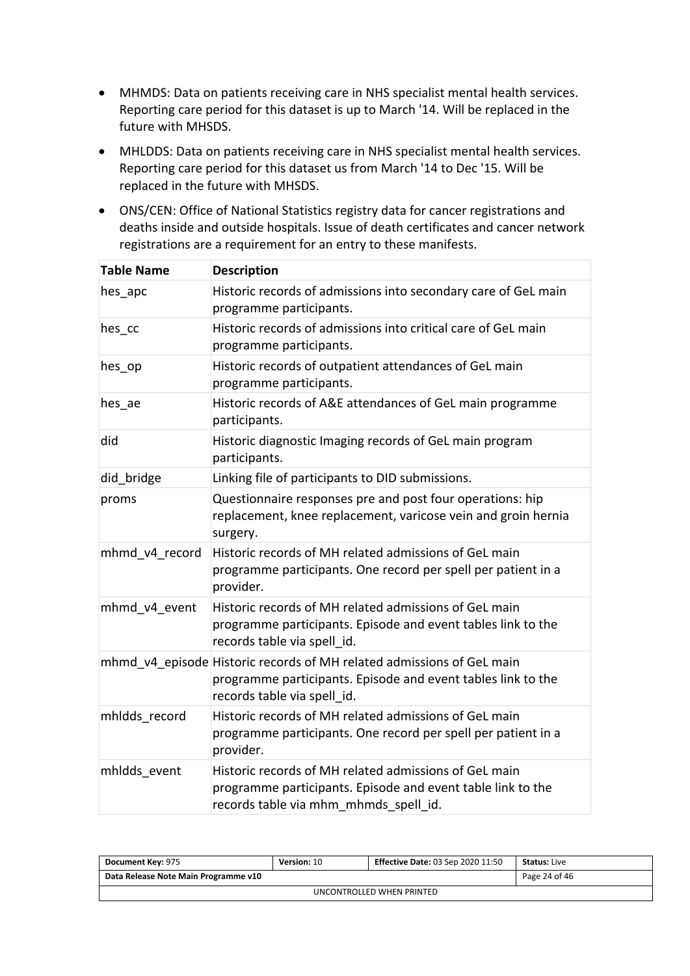- MHMDS: Data on patients receiving care in NHS specialist mental health services. Reporting care period for this dataset is up to March '14. Will be replaced in the future with MHSDS.
- MHLDDS: Data on patients receiving care in NHS specialist mental health services. Reporting care period for this dataset us from March '14 to Dec '15. Will be replaced in the future with MHSDS.
- ONS/CEN: Office of National Statistics registry data for cancer registrations and deaths inside and outside hospitals. Issue of death certificates and cancer network registrations are a requirement for an entry to these manifests.

| <b>Table Name</b> | <b>Description</b>                                                                                                                                                   |
|-------------------|----------------------------------------------------------------------------------------------------------------------------------------------------------------------|
| hes apc           | Historic records of admissions into secondary care of GeL main<br>programme participants.                                                                            |
| hes_cc            | Historic records of admissions into critical care of GeL main<br>programme participants.                                                                             |
| hes op            | Historic records of outpatient attendances of GeL main<br>programme participants.                                                                                    |
| hes_ae            | Historic records of A&E attendances of GeL main programme<br>participants.                                                                                           |
| did               | Historic diagnostic Imaging records of GeL main program<br>participants.                                                                                             |
| did bridge        | Linking file of participants to DID submissions.                                                                                                                     |
| proms             | Questionnaire responses pre and post four operations: hip<br>replacement, knee replacement, varicose vein and groin hernia<br>surgery.                               |
| mhmd v4 record    | Historic records of MH related admissions of GeL main<br>programme participants. One record per spell per patient in a<br>provider.                                  |
| mhmd v4 event     | Historic records of MH related admissions of GeL main<br>programme participants. Episode and event tables link to the<br>records table via spell id.                 |
|                   | mhmd v4 episode Historic records of MH related admissions of GeL main<br>programme participants. Episode and event tables link to the<br>records table via spell id. |
| mhldds record     | Historic records of MH related admissions of GeL main<br>programme participants. One record per spell per patient in a<br>provider.                                  |
| mhldds event      | Historic records of MH related admissions of GeL main<br>programme participants. Episode and event table link to the<br>records table via mhm mhmds spell id.        |

| <b>Document Key: 975</b>             | <b>Version: 10</b> | <b>Effective Date: 03 Sep 2020 11:50</b> | <b>Status:</b> Live |  |  |
|--------------------------------------|--------------------|------------------------------------------|---------------------|--|--|
| Data Release Note Main Programme v10 |                    | Page 24 of 46                            |                     |  |  |
| UNCONTROLLED WHEN PRINTED            |                    |                                          |                     |  |  |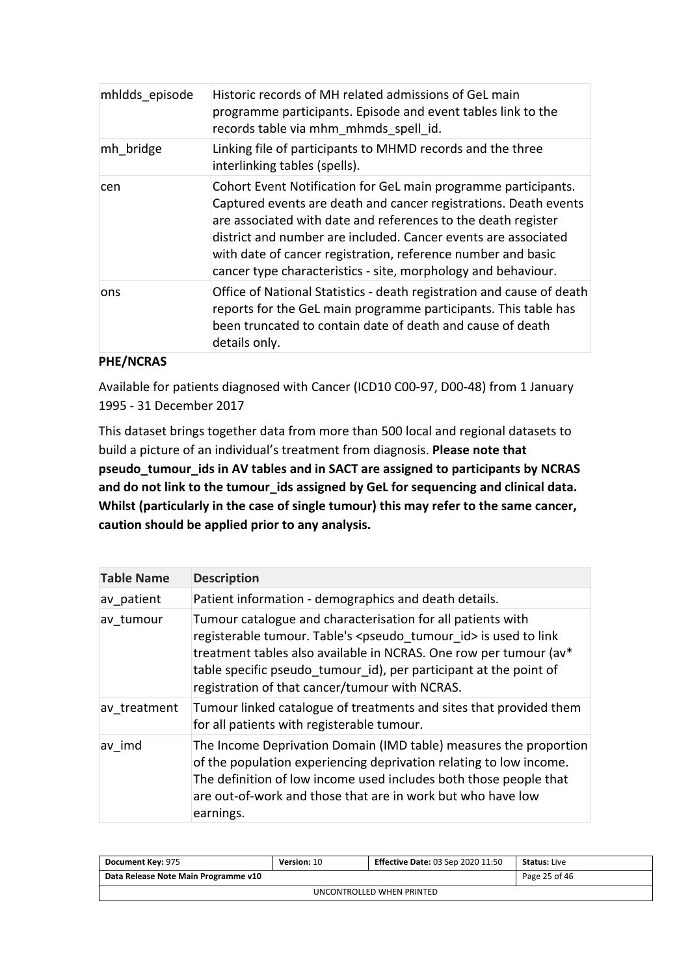| mhldds episode | Historic records of MH related admissions of GeL main<br>programme participants. Episode and event tables link to the<br>records table via mhm mhmds spell id.                                                                                                                                                                                                                                         |
|----------------|--------------------------------------------------------------------------------------------------------------------------------------------------------------------------------------------------------------------------------------------------------------------------------------------------------------------------------------------------------------------------------------------------------|
| mh bridge      | Linking file of participants to MHMD records and the three<br>interlinking tables (spells).                                                                                                                                                                                                                                                                                                            |
| cen            | Cohort Event Notification for GeL main programme participants.<br>Captured events are death and cancer registrations. Death events<br>are associated with date and references to the death register<br>district and number are included. Cancer events are associated<br>with date of cancer registration, reference number and basic<br>cancer type characteristics - site, morphology and behaviour. |
| ons            | Office of National Statistics - death registration and cause of death<br>reports for the GeL main programme participants. This table has<br>been truncated to contain date of death and cause of death<br>details only.                                                                                                                                                                                |

#### **PHE/NCRAS**

Available for patients diagnosed with Cancer (ICD10 C00-97, D00-48) from 1 January 1995 - 31 December 2017

This dataset brings together data from more than 500 local and regional datasets to build a picture of an individual's treatment from diagnosis. **Please note that pseudo\_tumour\_ids in AV tables and in SACT are assigned to participants by NCRAS and do not link to the tumour\_ids assigned by GeL for sequencing and clinical data. Whilst (particularly in the case of single tumour) this may refer to the same cancer, caution should be applied prior to any analysis.**

| <b>Table Name</b> | <b>Description</b>                                                                                                                                                                                                                                                                                                                           |
|-------------------|----------------------------------------------------------------------------------------------------------------------------------------------------------------------------------------------------------------------------------------------------------------------------------------------------------------------------------------------|
| av patient        | Patient information - demographics and death details.                                                                                                                                                                                                                                                                                        |
| av tumour         | Tumour catalogue and characterisation for all patients with<br>registerable tumour. Table's <pseudo id="" tumour=""> is used to link<br/>treatment tables also available in NCRAS. One row per tumour (av*<br/>table specific pseudo tumour id), per participant at the point of<br/>registration of that cancer/tumour with NCRAS.</pseudo> |
| av treatment      | Tumour linked catalogue of treatments and sites that provided them<br>for all patients with registerable tumour.                                                                                                                                                                                                                             |
| av imd            | The Income Deprivation Domain (IMD table) measures the proportion<br>of the population experiencing deprivation relating to low income.<br>The definition of low income used includes both those people that<br>are out-of-work and those that are in work but who have low<br>earnings.                                                     |

| Document Key: 975                    | <b>Version: 10</b> | <b>Effective Date: 03 Sep 2020 11:50</b> | <b>Status: Live</b> |  |  |
|--------------------------------------|--------------------|------------------------------------------|---------------------|--|--|
| Data Release Note Main Programme v10 |                    |                                          | Page 25 of 46       |  |  |
| UNCONTROLLED WHEN PRINTED            |                    |                                          |                     |  |  |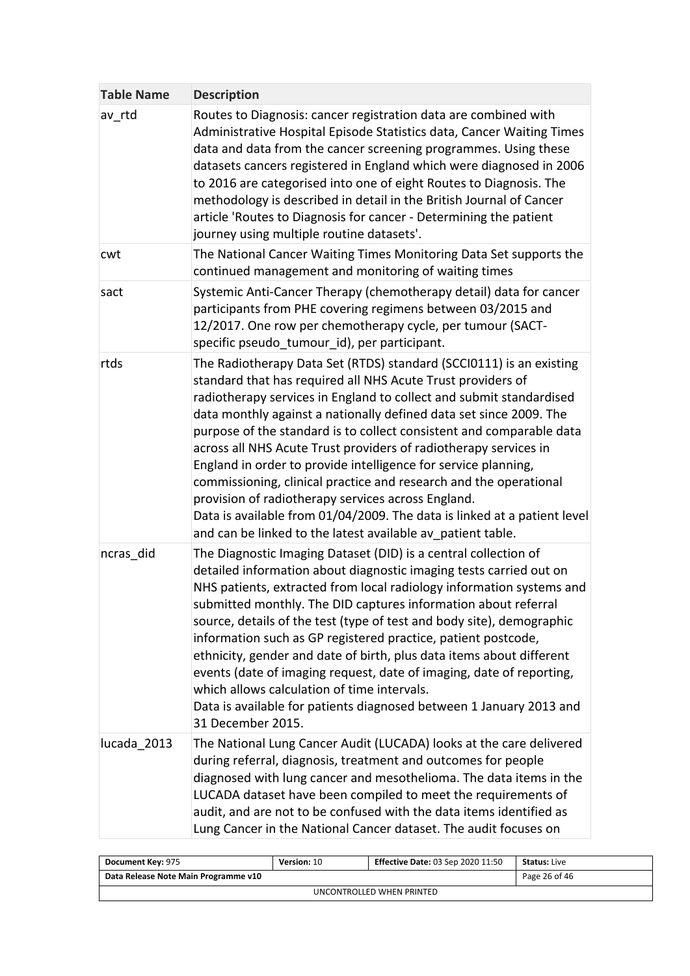| <b>Table Name</b> | <b>Description</b>                                                                                                                                                                                                                                                                                                                                                                                                                                                                                                                                                                                                                                                                                                                                                  |
|-------------------|---------------------------------------------------------------------------------------------------------------------------------------------------------------------------------------------------------------------------------------------------------------------------------------------------------------------------------------------------------------------------------------------------------------------------------------------------------------------------------------------------------------------------------------------------------------------------------------------------------------------------------------------------------------------------------------------------------------------------------------------------------------------|
| av rtd            | Routes to Diagnosis: cancer registration data are combined with<br>Administrative Hospital Episode Statistics data, Cancer Waiting Times<br>data and data from the cancer screening programmes. Using these<br>datasets cancers registered in England which were diagnosed in 2006<br>to 2016 are categorised into one of eight Routes to Diagnosis. The<br>methodology is described in detail in the British Journal of Cancer<br>article 'Routes to Diagnosis for cancer - Determining the patient<br>journey using multiple routine datasets'.                                                                                                                                                                                                                   |
| cwt               | The National Cancer Waiting Times Monitoring Data Set supports the<br>continued management and monitoring of waiting times                                                                                                                                                                                                                                                                                                                                                                                                                                                                                                                                                                                                                                          |
| sact              | Systemic Anti-Cancer Therapy (chemotherapy detail) data for cancer<br>participants from PHE covering regimens between 03/2015 and<br>12/2017. One row per chemotherapy cycle, per tumour (SACT-<br>specific pseudo tumour id), per participant.                                                                                                                                                                                                                                                                                                                                                                                                                                                                                                                     |
| rtds              | The Radiotherapy Data Set (RTDS) standard (SCCI0111) is an existing<br>standard that has required all NHS Acute Trust providers of<br>radiotherapy services in England to collect and submit standardised<br>data monthly against a nationally defined data set since 2009. The<br>purpose of the standard is to collect consistent and comparable data<br>across all NHS Acute Trust providers of radiotherapy services in<br>England in order to provide intelligence for service planning,<br>commissioning, clinical practice and research and the operational<br>provision of radiotherapy services across England.<br>Data is available from 01/04/2009. The data is linked at a patient level<br>and can be linked to the latest available av patient table. |
| ncras did         | The Diagnostic Imaging Dataset (DID) is a central collection of<br>detailed information about diagnostic imaging tests carried out on<br>NHS patients, extracted from local radiology information systems and<br>submitted monthly. The DID captures information about referral<br>source, details of the test (type of test and body site), demographic<br>information such as GP registered practice, patient postcode,<br>ethnicity, gender and date of birth, plus data items about different<br>events (date of imaging request, date of imaging, date of reporting,<br>which allows calculation of time intervals.<br>Data is available for patients diagnosed between 1 January 2013 and<br>31 December 2015.                                                |
| lucada 2013       | The National Lung Cancer Audit (LUCADA) looks at the care delivered<br>during referral, diagnosis, treatment and outcomes for people<br>diagnosed with lung cancer and mesothelioma. The data items in the<br>LUCADA dataset have been compiled to meet the requirements of<br>audit, and are not to be confused with the data items identified as<br>Lung Cancer in the National Cancer dataset. The audit focuses on                                                                                                                                                                                                                                                                                                                                              |

| <b>Document Key: 975</b>             | <b>Version: 10</b> | <b>Effective Date: 03 Sep 2020 11:50</b> | <b>Status:</b> Live |  |  |
|--------------------------------------|--------------------|------------------------------------------|---------------------|--|--|
| Data Release Note Main Programme v10 |                    |                                          | Page 26 of 46       |  |  |
| UNCONTROLLED WHEN PRINTED            |                    |                                          |                     |  |  |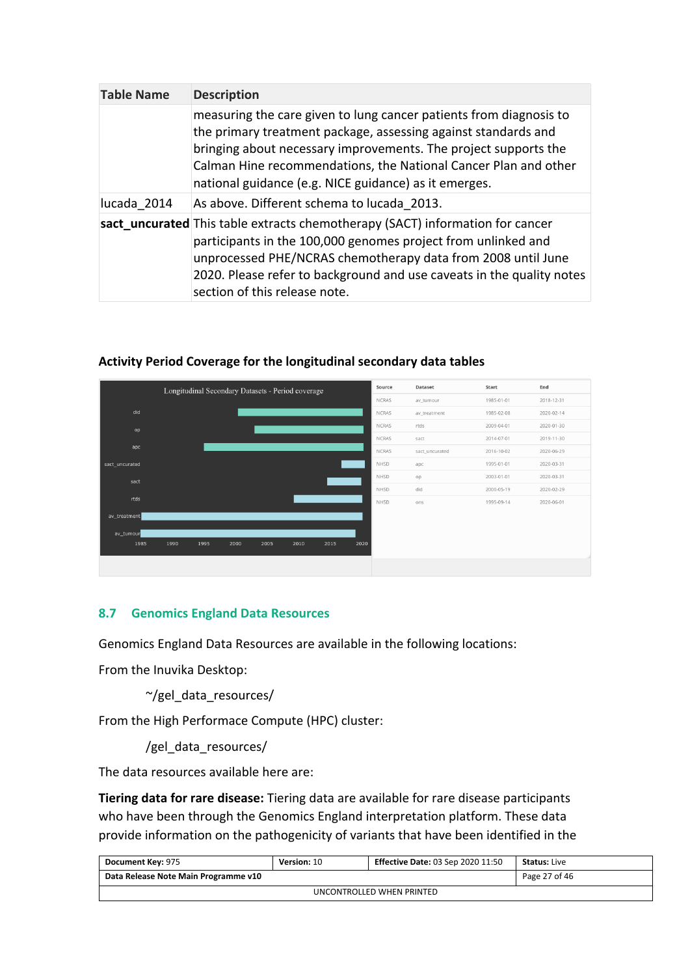| <b>Table Name</b> | <b>Description</b>                                                                                                                                                                                                                                                                                                                  |
|-------------------|-------------------------------------------------------------------------------------------------------------------------------------------------------------------------------------------------------------------------------------------------------------------------------------------------------------------------------------|
|                   | measuring the care given to lung cancer patients from diagnosis to<br>the primary treatment package, assessing against standards and<br>bringing about necessary improvements. The project supports the<br>Calman Hine recommendations, the National Cancer Plan and other<br>national guidance (e.g. NICE guidance) as it emerges. |
| lucada 2014       | As above. Different schema to lucada 2013.                                                                                                                                                                                                                                                                                          |
|                   | sact_uncurated This table extracts chemotherapy (SACT) information for cancer<br>participants in the 100,000 genomes project from unlinked and<br>unprocessed PHE/NCRAS chemotherapy data from 2008 until June<br>2020. Please refer to background and use caveats in the quality notes<br>section of this release note.            |

|                | Longitudinal Secondary Datasets - Period coverage |      |      |      |      |      | Source       | Dataset        | Start      | End        |
|----------------|---------------------------------------------------|------|------|------|------|------|--------------|----------------|------------|------------|
|                |                                                   |      |      |      |      |      | NCRAS        | av_tumour      | 1985-01-01 | 2018-12-31 |
| did            |                                                   |      |      |      |      |      | <b>NCRAS</b> | av_treatment   | 1985-02-08 | 2020-02-14 |
| op             |                                                   |      |      |      |      |      | NCRAS        | rtds           | 2009-04-01 | 2020-01-30 |
|                |                                                   |      |      |      |      |      | NCRAS        | sact           | 2014-07-01 | 2019-11-30 |
| apc            |                                                   |      |      |      |      |      | NCRAS        | sact_uncurated | 2016-10-02 | 2020-06-29 |
| sact_uncurated |                                                   |      |      |      |      |      | NHSD         | apc            | 1995-01-01 | 2020-03-31 |
| sact           |                                                   |      |      |      |      |      | NHSD         | op             | 2003-01-01 | 2020-03-31 |
|                |                                                   |      |      |      |      |      | NHSD         | did            | 2000-05-19 | 2020-02-29 |
| rtds           |                                                   |      |      |      |      |      | NHSD         | ons            | 1995-09-14 | 2020-06-01 |
| av_treatment   |                                                   |      |      |      |      |      |              |                |            |            |
| av_tumour      |                                                   |      |      |      |      |      |              |                |            |            |
| 1985           | 1990<br>1995                                      | 2000 | 2005 | 2010 | 2015 | 2020 |              |                |            |            |
|                |                                                   |      |      |      |      |      |              |                |            |            |
|                |                                                   |      |      |      |      |      |              |                |            |            |

#### **Activity Period Coverage for the longitudinal secondary data tables**

#### <span id="page-26-0"></span>**8.7 Genomics England Data Resources**

Genomics England Data Resources are available in the following locations:

From the Inuvika Desktop:

~/gel\_data\_resources/

From the High Performace Compute (HPC) cluster:

/gel\_data\_resources/

The data resources available here are:

**Tiering data for rare disease:** Tiering data are available for rare disease participants who have been through the Genomics England interpretation platform. These data provide information on the pathogenicity of variants that have been identified in the

| <b>Document Key: 975</b>             | Version: 10 | <b>Effective Date: 03 Sep 2020 11:50</b> | <b>Status:</b> Live |  |  |
|--------------------------------------|-------------|------------------------------------------|---------------------|--|--|
| Data Release Note Main Programme v10 |             | Page 27 of 46                            |                     |  |  |
| UNCONTROLLED WHEN PRINTED            |             |                                          |                     |  |  |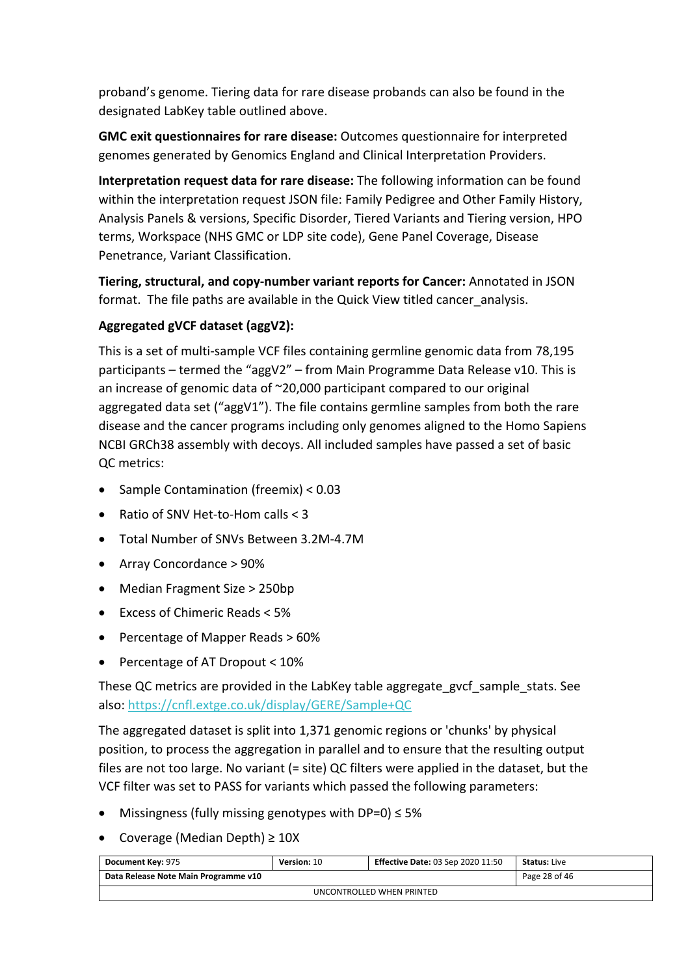proband's genome. Tiering data for rare disease probands can also be found in the designated LabKey table outlined above.

**GMC exit questionnaires for rare disease:** Outcomes questionnaire for interpreted genomes generated by Genomics England and Clinical Interpretation Providers.

**Interpretation request data for rare disease:** The following information can be found within the interpretation request JSON file: Family Pedigree and Other Family History, Analysis Panels & versions, Specific Disorder, Tiered Variants and Tiering version, HPO terms, Workspace (NHS GMC or LDP site code), Gene Panel Coverage, Disease Penetrance, Variant Classification.

**Tiering, structural, and copy-number variant reports for Cancer:** Annotated in JSON format. The file paths are available in the Quick View titled cancer analysis.

#### **Aggregated gVCF dataset (aggV2):**

This is a set of multi-sample VCF files containing germline genomic data from 78,195 participants – termed the "aggV2" – from Main Programme Data Release v10. This is an increase of genomic data of ~20,000 participant compared to our original aggregated data set ("aggV1"). The file contains germline samples from both the rare disease and the cancer programs including only genomes aligned to the Homo Sapiens NCBI GRCh38 assembly with decoys. All included samples have passed a set of basic QC metrics:

- Sample Contamination (freemix) < 0.03
- Ratio of SNV Het-to-Hom calls  $<$  3
- Total Number of SNVs Between 3.2M-4.7M
- Array Concordance > 90%
- Median Fragment Size > 250bp
- Excess of Chimeric Reads < 5%
- Percentage of Mapper Reads > 60%
- Percentage of AT Dropout  $< 10\%$

These QC metrics are provided in the LabKey table aggregate gvcf sample stats. See also:<https://cnfl.extge.co.uk/display/GERE/Sample+QC>

The aggregated dataset is split into 1,371 genomic regions or 'chunks' by physical position, to process the aggregation in parallel and to ensure that the resulting output files are not too large. No variant (= site) QC filters were applied in the dataset, but the VCF filter was set to PASS for variants which passed the following parameters:

- Missingness (fully missing genotypes with DP=0) ≤ 5%
- Coverage (Median Depth) ≥ 10X

| Document Key: 975                    | <b>Version: 10</b> | <b>Effective Date: 03 Sep 2020 11:50</b> | <b>Status:</b> Live |  |
|--------------------------------------|--------------------|------------------------------------------|---------------------|--|
| Data Release Note Main Programme v10 |                    |                                          | Page 28 of 46       |  |
| UNCONTROLLED WHEN PRINTED            |                    |                                          |                     |  |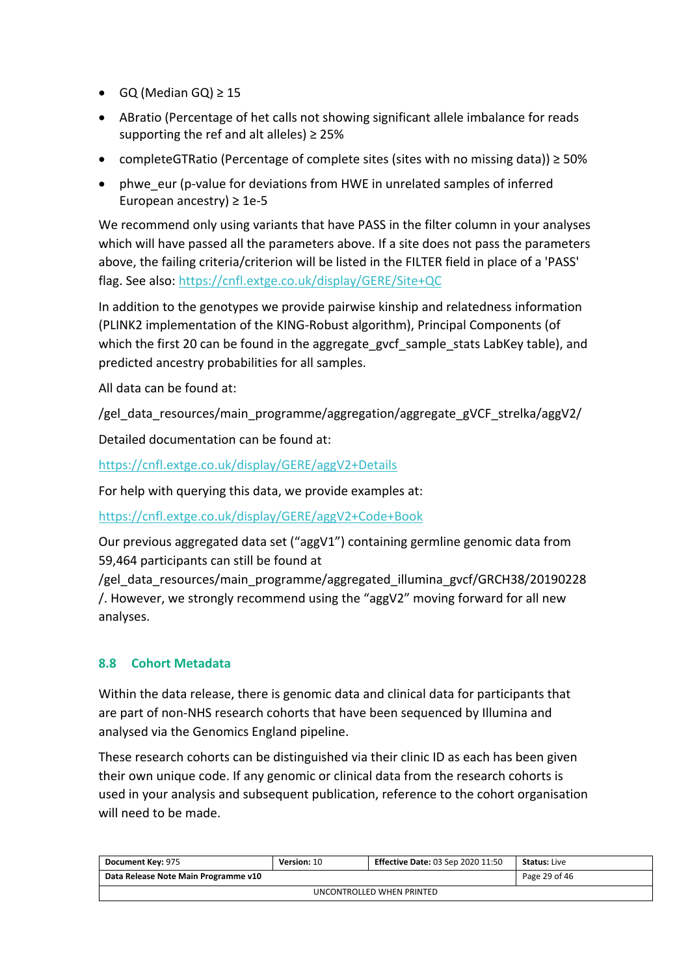- $\bullet$  GQ (Median GQ)  $\geq$  15
- ABratio (Percentage of het calls not showing significant allele imbalance for reads supporting the ref and alt alleles)  $\geq$  25%
- completeGTRatio (Percentage of complete sites (sites with no missing data)) ≥ 50%
- phwe eur (p-value for deviations from HWE in unrelated samples of inferred European ancestry)  $\geq 1e-5$

We recommend only using variants that have PASS in the filter column in your analyses which will have passed all the parameters above. If a site does not pass the parameters above, the failing criteria/criterion will be listed in the FILTER field in place of a 'PASS' flag. See also:<https://cnfl.extge.co.uk/display/GERE/Site+QC>

In addition to the genotypes we provide pairwise kinship and relatedness information (PLINK2 implementation of the KING-Robust algorithm), Principal Components (of which the first 20 can be found in the aggregate gvcf sample stats LabKey table), and predicted ancestry probabilities for all samples.

All data can be found at:

/gel\_data\_resources/main\_programme/aggregation/aggregate\_gVCF\_strelka/aggV2/

Detailed documentation can be found at:

<https://cnfl.extge.co.uk/display/GERE/aggV2+Details>

For help with querying this data, we provide examples at:

<https://cnfl.extge.co.uk/display/GERE/aggV2+Code+Book>

Our previous aggregated data set ("aggV1") containing germline genomic data from 59,464 participants can still be found at

/gel data resources/main programme/aggregated illumina gvcf/GRCH38/20190228 /. However, we strongly recommend using the "aggV2" moving forward for all new analyses.

#### <span id="page-28-0"></span>**8.8 Cohort Metadata**

Within the data release, there is genomic data and clinical data for participants that are part of non-NHS research cohorts that have been sequenced by Illumina and analysed via the Genomics England pipeline.

These research cohorts can be distinguished via their clinic ID as each has been given their own unique code. If any genomic or clinical data from the research cohorts is used in your analysis and subsequent publication, reference to the cohort organisation will need to be made.

| Document Key: 975                    | Version: 10 | <b>Effective Date: 03 Sep 2020 11:50</b> | <b>Status: Live</b> |  |  |
|--------------------------------------|-------------|------------------------------------------|---------------------|--|--|
| Data Release Note Main Programme v10 |             |                                          | Page 29 of 46       |  |  |
| UNCONTROLLED WHEN PRINTED            |             |                                          |                     |  |  |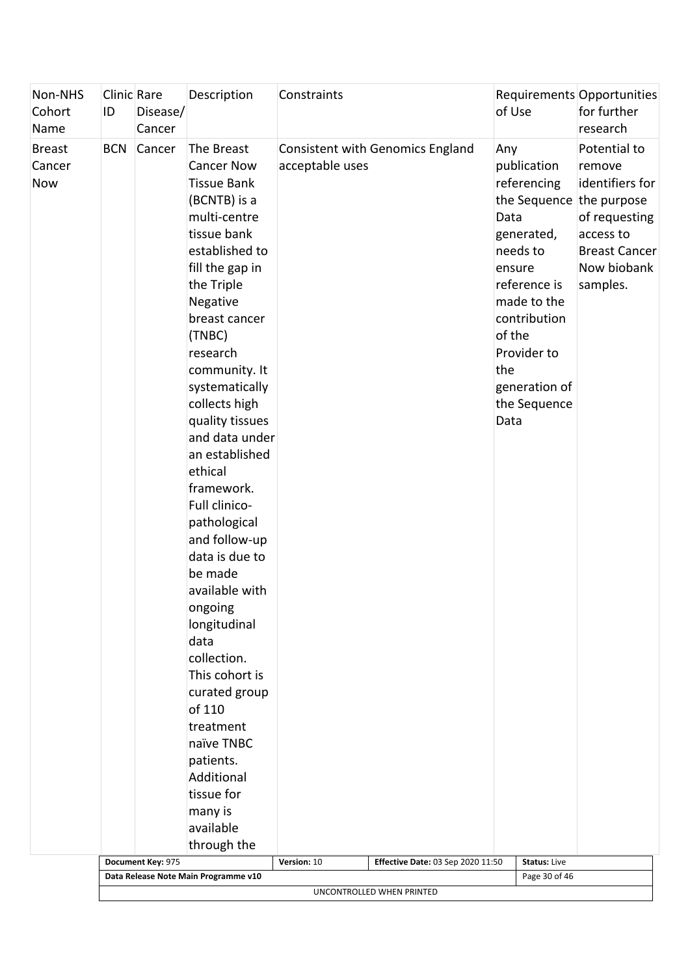| Non-NHS<br>Cohort<br>Name             | Clinic Rare<br>ID | Disease/<br>Cancer          | Description                                                                                                                                                                                                                                                                                                                                                                                                                                                                                                                                                                                                                                               | Constraints                                                                                                           | of Use                                                                                                                                                                                                                                                   | Requirements Opportunities<br>for further<br>research                                                                      |
|---------------------------------------|-------------------|-----------------------------|-----------------------------------------------------------------------------------------------------------------------------------------------------------------------------------------------------------------------------------------------------------------------------------------------------------------------------------------------------------------------------------------------------------------------------------------------------------------------------------------------------------------------------------------------------------------------------------------------------------------------------------------------------------|-----------------------------------------------------------------------------------------------------------------------|----------------------------------------------------------------------------------------------------------------------------------------------------------------------------------------------------------------------------------------------------------|----------------------------------------------------------------------------------------------------------------------------|
| <b>Breast</b><br>Cancer<br><b>Now</b> | <b>BCN</b>        | Cancer<br>Document Key: 975 | The Breast<br><b>Cancer Now</b><br><b>Tissue Bank</b><br>(BCNTB) is a<br>multi-centre<br>tissue bank<br>established to<br>fill the gap in<br>the Triple<br>Negative<br>breast cancer<br>(TNBC)<br>research<br>community. It<br>systematically<br>collects high<br>quality tissues<br>and data under<br>an established<br>ethical<br>framework.<br>Full clinico-<br>pathological<br>and follow-up<br>data is due to<br>be made<br>available with<br>ongoing<br>longitudinal<br>data<br>collection.<br>This cohort is<br>curated group<br>of 110<br>treatment<br>naïve TNBC<br>patients.<br>Additional<br>tissue for<br>many is<br>available<br>through the | <b>Consistent with Genomics England</b><br>acceptable uses<br><b>Effective Date: 03 Sep 2020 11:50</b><br>Version: 10 | Any<br>publication<br>referencing<br>the Sequence the purpose<br>Data<br>generated,<br>needs to<br>ensure<br>reference is<br>made to the<br>contribution<br>of the<br>Provider to<br>the<br>generation of<br>the Sequence<br>Data<br><b>Status: Live</b> | Potential to<br>remove<br>identifiers for<br>of requesting<br>access to<br><b>Breast Cancer</b><br>Now biobank<br>samples. |
|                                       |                   |                             | Data Release Note Main Programme v10                                                                                                                                                                                                                                                                                                                                                                                                                                                                                                                                                                                                                      |                                                                                                                       | Page 30 of 46                                                                                                                                                                                                                                            |                                                                                                                            |
|                                       |                   |                             |                                                                                                                                                                                                                                                                                                                                                                                                                                                                                                                                                                                                                                                           | UNCONTROLLED WHEN PRINTED                                                                                             |                                                                                                                                                                                                                                                          |                                                                                                                            |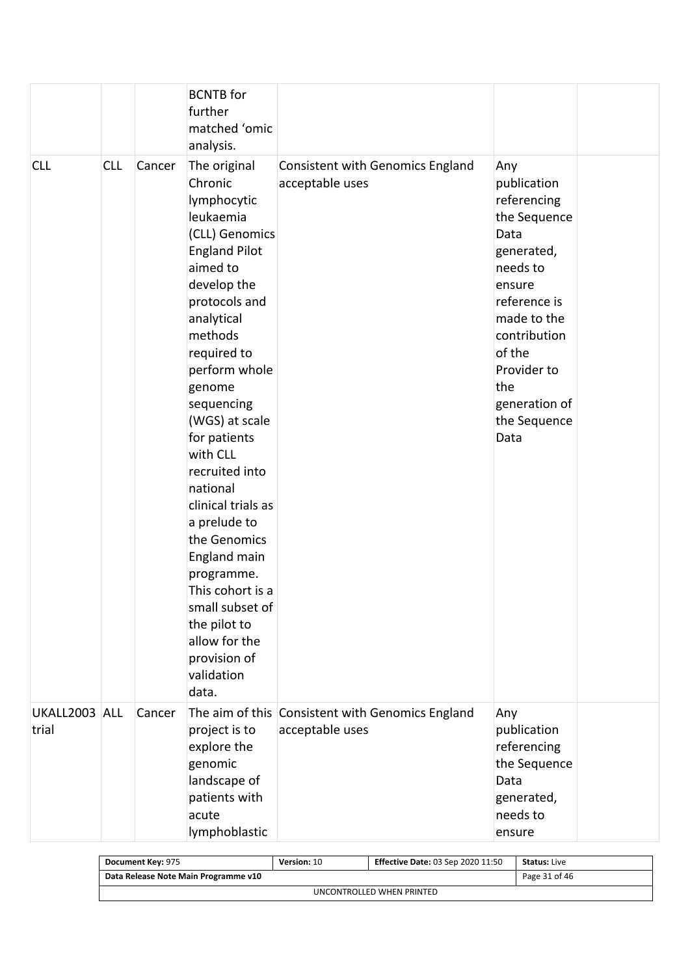|                        |            |        | <b>BCNTB</b> for<br>further<br>matched 'omic<br>analysis.                                                                                                                                                                                                                                                                                                                                                                                                                                                 |                                                                     |                                                                                                                                                                                                                       |  |
|------------------------|------------|--------|-----------------------------------------------------------------------------------------------------------------------------------------------------------------------------------------------------------------------------------------------------------------------------------------------------------------------------------------------------------------------------------------------------------------------------------------------------------------------------------------------------------|---------------------------------------------------------------------|-----------------------------------------------------------------------------------------------------------------------------------------------------------------------------------------------------------------------|--|
| <b>CLL</b>             | <b>CLL</b> | Cancer | The original<br>Chronic<br>lymphocytic<br>leukaemia<br>(CLL) Genomics<br><b>England Pilot</b><br>aimed to<br>develop the<br>protocols and<br>analytical<br>methods<br>required to<br>perform whole<br>genome<br>sequencing<br>(WGS) at scale<br>for patients<br>with CLL<br>recruited into<br>national<br>clinical trials as<br>a prelude to<br>the Genomics<br>England main<br>programme.<br>This cohort is a<br>small subset of<br>the pilot to<br>allow for the<br>provision of<br>validation<br>data. | <b>Consistent with Genomics England</b><br>acceptable uses          | Any<br>publication<br>referencing<br>the Sequence<br>Data<br>generated,<br>needs to<br>ensure<br>reference is<br>made to the<br>contribution<br>of the<br>Provider to<br>the<br>generation of<br>the Sequence<br>Data |  |
| UKALL2003 ALL<br>trial |            | Cancer | project is to<br>explore the<br>genomic<br>landscape of<br>patients with<br>acute<br>lymphoblastic                                                                                                                                                                                                                                                                                                                                                                                                        | The aim of this Consistent with Genomics England<br>acceptable uses | Any<br>publication<br>referencing<br>the Sequence<br>Data<br>generated,<br>needs to<br>ensure                                                                                                                         |  |

| Document Key: 975                    | <b>Version: 10</b> | <b>Effective Date: 03 Sep 2020 11:50</b> | <b>Status:</b> Live |  |  |  |
|--------------------------------------|--------------------|------------------------------------------|---------------------|--|--|--|
| Data Release Note Main Programme v10 | Page 31 of 46      |                                          |                     |  |  |  |
| UNCONTROLLED WHEN PRINTED            |                    |                                          |                     |  |  |  |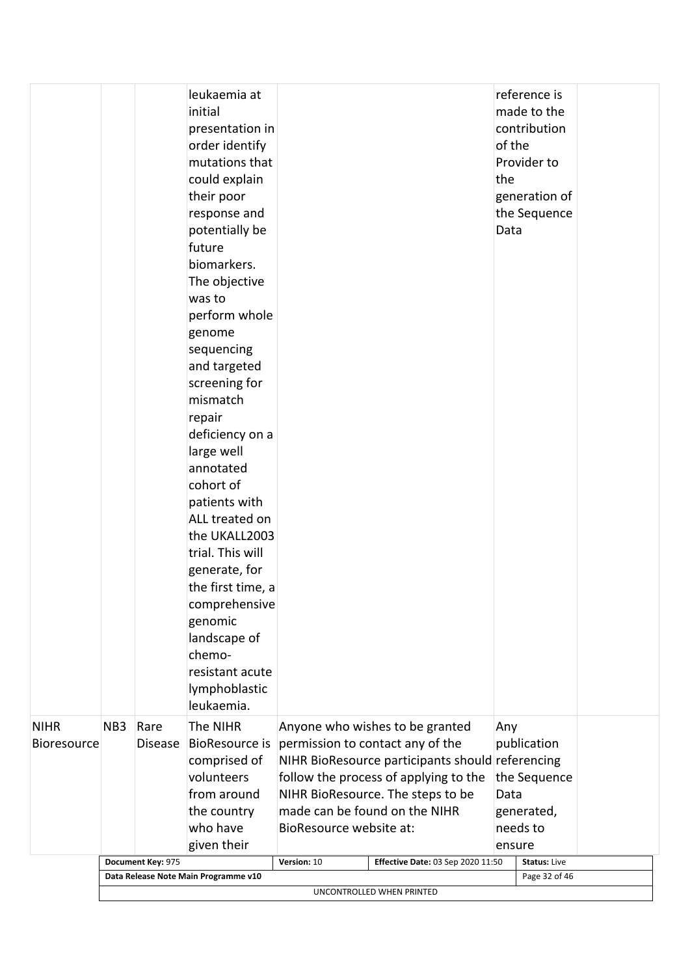|                    |                                                                   |                   | leukaemia at<br>initial   |                                                  | reference is<br>made to the          |  |
|--------------------|-------------------------------------------------------------------|-------------------|---------------------------|--------------------------------------------------|--------------------------------------|--|
|                    |                                                                   |                   | presentation in           |                                                  | contribution                         |  |
|                    |                                                                   |                   | order identify            |                                                  | of the                               |  |
|                    |                                                                   |                   | mutations that            |                                                  | Provider to                          |  |
|                    |                                                                   |                   | could explain             |                                                  | the                                  |  |
|                    |                                                                   |                   | their poor                |                                                  | generation of                        |  |
|                    |                                                                   |                   | response and              |                                                  | the Sequence                         |  |
|                    |                                                                   |                   | potentially be            |                                                  | Data                                 |  |
|                    |                                                                   |                   | future                    |                                                  |                                      |  |
|                    |                                                                   |                   | biomarkers.               |                                                  |                                      |  |
|                    |                                                                   |                   | The objective             |                                                  |                                      |  |
|                    |                                                                   |                   | was to                    |                                                  |                                      |  |
|                    |                                                                   |                   | perform whole             |                                                  |                                      |  |
|                    |                                                                   |                   | genome                    |                                                  |                                      |  |
|                    |                                                                   |                   | sequencing                |                                                  |                                      |  |
|                    |                                                                   |                   | and targeted              |                                                  |                                      |  |
|                    |                                                                   |                   | screening for             |                                                  |                                      |  |
|                    |                                                                   |                   | mismatch                  |                                                  |                                      |  |
|                    |                                                                   |                   | repair<br>deficiency on a |                                                  |                                      |  |
|                    |                                                                   |                   | large well                |                                                  |                                      |  |
|                    |                                                                   |                   | annotated                 |                                                  |                                      |  |
|                    |                                                                   |                   | cohort of                 |                                                  |                                      |  |
|                    |                                                                   |                   | patients with             |                                                  |                                      |  |
|                    |                                                                   |                   | ALL treated on            |                                                  |                                      |  |
|                    |                                                                   |                   | the UKALL2003             |                                                  |                                      |  |
|                    |                                                                   |                   | trial. This will          |                                                  |                                      |  |
|                    |                                                                   |                   | generate, for             |                                                  |                                      |  |
|                    |                                                                   |                   | the first time, a         |                                                  |                                      |  |
|                    |                                                                   |                   | comprehensive             |                                                  |                                      |  |
|                    |                                                                   |                   | genomic                   |                                                  |                                      |  |
|                    |                                                                   |                   | landscape of              |                                                  |                                      |  |
|                    |                                                                   |                   | chemo-                    |                                                  |                                      |  |
|                    |                                                                   |                   | resistant acute           |                                                  |                                      |  |
|                    |                                                                   |                   | lymphoblastic             |                                                  |                                      |  |
|                    |                                                                   |                   | leukaemia.                |                                                  |                                      |  |
| <b>NIHR</b>        | NB <sub>3</sub>                                                   | Rare              | The NIHR                  | Anyone who wishes to be granted                  | Any                                  |  |
| <b>Bioresource</b> |                                                                   | <b>Disease</b>    | <b>BioResource is</b>     | permission to contact any of the                 | publication                          |  |
|                    |                                                                   |                   | comprised of              | NIHR BioResource participants should referencing |                                      |  |
|                    |                                                                   |                   | volunteers                | follow the process of applying to the            | the Sequence                         |  |
|                    |                                                                   |                   | from around               | NIHR BioResource. The steps to be                | Data                                 |  |
|                    |                                                                   |                   | the country               | made can be found on the NIHR                    | generated,                           |  |
|                    |                                                                   |                   | who have                  | BioResource website at:                          | needs to                             |  |
|                    |                                                                   |                   | given their               |                                                  | ensure                               |  |
|                    |                                                                   | Document Key: 975 |                           | Version: 10<br>Effective Date: 03 Sep 2020 11:50 | <b>Status: Live</b><br>Page 32 of 46 |  |
|                    | Data Release Note Main Programme v10<br>UNCONTROLLED WHEN PRINTED |                   |                           |                                                  |                                      |  |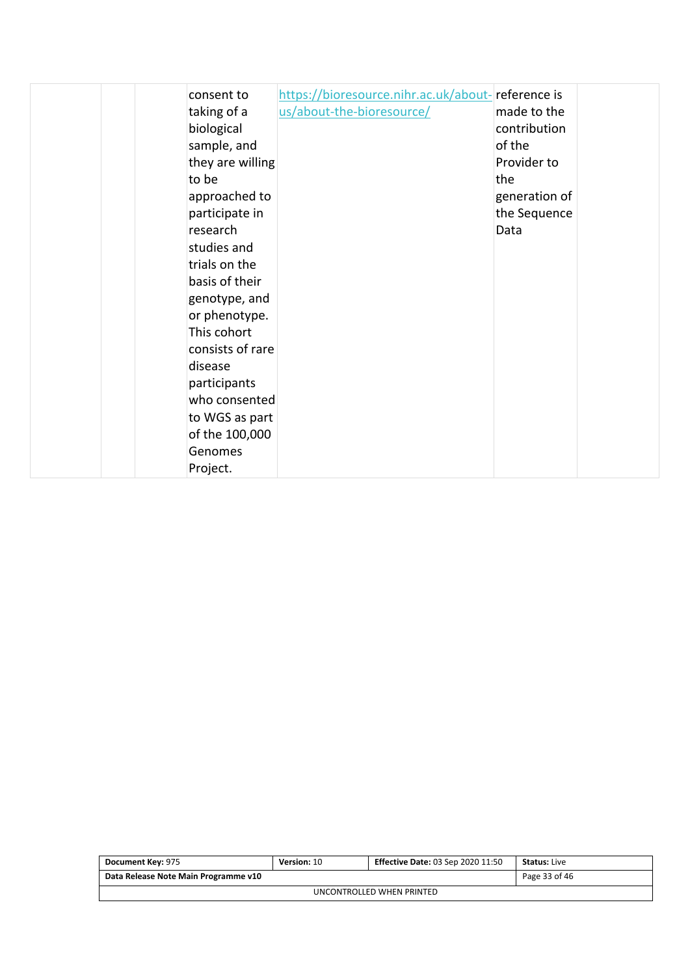| consent to<br>taking of a<br>biological<br>sample, and<br>they are willing<br>to be<br>approached to<br>participate in<br>research | https://bioresource.nihr.ac.uk/about-reference is<br>us/about-the-bioresource/ | made to the<br>contribution<br>of the<br>Provider to<br>the<br>generation of<br>the Sequence<br>Data |  |
|------------------------------------------------------------------------------------------------------------------------------------|--------------------------------------------------------------------------------|------------------------------------------------------------------------------------------------------|--|
|                                                                                                                                    |                                                                                |                                                                                                      |  |
|                                                                                                                                    |                                                                                |                                                                                                      |  |
| studies and                                                                                                                        |                                                                                |                                                                                                      |  |
| trials on the<br>basis of their                                                                                                    |                                                                                |                                                                                                      |  |
| genotype, and<br>or phenotype.                                                                                                     |                                                                                |                                                                                                      |  |
| This cohort<br>consists of rare                                                                                                    |                                                                                |                                                                                                      |  |
| disease<br>participants                                                                                                            |                                                                                |                                                                                                      |  |
| who consented<br>to WGS as part                                                                                                    |                                                                                |                                                                                                      |  |
| of the 100,000<br>Genomes                                                                                                          |                                                                                |                                                                                                      |  |
| Project.                                                                                                                           |                                                                                |                                                                                                      |  |

| Document Key: 975                                     | <b>Version: 10</b> | <b>Effective Date: 03 Sep 2020 11:50</b> | <b>Status:</b> Live |  |  |  |
|-------------------------------------------------------|--------------------|------------------------------------------|---------------------|--|--|--|
| Page 33 of 46<br>Data Release Note Main Programme v10 |                    |                                          |                     |  |  |  |
| UNCONTROLLED WHEN PRINTED                             |                    |                                          |                     |  |  |  |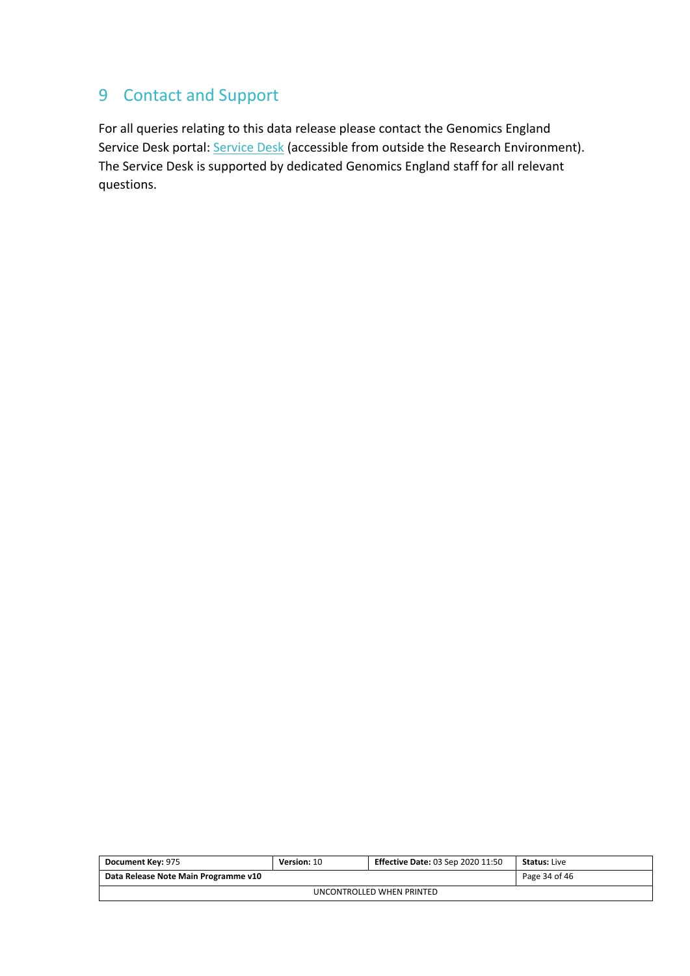## <span id="page-33-0"></span>9 Contact and Support

For all queries relating to this data release please contact the Genomics England Service Desk portal: [Service Desk](https://jiraservicedesk.extge.co.uk/servicedesk/customer/user/login?destination=portal/3) (accessible from outside the Research Environment). The Service Desk is supported by dedicated Genomics England staff for all relevant questions.

| Document Key: 975                                     | Version: 10 | <b>Effective Date: 03 Sep 2020 11:50</b> | <b>Status: Live</b> |  |  |  |
|-------------------------------------------------------|-------------|------------------------------------------|---------------------|--|--|--|
| Data Release Note Main Programme v10<br>Page 34 of 46 |             |                                          |                     |  |  |  |
| UNCONTROLLED WHEN PRINTED                             |             |                                          |                     |  |  |  |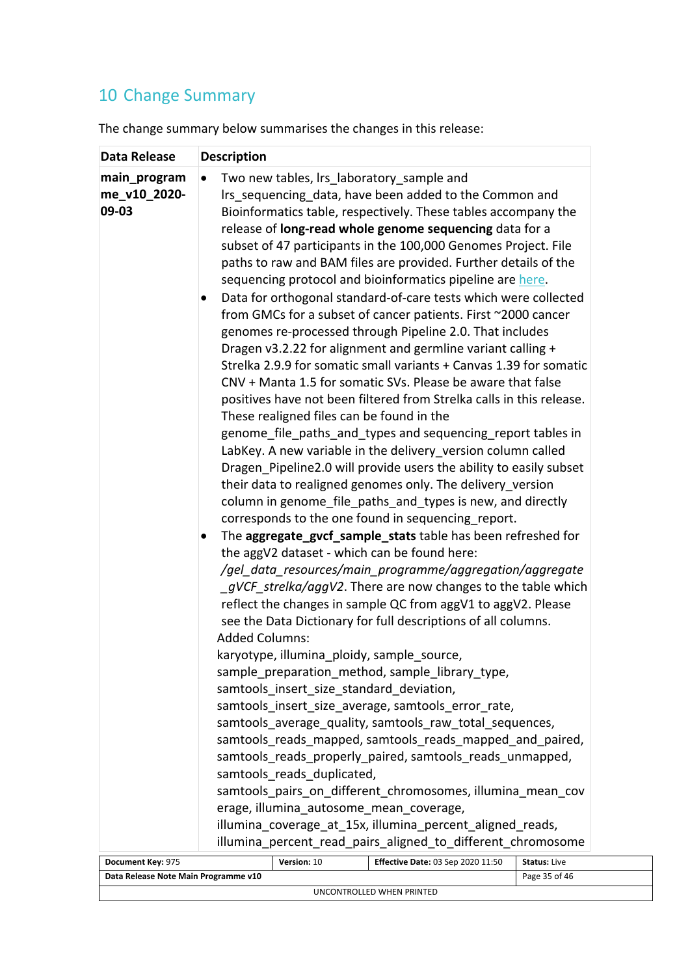# <span id="page-34-0"></span>10 Change Summary

The change summary below summarises the changes in this release:

| Data Release                          | <b>Description</b>                                                                                                                                                                                                                                                                                                                                                                                                                                                                                                                                                                                                                                                                                                                                                                                                                                                                                                                                                                                                                                                                                                                                                                                                                                                                                                                                                                                                                                                                                                                                                                                                                                                                                                                                                                                                                                                                                                                                                                                                                                                                                                                                                                                                                                                                                                                                                                                                             |
|---------------------------------------|--------------------------------------------------------------------------------------------------------------------------------------------------------------------------------------------------------------------------------------------------------------------------------------------------------------------------------------------------------------------------------------------------------------------------------------------------------------------------------------------------------------------------------------------------------------------------------------------------------------------------------------------------------------------------------------------------------------------------------------------------------------------------------------------------------------------------------------------------------------------------------------------------------------------------------------------------------------------------------------------------------------------------------------------------------------------------------------------------------------------------------------------------------------------------------------------------------------------------------------------------------------------------------------------------------------------------------------------------------------------------------------------------------------------------------------------------------------------------------------------------------------------------------------------------------------------------------------------------------------------------------------------------------------------------------------------------------------------------------------------------------------------------------------------------------------------------------------------------------------------------------------------------------------------------------------------------------------------------------------------------------------------------------------------------------------------------------------------------------------------------------------------------------------------------------------------------------------------------------------------------------------------------------------------------------------------------------------------------------------------------------------------------------------------------------|
| main_program<br>me_v10_2020-<br>09-03 | Two new tables, Irs laboratory sample and<br>$\bullet$<br>Irs sequencing data, have been added to the Common and<br>Bioinformatics table, respectively. These tables accompany the<br>release of long-read whole genome sequencing data for a<br>subset of 47 participants in the 100,000 Genomes Project. File<br>paths to raw and BAM files are provided. Further details of the<br>sequencing protocol and bioinformatics pipeline are here.<br>Data for orthogonal standard-of-care tests which were collected<br>from GMCs for a subset of cancer patients. First ~2000 cancer<br>genomes re-processed through Pipeline 2.0. That includes<br>Dragen v3.2.22 for alignment and germline variant calling +<br>Strelka 2.9.9 for somatic small variants + Canvas 1.39 for somatic<br>CNV + Manta 1.5 for somatic SVs. Please be aware that false<br>positives have not been filtered from Strelka calls in this release.<br>These realigned files can be found in the<br>genome_file_paths_and_types and sequencing_report tables in<br>LabKey. A new variable in the delivery version column called<br>Dragen_Pipeline2.0 will provide users the ability to easily subset<br>their data to realigned genomes only. The delivery_version<br>column in genome_file_paths_and_types is new, and directly<br>corresponds to the one found in sequencing_report.<br>The aggregate_gvcf_sample_stats table has been refreshed for<br>the aggV2 dataset - which can be found here:<br>/gel_data_resources/main_programme/aggregation/aggregate<br>gVCF strelka/aggV2. There are now changes to the table which<br>reflect the changes in sample QC from aggV1 to aggV2. Please<br>see the Data Dictionary for full descriptions of all columns.<br><b>Added Columns:</b><br>karyotype, illumina_ploidy, sample_source,<br>sample_preparation_method, sample_library_type,<br>samtools insert size standard deviation,<br>samtools insert size average, samtools error rate,<br>samtools_average_quality, samtools_raw_total_sequences,<br>samtools reads mapped, samtools reads mapped and paired,<br>samtools_reads_properly_paired, samtools_reads_unmapped,<br>samtools reads duplicated,<br>samtools pairs on different chromosomes, illumina mean cov<br>erage, illumina_autosome_mean_coverage,<br>illumina_coverage_at_15x, illumina_percent_aligned_reads,<br>illumina_percent_read_pairs_aligned_to_different_chromosome |
| Document Key: 975                     | Effective Date: 03 Sep 2020 11:50<br>Version: 10<br><b>Status: Live</b>                                                                                                                                                                                                                                                                                                                                                                                                                                                                                                                                                                                                                                                                                                                                                                                                                                                                                                                                                                                                                                                                                                                                                                                                                                                                                                                                                                                                                                                                                                                                                                                                                                                                                                                                                                                                                                                                                                                                                                                                                                                                                                                                                                                                                                                                                                                                                        |

| Document Key: 975                                     | Version: 10 | <b>Effective Date: 03 Sep 2020 11:50</b> | <b>Status:</b> Live |  |  |  |
|-------------------------------------------------------|-------------|------------------------------------------|---------------------|--|--|--|
| Data Release Note Main Programme v10<br>Page 35 of 46 |             |                                          |                     |  |  |  |
| UNCONTROLLED WHEN PRINTED                             |             |                                          |                     |  |  |  |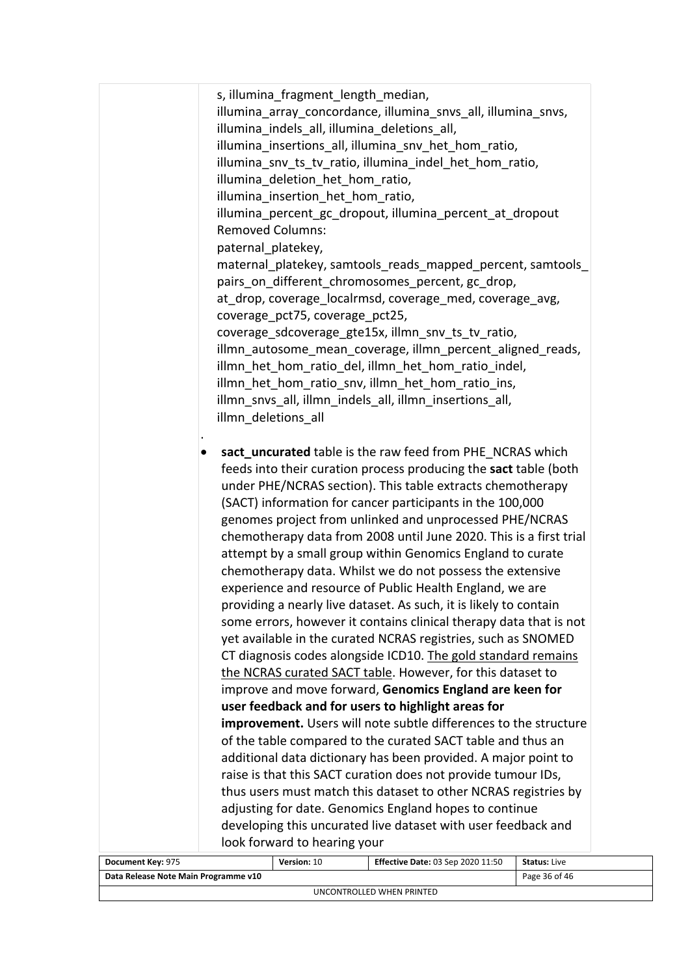|                                      | s, illumina fragment length median,                                                                                           |                     |
|--------------------------------------|-------------------------------------------------------------------------------------------------------------------------------|---------------------|
|                                      | illumina array concordance, illumina snvs all, illumina snvs,                                                                 |                     |
|                                      | illumina indels all, illumina deletions all,                                                                                  |                     |
|                                      | illumina insertions all, illumina snv het hom ratio,                                                                          |                     |
|                                      | illumina_snv_ts_tv_ratio, illumina_indel_het_hom_ratio,                                                                       |                     |
|                                      | illumina_deletion_het_hom_ratio,                                                                                              |                     |
|                                      | illumina_insertion_het_hom_ratio,                                                                                             |                     |
|                                      | illumina_percent_gc_dropout, illumina_percent_at_dropout                                                                      |                     |
|                                      | <b>Removed Columns:</b>                                                                                                       |                     |
|                                      | paternal platekey,                                                                                                            |                     |
|                                      | maternal_platekey, samtools_reads_mapped_percent, samtools_                                                                   |                     |
|                                      | pairs on different chromosomes percent, gc drop,                                                                              |                     |
|                                      | at_drop, coverage_localrmsd, coverage_med, coverage_avg,                                                                      |                     |
|                                      | coverage_pct75, coverage_pct25,                                                                                               |                     |
|                                      | coverage_sdcoverage_gte15x, illmn_snv_ts_tv_ratio,                                                                            |                     |
|                                      | illmn_autosome_mean_coverage, illmn_percent_aligned_reads,                                                                    |                     |
|                                      | illmn_het_hom_ratio_del, illmn_het_hom_ratio_indel,                                                                           |                     |
|                                      | illmn het hom ratio snv, illmn het hom ratio ins,                                                                             |                     |
|                                      | illmn_snvs_all, illmn_indels_all, illmn_insertions_all,                                                                       |                     |
|                                      | illmn deletions all                                                                                                           |                     |
|                                      |                                                                                                                               |                     |
|                                      | sact_uncurated table is the raw feed from PHE NCRAS which                                                                     |                     |
|                                      | feeds into their curation process producing the sact table (both                                                              |                     |
|                                      | under PHE/NCRAS section). This table extracts chemotherapy                                                                    |                     |
|                                      | (SACT) information for cancer participants in the 100,000                                                                     |                     |
|                                      | genomes project from unlinked and unprocessed PHE/NCRAS                                                                       |                     |
|                                      | chemotherapy data from 2008 until June 2020. This is a first trial                                                            |                     |
|                                      | attempt by a small group within Genomics England to curate                                                                    |                     |
|                                      | chemotherapy data. Whilst we do not possess the extensive                                                                     |                     |
|                                      | experience and resource of Public Health England, we are                                                                      |                     |
|                                      | providing a nearly live dataset. As such, it is likely to contain                                                             |                     |
|                                      | some errors, however it contains clinical therapy data that is not                                                            |                     |
|                                      | yet available in the curated NCRAS registries, such as SNOMED                                                                 |                     |
|                                      | CT diagnosis codes alongside ICD10. The gold standard remains                                                                 |                     |
|                                      | the NCRAS curated SACT table. However, for this dataset to                                                                    |                     |
|                                      | improve and move forward, Genomics England are keen for                                                                       |                     |
|                                      | user feedback and for users to highlight areas for                                                                            |                     |
|                                      | improvement. Users will note subtle differences to the structure                                                              |                     |
|                                      | of the table compared to the curated SACT table and thus an<br>additional data dictionary has been provided. A major point to |                     |
|                                      | raise is that this SACT curation does not provide tumour IDs,                                                                 |                     |
|                                      | thus users must match this dataset to other NCRAS registries by                                                               |                     |
|                                      | adjusting for date. Genomics England hopes to continue                                                                        |                     |
|                                      | developing this uncurated live dataset with user feedback and                                                                 |                     |
|                                      | look forward to hearing your                                                                                                  |                     |
| Document Key: 975                    | Version: 10<br><b>Effective Date: 03 Sep 2020 11:50</b>                                                                       | <b>Status: Live</b> |
| Data Release Note Main Programme v10 |                                                                                                                               | Page 36 of 46       |

UNCONTROLLED WHEN PRINTED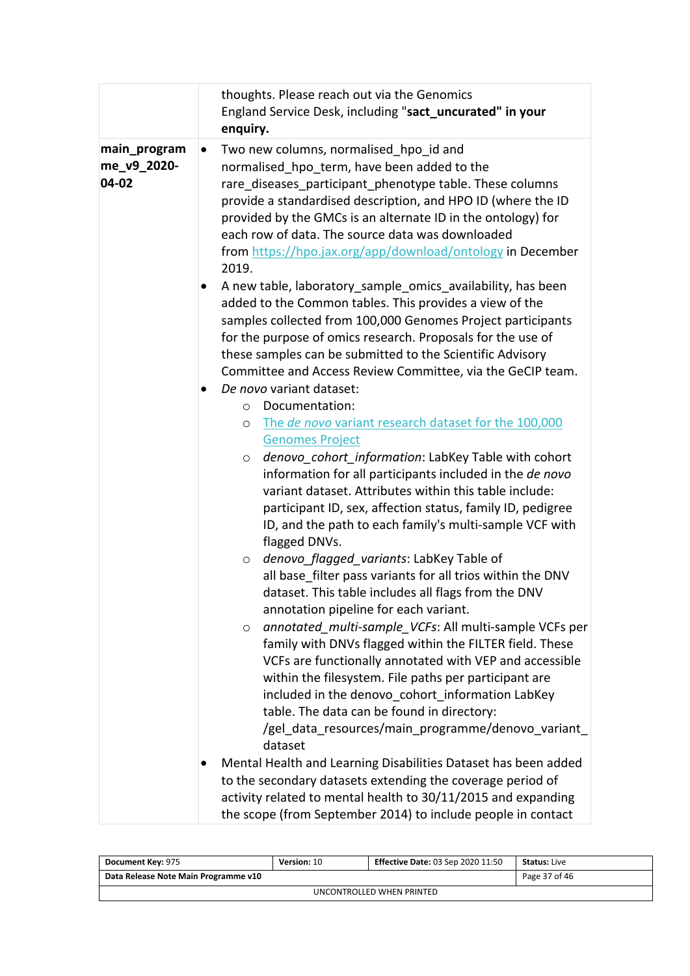|                                      |           | thoughts. Please reach out via the Genomics<br>England Service Desk, including "sact_uncurated" in your<br>enquiry.                                                                                                                                                                                                                                                                                                                                                                                                                                                                                                                                                                                                                                                                                                                                                                                                                                                 |  |  |  |  |
|--------------------------------------|-----------|---------------------------------------------------------------------------------------------------------------------------------------------------------------------------------------------------------------------------------------------------------------------------------------------------------------------------------------------------------------------------------------------------------------------------------------------------------------------------------------------------------------------------------------------------------------------------------------------------------------------------------------------------------------------------------------------------------------------------------------------------------------------------------------------------------------------------------------------------------------------------------------------------------------------------------------------------------------------|--|--|--|--|
| main_program<br>me_v9_2020-<br>04-02 | $\bullet$ | Two new columns, normalised hpo id and<br>normalised hpo term, have been added to the<br>rare diseases participant phenotype table. These columns<br>provide a standardised description, and HPO ID (where the ID<br>provided by the GMCs is an alternate ID in the ontology) for<br>each row of data. The source data was downloaded<br>from https://hpo.jax.org/app/download/ontology in December<br>2019.                                                                                                                                                                                                                                                                                                                                                                                                                                                                                                                                                        |  |  |  |  |
|                                      |           | A new table, laboratory sample omics availability, has been<br>added to the Common tables. This provides a view of the<br>samples collected from 100,000 Genomes Project participants<br>for the purpose of omics research. Proposals for the use of<br>these samples can be submitted to the Scientific Advisory<br>Committee and Access Review Committee, via the GeCIP team.                                                                                                                                                                                                                                                                                                                                                                                                                                                                                                                                                                                     |  |  |  |  |
|                                      |           | De novo variant dataset:                                                                                                                                                                                                                                                                                                                                                                                                                                                                                                                                                                                                                                                                                                                                                                                                                                                                                                                                            |  |  |  |  |
|                                      |           | Documentation:<br>$\circ$                                                                                                                                                                                                                                                                                                                                                                                                                                                                                                                                                                                                                                                                                                                                                                                                                                                                                                                                           |  |  |  |  |
|                                      |           | The de novo variant research dataset for the 100,000<br>$\circ$                                                                                                                                                                                                                                                                                                                                                                                                                                                                                                                                                                                                                                                                                                                                                                                                                                                                                                     |  |  |  |  |
|                                      |           | <b>Genomes Project</b>                                                                                                                                                                                                                                                                                                                                                                                                                                                                                                                                                                                                                                                                                                                                                                                                                                                                                                                                              |  |  |  |  |
|                                      |           | denovo cohort information: LabKey Table with cohort<br>$\circ$<br>information for all participants included in the de novo<br>variant dataset. Attributes within this table include:<br>participant ID, sex, affection status, family ID, pedigree<br>ID, and the path to each family's multi-sample VCF with<br>flagged DNVs.<br>denovo_flagged_variants: LabKey Table of<br>$\circ$<br>all base filter pass variants for all trios within the DNV<br>dataset. This table includes all flags from the DNV<br>annotation pipeline for each variant.<br>annotated multi-sample VCFs: All multi-sample VCFs per<br>O<br>family with DNVs flagged within the FILTER field. These<br>VCFs are functionally annotated with VEP and accessible<br>within the filesystem. File paths per participant are<br>included in the denovo cohort information LabKey<br>table. The data can be found in directory:<br>/gel data resources/main programme/denovo variant<br>dataset |  |  |  |  |
|                                      |           | Mental Health and Learning Disabilities Dataset has been added<br>to the secondary datasets extending the coverage period of<br>activity related to mental health to 30/11/2015 and expanding<br>the scope (from September 2014) to include people in contact                                                                                                                                                                                                                                                                                                                                                                                                                                                                                                                                                                                                                                                                                                       |  |  |  |  |

| Document Key: 975                    | <b>Version: 10</b> | <b>Effective Date: 03 Sep 2020 11:50</b> | <b>Status: Live</b> |  |  |  |
|--------------------------------------|--------------------|------------------------------------------|---------------------|--|--|--|
| Data Release Note Main Programme v10 | Page 37 of 46      |                                          |                     |  |  |  |
| UNCONTROLLED WHEN PRINTED            |                    |                                          |                     |  |  |  |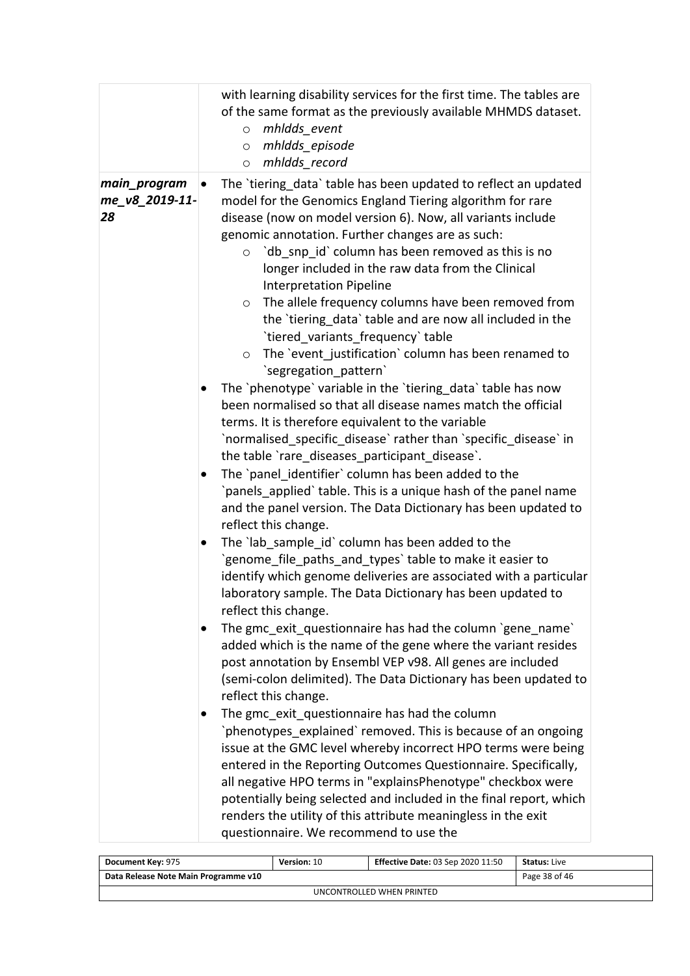|                                      | with learning disability services for the first time. The tables are<br>of the same format as the previously available MHMDS dataset.<br>mhldds event<br>$\circ$<br>mhldds episode<br>$\circ$<br>mhldds record<br>$\circ$                                                                                                                                                                                                                                                                                                                                                                                                                                                         |
|--------------------------------------|-----------------------------------------------------------------------------------------------------------------------------------------------------------------------------------------------------------------------------------------------------------------------------------------------------------------------------------------------------------------------------------------------------------------------------------------------------------------------------------------------------------------------------------------------------------------------------------------------------------------------------------------------------------------------------------|
| main_program<br>me_v8_2019-11-<br>28 | The 'tiering data' table has been updated to reflect an updated<br>$\bullet$<br>model for the Genomics England Tiering algorithm for rare<br>disease (now on model version 6). Now, all variants include<br>genomic annotation. Further changes are as such:<br>`db_snp_id` column has been removed as this is no<br>$\circ$<br>longer included in the raw data from the Clinical<br><b>Interpretation Pipeline</b><br>The allele frequency columns have been removed from<br>$\circ$<br>the 'tiering data' table and are now all included in the<br>`tiered_variants_frequency`table<br>The `event_justification` column has been renamed to<br>$\circ$<br>`segregation pattern` |
|                                      | The `phenotype` variable in the `tiering data` table has now<br>$\bullet$<br>been normalised so that all disease names match the official<br>terms. It is therefore equivalent to the variable<br>`normalised_specific_disease` rather than `specific_disease` in<br>the table `rare_diseases_participant_disease`.<br>The `panel identifier` column has been added to the<br>`panels applied` table. This is a unique hash of the panel name<br>and the panel version. The Data Dictionary has been updated to<br>reflect this change.                                                                                                                                           |
|                                      | The `lab_sample_id` column has been added to the<br>`genome_file_paths_and_types`table to make it easier to<br>identify which genome deliveries are associated with a particular<br>laboratory sample. The Data Dictionary has been updated to<br>reflect this change.<br>The gmc exit questionnaire has had the column 'gene name'<br>added which is the name of the gene where the variant resides<br>post annotation by Ensembl VEP v98. All genes are included<br>(semi-colon delimited). The Data Dictionary has been updated to<br>reflect this change.                                                                                                                     |
|                                      | The gmc exit questionnaire has had the column<br>`phenotypes_explained` removed. This is because of an ongoing<br>issue at the GMC level whereby incorrect HPO terms were being<br>entered in the Reporting Outcomes Questionnaire. Specifically,<br>all negative HPO terms in "explainsPhenotype" checkbox were<br>potentially being selected and included in the final report, which<br>renders the utility of this attribute meaningless in the exit<br>questionnaire. We recommend to use the                                                                                                                                                                                 |

| Document Key: 975                    | <b>Version: 10</b> | <b>Effective Date: 03 Sep 2020 11:50</b> | <b>Status:</b> Live |  |  |
|--------------------------------------|--------------------|------------------------------------------|---------------------|--|--|
| Data Release Note Main Programme v10 | Page 38 of 46      |                                          |                     |  |  |
| UNCONTROLLED WHEN PRINTED            |                    |                                          |                     |  |  |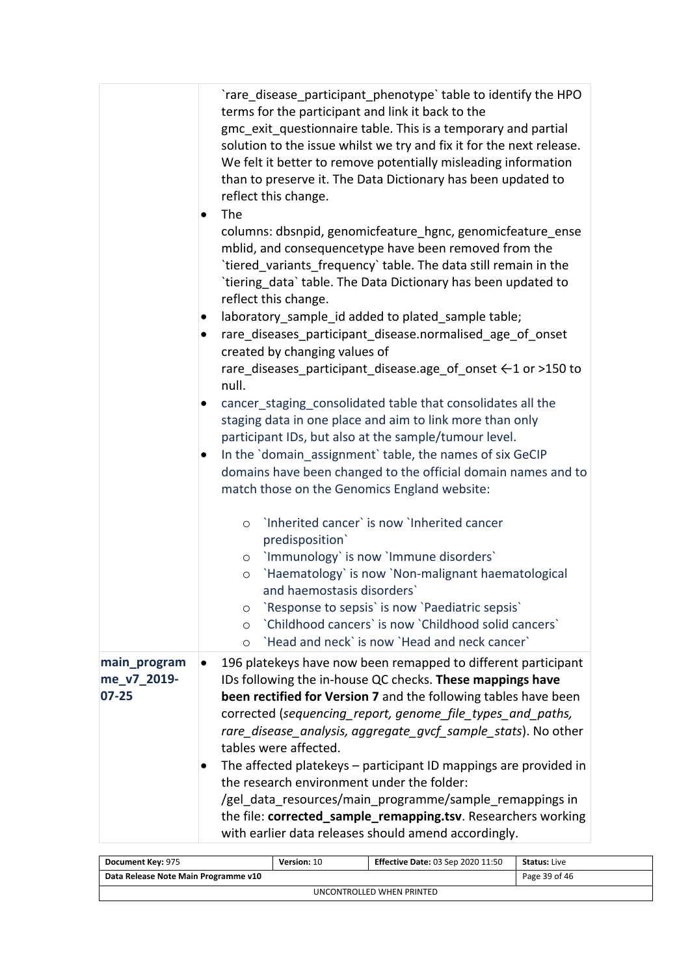|                                          | `rare disease participant phenotype`table to identify the HPO<br>terms for the participant and link it back to the<br>gmc exit questionnaire table. This is a temporary and partial<br>solution to the issue whilst we try and fix it for the next release.<br>We felt it better to remove potentially misleading information<br>than to preserve it. The Data Dictionary has been updated to<br>reflect this change.<br>The<br>columns: dbsnpid, genomicfeature_hgnc, genomicfeature_ense<br>mblid, and consequencetype have been removed from the<br>`tiered variants frequency`table. The data still remain in the<br>`tiering_data` table. The Data Dictionary has been updated to<br>reflect this change.<br>laboratory_sample_id added to plated_sample table;<br>rare diseases participant_disease.normalised_age_of_onset<br>created by changing values of<br>rare_diseases_participant_disease.age_of_onset ←1 or >150 to<br>null.<br>cancer_staging_consolidated table that consolidates all the<br>staging data in one place and aim to link more than only<br>participant IDs, but also at the sample/tumour level.<br>In the `domain assignment` table, the names of six GeCIP<br>domains have been changed to the official domain names and to<br>match those on the Genomics England website:<br>'Inherited cancer' is now 'Inherited cancer'<br>$\circ$<br>predisposition`<br>o 'Immunology' is now 'Immune disorders'<br>`Haematology` is now `Non-malignant haematological<br>$\circ$<br>and haemostasis disorders`<br>'Response to sepsis' is now 'Paediatric sepsis'<br>O<br>'Childhood cancers' is now 'Childhood solid cancers' |
|------------------------------------------|-------------------------------------------------------------------------------------------------------------------------------------------------------------------------------------------------------------------------------------------------------------------------------------------------------------------------------------------------------------------------------------------------------------------------------------------------------------------------------------------------------------------------------------------------------------------------------------------------------------------------------------------------------------------------------------------------------------------------------------------------------------------------------------------------------------------------------------------------------------------------------------------------------------------------------------------------------------------------------------------------------------------------------------------------------------------------------------------------------------------------------------------------------------------------------------------------------------------------------------------------------------------------------------------------------------------------------------------------------------------------------------------------------------------------------------------------------------------------------------------------------------------------------------------------------------------------------------------------------------------------------------------------------|
|                                          | 'Head and neck' is now 'Head and neck cancer'<br>$\circ$                                                                                                                                                                                                                                                                                                                                                                                                                                                                                                                                                                                                                                                                                                                                                                                                                                                                                                                                                                                                                                                                                                                                                                                                                                                                                                                                                                                                                                                                                                                                                                                              |
| main_program<br>me v7 2019-<br>$07 - 25$ | 196 platekeys have now been remapped to different participant<br>IDs following the in-house QC checks. These mappings have<br>been rectified for Version 7 and the following tables have been<br>corrected (sequencing_report, genome_file_types_and_paths,<br>rare_disease_analysis, aggregate_gvcf_sample_stats). No other<br>tables were affected.<br>The affected platekeys - participant ID mappings are provided in<br>the research environment under the folder:<br>/gel data resources/main_programme/sample_remappings in<br>the file: corrected_sample_remapping.tsv. Researchers working<br>with earlier data releases should amend accordingly.                                                                                                                                                                                                                                                                                                                                                                                                                                                                                                                                                                                                                                                                                                                                                                                                                                                                                                                                                                                           |

| Document Key: 975                    | Version: 10   | <b>Effective Date: 03 Sep 2020 11:50</b> | <b>Status:</b> Live |  |  |
|--------------------------------------|---------------|------------------------------------------|---------------------|--|--|
| Data Release Note Main Programme v10 | Page 39 of 46 |                                          |                     |  |  |
| UNCONTROLLED WHEN PRINTED            |               |                                          |                     |  |  |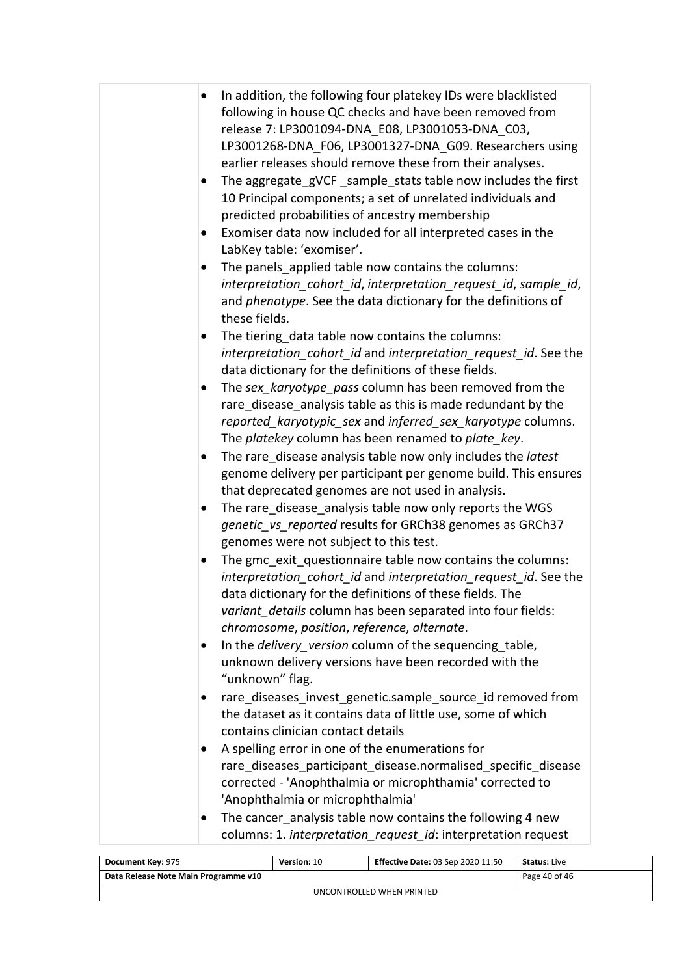| In addition, the following four platekey IDs were blacklisted   |
|-----------------------------------------------------------------|
| following in house QC checks and have been removed from         |
| release 7: LP3001094-DNA E08, LP3001053-DNA C03,                |
| LP3001268-DNA F06, LP3001327-DNA G09. Researchers using         |
| earlier releases should remove these from their analyses.       |
| The aggregate gVCF sample stats table now includes the first    |
| 10 Principal components; a set of unrelated individuals and     |
| predicted probabilities of ancestry membership                  |
| Exomiser data now included for all interpreted cases in the     |
| LabKey table: 'exomiser'.                                       |
| The panels applied table now contains the columns:              |
| interpretation cohort id, interpretation request id, sample id, |
|                                                                 |
| and phenotype. See the data dictionary for the definitions of   |
| these fields.                                                   |
| The tiering data table now contains the columns:                |
| interpretation_cohort_id and interpretation_request_id. See the |
| data dictionary for the definitions of these fields.            |
| The sex_karyotype_pass column has been removed from the         |
| rare disease analysis table as this is made redundant by the    |
| reported_karyotypic_sex and inferred_sex_karyotype columns.     |
| The platekey column has been renamed to plate_key.              |
| The rare disease analysis table now only includes the latest    |
| genome delivery per participant per genome build. This ensures  |
| that deprecated genomes are not used in analysis.               |
| The rare disease analysis table now only reports the WGS        |
| genetic_vs_reported results for GRCh38 genomes as GRCh37        |
| genomes were not subject to this test.                          |
| The gmc exit questionnaire table now contains the columns:      |
| interpretation cohort id and interpretation request id. See the |
| data dictionary for the definitions of these fields. The        |
|                                                                 |
| variant details column has been separated into four fields:     |
| chromosome, position, reference, alternate.                     |
| In the delivery_version column of the sequencing_table,         |
| unknown delivery versions have been recorded with the           |
| "unknown" flag.                                                 |
| rare diseases invest genetic.sample source id removed from      |
| the dataset as it contains data of little use, some of which    |
| contains clinician contact details                              |
| A spelling error in one of the enumerations for                 |
| rare_diseases_participant_disease.normalised_specific_disease   |
| corrected - 'Anophthalmia or microphthamia' corrected to        |
| 'Anophthalmia or microphthalmia'                                |
| The cancer_analysis table now contains the following 4 new      |
|                                                                 |
| columns: 1. interpretation_request_id: interpretation request   |

| Document Key: 975                    | <b>Version: 10</b> | <b>Effective Date: 03 Sep 2020 11:50</b> | <b>Status:</b> Live |  |  |
|--------------------------------------|--------------------|------------------------------------------|---------------------|--|--|
| Data Release Note Main Programme v10 |                    |                                          | Page 40 of 46       |  |  |
| UNCONTROLLED WHEN PRINTED            |                    |                                          |                     |  |  |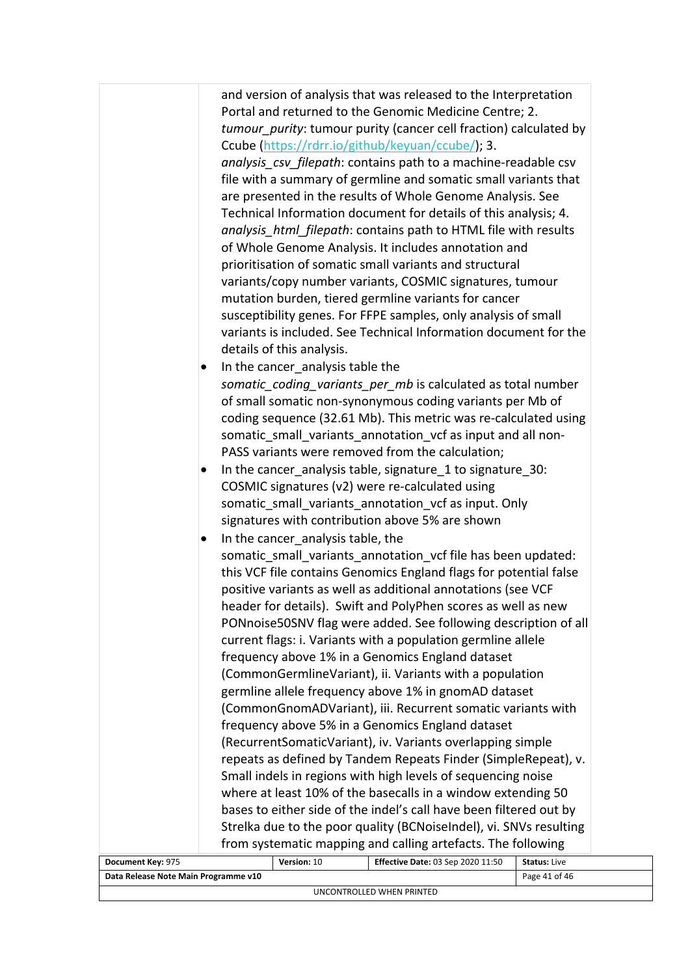|                                      | details of this analysis.<br>In the cancer analysis table the<br>In the cancer_analysis table, the | and version of analysis that was released to the Interpretation<br>Portal and returned to the Genomic Medicine Centre; 2.<br>tumour purity: tumour purity (cancer cell fraction) calculated by<br>Ccube (https://rdrr.io/github/keyuan/ccube/); 3.<br>analysis_csv_filepath: contains path to a machine-readable csv<br>file with a summary of germline and somatic small variants that<br>are presented in the results of Whole Genome Analysis. See<br>Technical Information document for details of this analysis; 4.<br>analysis html filepath: contains path to HTML file with results<br>of Whole Genome Analysis. It includes annotation and<br>prioritisation of somatic small variants and structural<br>variants/copy number variants, COSMIC signatures, tumour<br>mutation burden, tiered germline variants for cancer<br>susceptibility genes. For FFPE samples, only analysis of small<br>variants is included. See Technical Information document for the<br>somatic_coding_variants_per_mb is calculated as total number<br>of small somatic non-synonymous coding variants per Mb of<br>coding sequence (32.61 Mb). This metric was re-calculated using<br>somatic_small_variants_annotation_vcf as input and all non-<br>PASS variants were removed from the calculation;<br>In the cancer analysis table, signature 1 to signature 30:<br>COSMIC signatures (v2) were re-calculated using<br>somatic_small_variants_annotation_vcf as input. Only<br>signatures with contribution above 5% are shown<br>somatic small variants annotation vcf file has been updated:<br>this VCF file contains Genomics England flags for potential false<br>positive variants as well as additional annotations (see VCF<br>header for details). Swift and PolyPhen scores as well as new<br>PONnoise50SNV flag were added. See following description of all<br>current flags: i. Variants with a population germline allele<br>frequency above 1% in a Genomics England dataset<br>(CommonGermlineVariant), ii. Variants with a population<br>germline allele frequency above 1% in gnomAD dataset<br>(CommonGnomADVariant), iii. Recurrent somatic variants with<br>frequency above 5% in a Genomics England dataset<br>(RecurrentSomaticVariant), iv. Variants overlapping simple<br>repeats as defined by Tandem Repeats Finder (SimpleRepeat), v.<br>Small indels in regions with high levels of sequencing noise<br>where at least 10% of the basecalls in a window extending 50<br>bases to either side of the indel's call have been filtered out by<br>Strelka due to the poor quality (BCNoiseIndel), vi. SNVs resulting |                     |
|--------------------------------------|----------------------------------------------------------------------------------------------------|----------------------------------------------------------------------------------------------------------------------------------------------------------------------------------------------------------------------------------------------------------------------------------------------------------------------------------------------------------------------------------------------------------------------------------------------------------------------------------------------------------------------------------------------------------------------------------------------------------------------------------------------------------------------------------------------------------------------------------------------------------------------------------------------------------------------------------------------------------------------------------------------------------------------------------------------------------------------------------------------------------------------------------------------------------------------------------------------------------------------------------------------------------------------------------------------------------------------------------------------------------------------------------------------------------------------------------------------------------------------------------------------------------------------------------------------------------------------------------------------------------------------------------------------------------------------------------------------------------------------------------------------------------------------------------------------------------------------------------------------------------------------------------------------------------------------------------------------------------------------------------------------------------------------------------------------------------------------------------------------------------------------------------------------------------------------------------------------------------------------------------------------------------------------------------------------------------------------------------------------------------------------------------------------------------------------------------------------------------------------------------------------------------------------------------------------------------------------------------------------------------------------------------------------------------------------------------------------------------------------------------------|---------------------|
| Document Key: 975                    | Version: 10                                                                                        | from systematic mapping and calling artefacts. The following<br>Effective Date: 03 Sep 2020 11:50                                                                                                                                                                                                                                                                                                                                                                                                                                                                                                                                                                                                                                                                                                                                                                                                                                                                                                                                                                                                                                                                                                                                                                                                                                                                                                                                                                                                                                                                                                                                                                                                                                                                                                                                                                                                                                                                                                                                                                                                                                                                                                                                                                                                                                                                                                                                                                                                                                                                                                                                      | <b>Status: Live</b> |
| Data Release Note Main Programme v10 |                                                                                                    |                                                                                                                                                                                                                                                                                                                                                                                                                                                                                                                                                                                                                                                                                                                                                                                                                                                                                                                                                                                                                                                                                                                                                                                                                                                                                                                                                                                                                                                                                                                                                                                                                                                                                                                                                                                                                                                                                                                                                                                                                                                                                                                                                                                                                                                                                                                                                                                                                                                                                                                                                                                                                                        | Page 41 of 46       |
|                                      |                                                                                                    |                                                                                                                                                                                                                                                                                                                                                                                                                                                                                                                                                                                                                                                                                                                                                                                                                                                                                                                                                                                                                                                                                                                                                                                                                                                                                                                                                                                                                                                                                                                                                                                                                                                                                                                                                                                                                                                                                                                                                                                                                                                                                                                                                                                                                                                                                                                                                                                                                                                                                                                                                                                                                                        |                     |

UNCONTROLLED WHEN PRINTED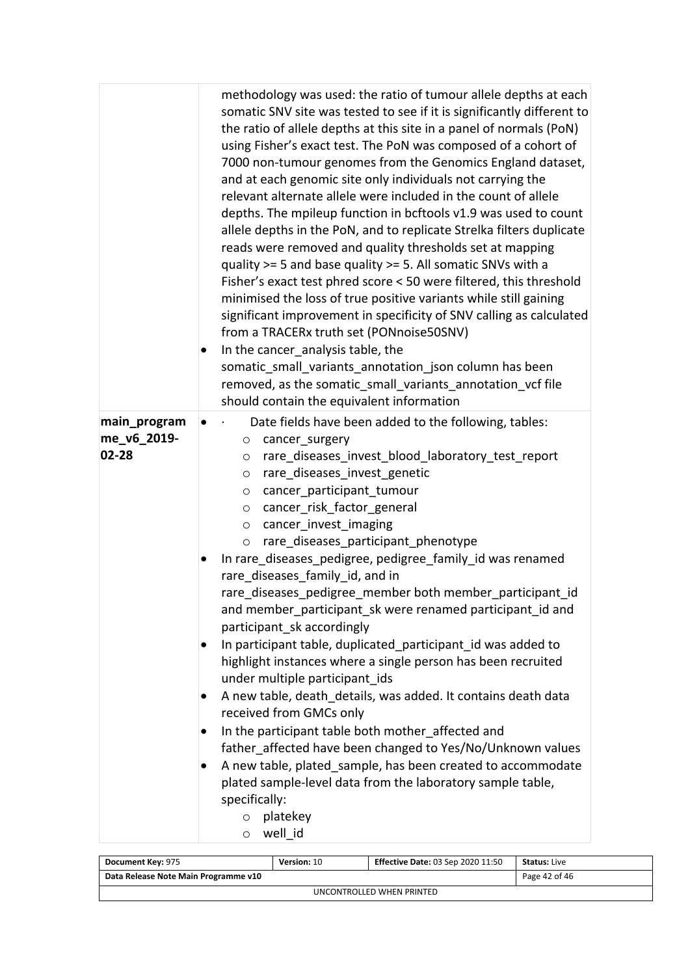|                                      | methodology was used: the ratio of tumour allele depths at each<br>somatic SNV site was tested to see if it is significantly different to<br>the ratio of allele depths at this site in a panel of normals (PoN)<br>using Fisher's exact test. The PoN was composed of a cohort of<br>7000 non-tumour genomes from the Genomics England dataset,<br>and at each genomic site only individuals not carrying the<br>relevant alternate allele were included in the count of allele<br>depths. The mpileup function in bcftools v1.9 was used to count<br>allele depths in the PoN, and to replicate Strelka filters duplicate<br>reads were removed and quality thresholds set at mapping<br>quality >= 5 and base quality >= 5. All somatic SNVs with a<br>Fisher's exact test phred score < 50 were filtered, this threshold<br>minimised the loss of true positive variants while still gaining<br>significant improvement in specificity of SNV calling as calculated<br>from a TRACERx truth set (PONnoise50SNV)<br>In the cancer analysis table, the<br>somatic_small_variants_annotation_json column has been<br>removed, as the somatic small variants annotation vcf file<br>should contain the equivalent information |
|--------------------------------------|-------------------------------------------------------------------------------------------------------------------------------------------------------------------------------------------------------------------------------------------------------------------------------------------------------------------------------------------------------------------------------------------------------------------------------------------------------------------------------------------------------------------------------------------------------------------------------------------------------------------------------------------------------------------------------------------------------------------------------------------------------------------------------------------------------------------------------------------------------------------------------------------------------------------------------------------------------------------------------------------------------------------------------------------------------------------------------------------------------------------------------------------------------------------------------------------------------------------------------|
| main_program<br>me_v6_2019-<br>02-28 | Date fields have been added to the following, tables:<br>cancer_surgery<br>$\circ$<br>rare_diseases_invest_blood_laboratory_test_report<br>$\circ$<br>rare_diseases_invest_genetic<br>$\circ$<br>cancer_participant_tumour<br>$\circ$<br>cancer_risk_factor_general<br>$\circ$<br>cancer_invest_imaging<br>$\circ$<br>rare_diseases_participant_phenotype<br>$\circ$<br>In rare_diseases_pedigree, pedigree_family_id was renamed<br>rare_diseases_family_id, and in<br>rare_diseases_pedigree_member both member_participant_id<br>and member_participant_sk were renamed participant id and<br>participant sk accordingly<br>In participant table, duplicated participant id was added to<br>highlight instances where a single person has been recruited<br>under multiple participant_ids<br>A new table, death_details, was added. It contains death data<br>received from GMCs only<br>In the participant table both mother affected and<br>father_affected have been changed to Yes/No/Unknown values<br>A new table, plated sample, has been created to accommodate<br>plated sample-level data from the laboratory sample table,<br>specifically:                                                                    |
|                                      | platekey<br>$\circ$<br>well_id<br>$\circ$                                                                                                                                                                                                                                                                                                                                                                                                                                                                                                                                                                                                                                                                                                                                                                                                                                                                                                                                                                                                                                                                                                                                                                                     |

| Document Key: 975                    | Version: 10   | <b>Effective Date: 03 Sep 2020 11:50</b> | <b>Status: Live</b> |  |  |
|--------------------------------------|---------------|------------------------------------------|---------------------|--|--|
| Data Release Note Main Programme v10 | Page 42 of 46 |                                          |                     |  |  |
| UNCONTROLLED WHEN PRINTED            |               |                                          |                     |  |  |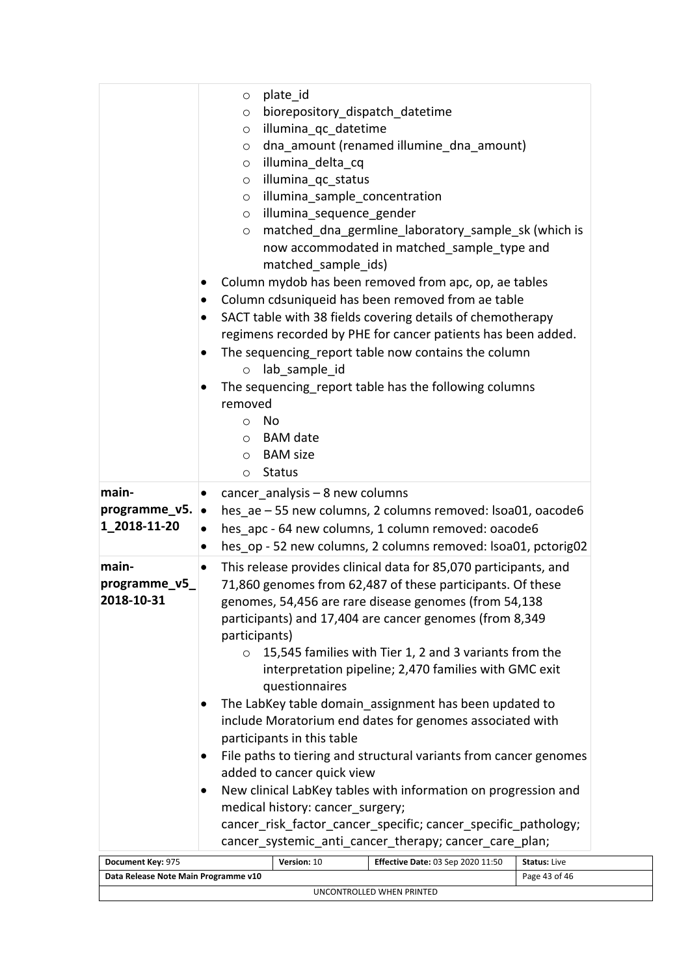|                                      | plate id<br>$\circ$                                                                                                                                                                                                                                                                                                                                                                                                                                                                                                                                                                    |                     |  |  |
|--------------------------------------|----------------------------------------------------------------------------------------------------------------------------------------------------------------------------------------------------------------------------------------------------------------------------------------------------------------------------------------------------------------------------------------------------------------------------------------------------------------------------------------------------------------------------------------------------------------------------------------|---------------------|--|--|
|                                      | biorepository_dispatch_datetime<br>$\circ$                                                                                                                                                                                                                                                                                                                                                                                                                                                                                                                                             |                     |  |  |
|                                      | illumina qc datetime<br>$\circ$                                                                                                                                                                                                                                                                                                                                                                                                                                                                                                                                                        |                     |  |  |
|                                      | dna_amount (renamed illumine_dna_amount)<br>$\circ$                                                                                                                                                                                                                                                                                                                                                                                                                                                                                                                                    |                     |  |  |
|                                      | illumina delta cq<br>$\circ$                                                                                                                                                                                                                                                                                                                                                                                                                                                                                                                                                           |                     |  |  |
|                                      | illumina qc status<br>$\circ$                                                                                                                                                                                                                                                                                                                                                                                                                                                                                                                                                          |                     |  |  |
|                                      | illumina_sample_concentration<br>$\circ$                                                                                                                                                                                                                                                                                                                                                                                                                                                                                                                                               |                     |  |  |
|                                      | illumina sequence gender<br>$\circ$                                                                                                                                                                                                                                                                                                                                                                                                                                                                                                                                                    |                     |  |  |
|                                      | matched_dna_germline_laboratory_sample_sk (which is<br>$\circ$<br>now accommodated in matched_sample_type and<br>matched_sample_ids)<br>Column mydob has been removed from apc, op, ae tables<br>Column cdsuniqueid has been removed from ae table<br>SACT table with 38 fields covering details of chemotherapy<br>regimens recorded by PHE for cancer patients has been added.<br>The sequencing report table now contains the column<br>lab sample id<br>$\circ$<br>The sequencing report table has the following columns<br>removed<br>No<br>$\circ$<br><b>BAM</b> date<br>$\circ$ |                     |  |  |
|                                      | <b>BAM</b> size<br>$\circ$                                                                                                                                                                                                                                                                                                                                                                                                                                                                                                                                                             |                     |  |  |
|                                      | <b>Status</b><br>$\circ$                                                                                                                                                                                                                                                                                                                                                                                                                                                                                                                                                               |                     |  |  |
| main-                                | cancer analysis $-8$ new columns                                                                                                                                                                                                                                                                                                                                                                                                                                                                                                                                                       |                     |  |  |
| programme_v5. •                      | hes ae -55 new columns, 2 columns removed: Isoa01, oacode6                                                                                                                                                                                                                                                                                                                                                                                                                                                                                                                             |                     |  |  |
| 1_2018-11-20                         | hes apc - 64 new columns, 1 column removed: oacode6<br>$\bullet$                                                                                                                                                                                                                                                                                                                                                                                                                                                                                                                       |                     |  |  |
|                                      | hes op - 52 new columns, 2 columns removed: Isoa01, pctorig02<br>$\bullet$                                                                                                                                                                                                                                                                                                                                                                                                                                                                                                             |                     |  |  |
| main-                                | This release provides clinical data for 85,070 participants, and<br>٠                                                                                                                                                                                                                                                                                                                                                                                                                                                                                                                  |                     |  |  |
| programme_v5_                        | 71,860 genomes from 62,487 of these participants. Of these                                                                                                                                                                                                                                                                                                                                                                                                                                                                                                                             |                     |  |  |
| 2018-10-31                           | genomes, 54,456 are rare disease genomes (from 54,138                                                                                                                                                                                                                                                                                                                                                                                                                                                                                                                                  |                     |  |  |
|                                      | participants) and 17,404 are cancer genomes (from 8,349                                                                                                                                                                                                                                                                                                                                                                                                                                                                                                                                |                     |  |  |
|                                      | participants)                                                                                                                                                                                                                                                                                                                                                                                                                                                                                                                                                                          |                     |  |  |
|                                      | 15,545 families with Tier 1, 2 and 3 variants from the                                                                                                                                                                                                                                                                                                                                                                                                                                                                                                                                 |                     |  |  |
|                                      | interpretation pipeline; 2,470 families with GMC exit                                                                                                                                                                                                                                                                                                                                                                                                                                                                                                                                  |                     |  |  |
|                                      | questionnaires                                                                                                                                                                                                                                                                                                                                                                                                                                                                                                                                                                         |                     |  |  |
|                                      | The LabKey table domain assignment has been updated to                                                                                                                                                                                                                                                                                                                                                                                                                                                                                                                                 |                     |  |  |
|                                      | include Moratorium end dates for genomes associated with                                                                                                                                                                                                                                                                                                                                                                                                                                                                                                                               |                     |  |  |
|                                      | participants in this table                                                                                                                                                                                                                                                                                                                                                                                                                                                                                                                                                             |                     |  |  |
|                                      | File paths to tiering and structural variants from cancer genomes                                                                                                                                                                                                                                                                                                                                                                                                                                                                                                                      |                     |  |  |
|                                      | added to cancer quick view                                                                                                                                                                                                                                                                                                                                                                                                                                                                                                                                                             |                     |  |  |
|                                      | New clinical LabKey tables with information on progression and                                                                                                                                                                                                                                                                                                                                                                                                                                                                                                                         |                     |  |  |
|                                      | medical history: cancer surgery;                                                                                                                                                                                                                                                                                                                                                                                                                                                                                                                                                       |                     |  |  |
|                                      | cancer_risk_factor_cancer_specific; cancer_specific_pathology;                                                                                                                                                                                                                                                                                                                                                                                                                                                                                                                         |                     |  |  |
|                                      | cancer_systemic_anti_cancer_therapy; cancer_care_plan;                                                                                                                                                                                                                                                                                                                                                                                                                                                                                                                                 |                     |  |  |
| Document Key: 975                    | Version: 10<br>Effective Date: 03 Sep 2020 11:50                                                                                                                                                                                                                                                                                                                                                                                                                                                                                                                                       | <b>Status: Live</b> |  |  |
| Data Release Note Main Programme v10 |                                                                                                                                                                                                                                                                                                                                                                                                                                                                                                                                                                                        | Page 43 of 46       |  |  |
|                                      | UNCONTROLLED WHEN PRINTED                                                                                                                                                                                                                                                                                                                                                                                                                                                                                                                                                              |                     |  |  |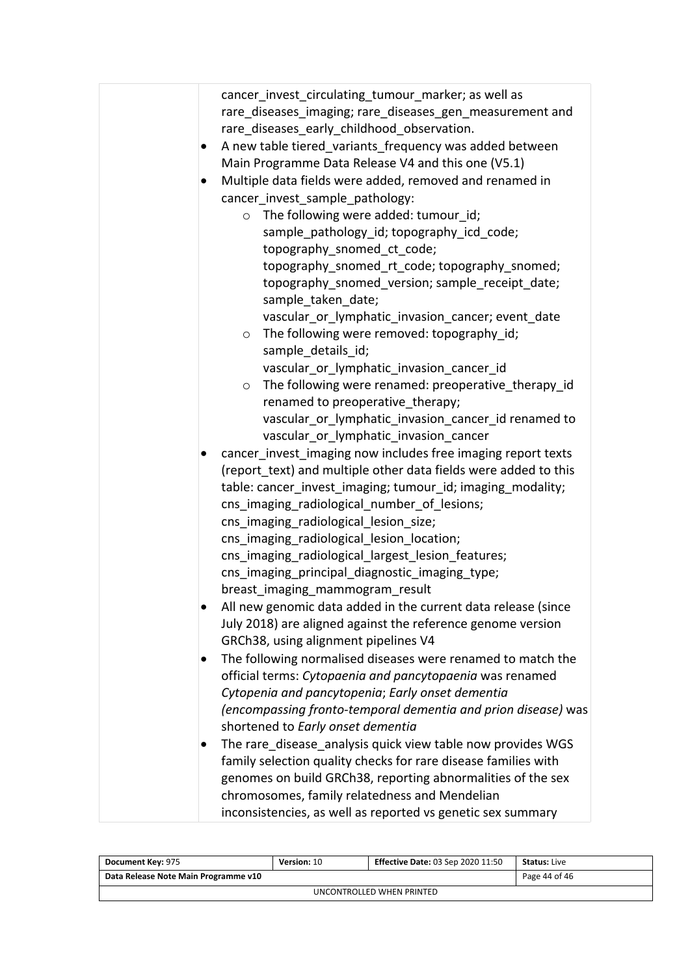| cancer invest circulating tumour marker; as well as<br>rare_diseases_imaging; rare_diseases_gen_measurement and<br>rare_diseases_early_childhood_observation.<br>A new table tiered variants frequency was added between<br>Main Programme Data Release V4 and this one (V5.1)<br>Multiple data fields were added, removed and renamed in<br>cancer invest sample pathology:<br>$\circ$ The following were added: tumour id;<br>sample_pathology_id; topography_icd_code;<br>topography_snomed_ct_code;<br>topography_snomed_rt_code; topography_snomed;<br>topography_snomed_version; sample_receipt_date;<br>sample_taken_date; |
|-----------------------------------------------------------------------------------------------------------------------------------------------------------------------------------------------------------------------------------------------------------------------------------------------------------------------------------------------------------------------------------------------------------------------------------------------------------------------------------------------------------------------------------------------------------------------------------------------------------------------------------|
| vascular_or_lymphatic_invasion_cancer; event_date<br>The following were removed: topography_id;<br>$\circ$<br>sample details id;<br>vascular or lymphatic invasion cancer id                                                                                                                                                                                                                                                                                                                                                                                                                                                      |
| The following were renamed: preoperative_therapy_id<br>$\circ$<br>renamed to preoperative_therapy;<br>vascular_or_lymphatic_invasion_cancer_id renamed to                                                                                                                                                                                                                                                                                                                                                                                                                                                                         |
| vascular_or_lymphatic_invasion_cancer                                                                                                                                                                                                                                                                                                                                                                                                                                                                                                                                                                                             |
| cancer invest imaging now includes free imaging report texts<br>(report text) and multiple other data fields were added to this<br>table: cancer_invest_imaging; tumour_id; imaging_modality;<br>cns imaging_radiological_number_of_lesions;<br>cns_imaging_radiological_lesion_size;<br>cns imaging radiological lesion location;<br>cns imaging radiological largest lesion features;<br>cns_imaging_principal_diagnostic_imaging_type;<br>breast_imaging_mammogram_result                                                                                                                                                      |
| All new genomic data added in the current data release (since<br>July 2018) are aligned against the reference genome version<br>GRCh38, using alignment pipelines V4                                                                                                                                                                                                                                                                                                                                                                                                                                                              |
| The following normalised diseases were renamed to match the<br>official terms: Cytopaenia and pancytopaenia was renamed<br>Cytopenia and pancytopenia; Early onset dementia<br>(encompassing fronto-temporal dementia and prion disease) was<br>shortened to Early onset dementia                                                                                                                                                                                                                                                                                                                                                 |
| The rare_disease_analysis quick view table now provides WGS<br>family selection quality checks for rare disease families with<br>genomes on build GRCh38, reporting abnormalities of the sex<br>chromosomes, family relatedness and Mendelian<br>inconsistencies, as well as reported vs genetic sex summary                                                                                                                                                                                                                                                                                                                      |

| Document Key: 975                    | Version: 10   | <b>Effective Date: 03 Sep 2020 11:50</b> | <b>Status:</b> Live |  |  |
|--------------------------------------|---------------|------------------------------------------|---------------------|--|--|
| Data Release Note Main Programme v10 | Page 44 of 46 |                                          |                     |  |  |
| UNCONTROLLED WHEN PRINTED            |               |                                          |                     |  |  |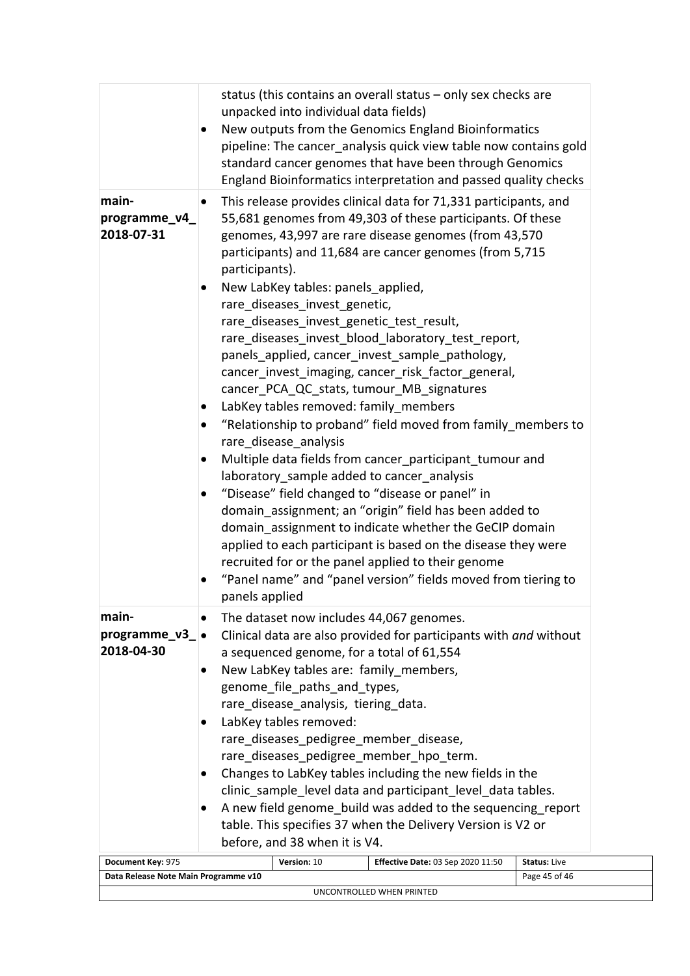| status (this contains an overall status - only sex checks are<br>unpacked into individual data fields)<br>New outputs from the Genomics England Bioinformatics<br>٠<br>pipeline: The cancer analysis quick view table now contains gold                                                                                                                                                                                                                                                                                                                                                                                                                                                                                                            |  |
|----------------------------------------------------------------------------------------------------------------------------------------------------------------------------------------------------------------------------------------------------------------------------------------------------------------------------------------------------------------------------------------------------------------------------------------------------------------------------------------------------------------------------------------------------------------------------------------------------------------------------------------------------------------------------------------------------------------------------------------------------|--|
| standard cancer genomes that have been through Genomics<br>England Bioinformatics interpretation and passed quality checks                                                                                                                                                                                                                                                                                                                                                                                                                                                                                                                                                                                                                         |  |
| main-<br>This release provides clinical data for 71,331 participants, and<br>$\bullet$<br>55,681 genomes from 49,303 of these participants. Of these<br>programme_v4_<br>2018-07-31<br>genomes, 43,997 are rare disease genomes (from 43,570<br>participants) and 11,684 are cancer genomes (from 5,715<br>participants).<br>New LabKey tables: panels_applied,<br>rare diseases invest genetic,<br>rare_diseases_invest_genetic_test_result,<br>rare_diseases_invest_blood_laboratory_test_report,<br>panels_applied, cancer_invest_sample_pathology,<br>cancer_invest_imaging, cancer_risk_factor_general,<br>cancer_PCA_QC_stats, tumour_MB_signatures                                                                                          |  |
| LabKey tables removed: family_members<br>$\bullet$<br>"Relationship to proband" field moved from family members to<br>rare disease analysis<br>Multiple data fields from cancer_participant_tumour and<br>laboratory_sample added to cancer_analysis<br>"Disease" field changed to "disease or panel" in<br>domain assignment; an "origin" field has been added to<br>domain assignment to indicate whether the GeCIP domain<br>applied to each participant is based on the disease they were<br>recruited for or the panel applied to their genome<br>"Panel name" and "panel version" fields moved from tiering to<br>panels applied                                                                                                             |  |
| main-<br>The dataset now includes 44,067 genomes.<br>٠<br>programme $v3$ $\bullet$<br>Clinical data are also provided for participants with and without<br>2018-04-30<br>a sequenced genome, for a total of 61,554<br>New LabKey tables are: family members,<br>٠<br>genome_file_paths_and_types,<br>rare_disease_analysis, tiering_data.<br>LabKey tables removed:<br>rare_diseases_pedigree_member_disease,<br>rare_diseases_pedigree_member_hpo_term.<br>Changes to LabKey tables including the new fields in the<br>clinic_sample_level data and participant_level_data tables.<br>A new field genome build was added to the sequencing report<br>table. This specifies 37 when the Delivery Version is V2 or<br>before, and 38 when it is V4. |  |
| Document Key: 975<br>Version: 10<br><b>Effective Date: 03 Sep 2020 11:50</b><br><b>Status: Live</b>                                                                                                                                                                                                                                                                                                                                                                                                                                                                                                                                                                                                                                                |  |
| Data Release Note Main Programme v10<br>Page 45 of 46                                                                                                                                                                                                                                                                                                                                                                                                                                                                                                                                                                                                                                                                                              |  |